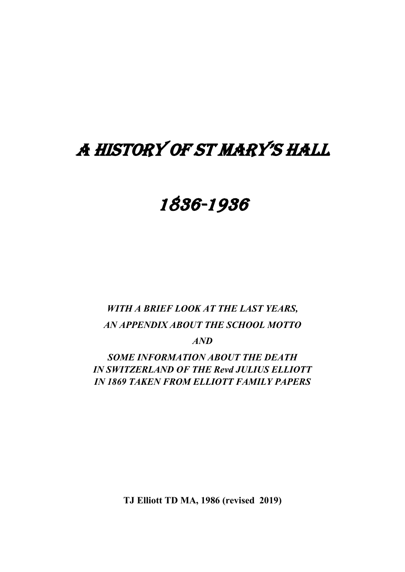# A HISTORY OF ST MARY'S HALL

# 1836-1936

# *WITH A BRIEF LOOK AT THE LAST YEARS, AN APPENDIX ABOUT THE SCHOOL MOTTO*

*AND* 

*SOME INFORMATION ABOUT THE DEATH IN SWITZERLAND OF THE Revd JULIUS ELLIOTT IN 1869 TAKEN FROM ELLIOTT FAMILY PAPERS*

**TJ Elliott TD MA, 1986 (revised 2019)**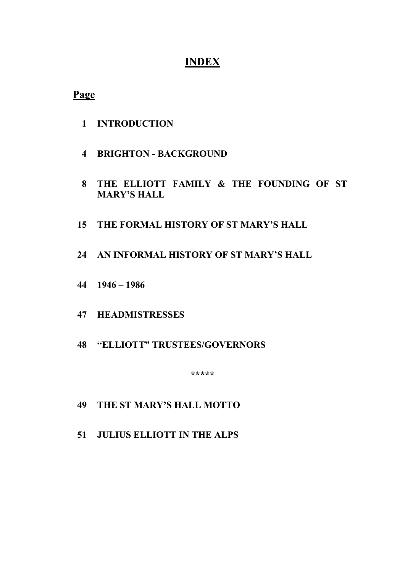# **INDEX**

# **Page**

- **INTRODUCTION**
- **BRIGHTON - BACKGROUND**
- **THE ELLIOTT FAMILY & THE FOUNDING OF ST MARY'S HALL**
- **THE FORMAL HISTORY OF ST MARY'S HALL**
- **AN INFORMAL HISTORY OF ST MARY'S HALL**
- **1946 – 1986**
- **HEADMISTRESSES**
- **"ELLIOTT" TRUSTEES/GOVERNORS**

**\*\*\*\*\***

- **THE ST MARY'S HALL MOTTO**
- **JULIUS ELLIOTT IN THE ALPS**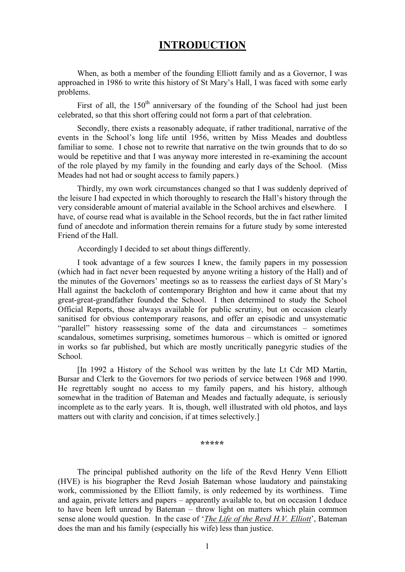### **INTRODUCTION**

When, as both a member of the founding Elliott family and as a Governor, I was approached in 1986 to write this history of St Mary's Hall, I was faced with some early problems.

First of all, the  $150<sup>th</sup>$  anniversary of the founding of the School had just been celebrated, so that this short offering could not form a part of that celebration.

Secondly, there exists a reasonably adequate, if rather traditional, narrative of the events in the School's long life until 1956, written by Miss Meades and doubtless familiar to some. I chose not to rewrite that narrative on the twin grounds that to do so would be repetitive and that I was anyway more interested in re-examining the account of the role played by my family in the founding and early days of the School. (Miss Meades had not had or sought access to family papers.)

Thirdly, my own work circumstances changed so that I was suddenly deprived of the leisure I had expected in which thoroughly to research the Hall's history through the very considerable amount of material available in the School archives and elsewhere. I have, of course read what is available in the School records, but the in fact rather limited fund of anecdote and information therein remains for a future study by some interested Friend of the Hall.

Accordingly I decided to set about things differently.

I took advantage of a few sources I knew, the family papers in my possession (which had in fact never been requested by anyone writing a history of the Hall) and of the minutes of the Governors' meetings so as to reassess the earliest days of St Mary's Hall against the backcloth of contemporary Brighton and how it came about that my great-great-grandfather founded the School. I then determined to study the School Official Reports, those always available for public scrutiny, but on occasion clearly sanitised for obvious contemporary reasons, and offer an episodic and unsystematic "parallel" history reassessing some of the data and circumstances – sometimes scandalous, sometimes surprising, sometimes humorous – which is omitted or ignored in works so far published, but which are mostly uncritically panegyric studies of the School.

[In 1992 a History of the School was written by the late Lt Cdr MD Martin, Bursar and Clerk to the Governors for two periods of service between 1968 and 1990. He regrettably sought no access to my family papers, and his history, although somewhat in the tradition of Bateman and Meades and factually adequate, is seriously incomplete as to the early years. It is, though, well illustrated with old photos, and lays matters out with clarity and concision, if at times selectively.]

**\*\*\*\*\***

The principal published authority on the life of the Revd Henry Venn Elliott (HVE) is his biographer the Revd Josiah Bateman whose laudatory and painstaking work, commissioned by the Elliott family, is only redeemed by its worthiness. Time and again, private letters and papers – apparently available to, but on occasion I deduce to have been left unread by Bateman – throw light on matters which plain common sense alone would question. In the case of '*The Life of the Revd H.V. Elliott*', Bateman does the man and his family (especially his wife) less than justice.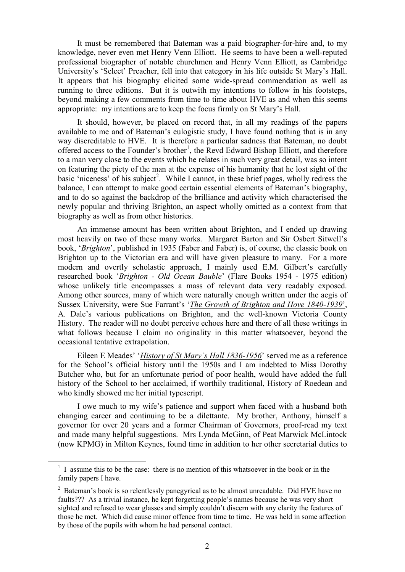It must be remembered that Bateman was a paid biographer-for-hire and, to my knowledge, never even met Henry Venn Elliott. He seems to have been a well-reputed professional biographer of notable churchmen and Henry Venn Elliott, as Cambridge University's 'Select' Preacher, fell into that category in his life outside St Mary's Hall. It appears that his biography elicited some wide-spread commendation as well as running to three editions. But it is outwith my intentions to follow in his footsteps, beyond making a few comments from time to time about HVE as and when this seems appropriate: my intentions are to keep the focus firmly on St Mary's Hall.

It should, however, be placed on record that, in all my readings of the papers available to me and of Bateman's eulogistic study, I have found nothing that is in any way discreditable to HVE. It is therefore a particular sadness that Bateman, no doubt offered access to the Founder's brother<sup>1</sup>, the Revd Edward Bishop Elliott, and therefore to a man very close to the events which he relates in such very great detail, was so intent on featuring the piety of the man at the expense of his humanity that he lost sight of the basic 'niceness' of his subject<sup>2</sup>. While I cannot, in these brief pages, wholly redress the balance, I can attempt to make good certain essential elements of Bateman's biography, and to do so against the backdrop of the brilliance and activity which characterised the newly popular and thriving Brighton, an aspect wholly omitted as a context from that biography as well as from other histories.

An immense amount has been written about Brighton, and I ended up drawing most heavily on two of these many works. Margaret Barton and Sir Osbert Sitwell's book, '*Brighton*', published in 1935 (Faber and Faber) is, of course, the classic book on Brighton up to the Victorian era and will have given pleasure to many. For a more modern and overtly scholastic approach, I mainly used E.M. Gilbert's carefully researched book '*Brighton - Old Ocean Bauble*' (Flare Books 1954 - 1975 edition) whose unlikely title encompasses a mass of relevant data very readably exposed. Among other sources, many of which were naturally enough written under the aegis of Sussex University, were Sue Farrant's '*The Growth of Brighton and Hove 1840-1939*', A. Dale's various publications on Brighton, and the well-known Victoria County History. The reader will no doubt perceive echoes here and there of all these writings in what follows because I claim no originality in this matter whatsoever, beyond the occasional tentative extrapolation.

Eileen E Meades' '*History of St Mary's Hall 1836-1956*' served me as a reference for the School's official history until the 1950s and I am indebted to Miss Dorothy Butcher who, but for an unfortunate period of poor health, would have added the full history of the School to her acclaimed, if worthily traditional, History of Roedean and who kindly showed me her initial typescript.

I owe much to my wife's patience and support when faced with a husband both changing career and continuing to be a dilettante. My brother, Anthony, himself a governor for over 20 years and a former Chairman of Governors, proof-read my text and made many helpful suggestions. Mrs Lynda McGinn, of Peat Marwick McLintock (now KPMG) in Milton Keynes, found time in addition to her other secretarial duties to

<sup>&</sup>lt;sup>1</sup> I assume this to be the case: there is no mention of this whatsoever in the book or in the family papers I have.

 $2 \text{ Bateman's book is so relatively a new period as to be almost unreachable. Did HVE have no$ faults??? As a trivial instance, he kept forgetting people's names because he was very short sighted and refused to wear glasses and simply couldn't discern with any clarity the features of those he met. Which did cause minor offence from time to time. He was held in some affection by those of the pupils with whom he had personal contact.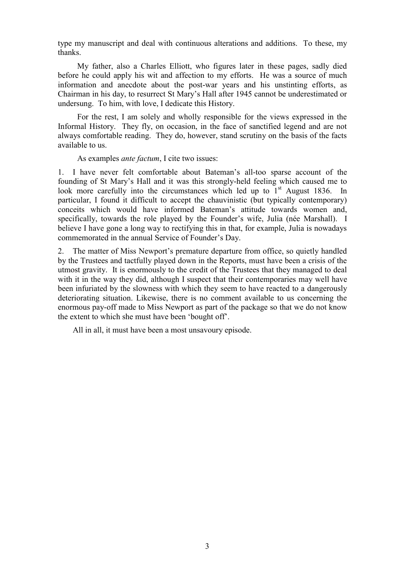type my manuscript and deal with continuous alterations and additions. To these, my thanks.

My father, also a Charles Elliott, who figures later in these pages, sadly died before he could apply his wit and affection to my efforts. He was a source of much information and anecdote about the post-war years and his unstinting efforts, as Chairman in his day, to resurrect St Mary's Hall after 1945 cannot be underestimated or undersung. To him, with love, I dedicate this History.

For the rest, I am solely and wholly responsible for the views expressed in the Informal History. They fly, on occasion, in the face of sanctified legend and are not always comfortable reading. They do, however, stand scrutiny on the basis of the facts available to us.

As examples *ante factum*, I cite two issues:

1. I have never felt comfortable about Bateman's all-too sparse account of the founding of St Mary's Hall and it was this strongly-held feeling which caused me to look more carefully into the circumstances which led up to  $1<sup>st</sup>$  August 1836. In particular, I found it difficult to accept the chauvinistic (but typically contemporary) conceits which would have informed Bateman's attitude towards women and, specifically, towards the role played by the Founder's wife, Julia (née Marshall). I believe I have gone a long way to rectifying this in that, for example, Julia is nowadays commemorated in the annual Service of Founder's Day.

2. The matter of Miss Newport's premature departure from office, so quietly handled by the Trustees and tactfully played down in the Reports, must have been a crisis of the utmost gravity. It is enormously to the credit of the Trustees that they managed to deal with it in the way they did, although I suspect that their contemporaries may well have been infuriated by the slowness with which they seem to have reacted to a dangerously deteriorating situation. Likewise, there is no comment available to us concerning the enormous pay-off made to Miss Newport as part of the package so that we do not know the extent to which she must have been 'bought off'.

All in all, it must have been a most unsavoury episode.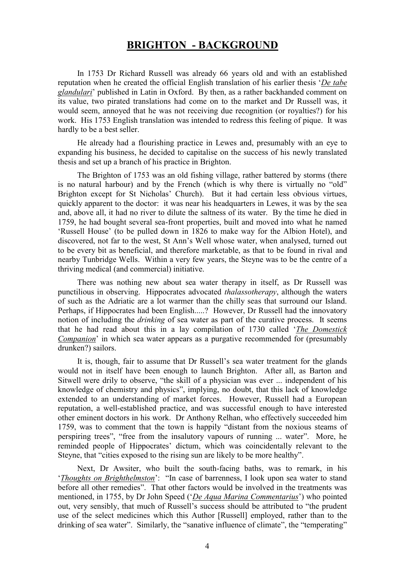# **BRIGHTON - BACKGROUND**

In 1753 Dr Richard Russell was already 66 years old and with an established reputation when he created the official English translation of his earlier thesis '*De tabe glandulari*' published in Latin in Oxford. By then, as a rather backhanded comment on its value, two pirated translations had come on to the market and Dr Russell was, it would seem, annoyed that he was not receiving due recognition (or royalties?) for his work. His 1753 English translation was intended to redress this feeling of pique. It was hardly to be a best seller.

He already had a flourishing practice in Lewes and, presumably with an eye to expanding his business, he decided to capitalise on the success of his newly translated thesis and set up a branch of his practice in Brighton.

The Brighton of 1753 was an old fishing village, rather battered by storms (there is no natural harbour) and by the French (which is why there is virtually no "old" Brighton except for St Nicholas' Church). But it had certain less obvious virtues, quickly apparent to the doctor: it was near his headquarters in Lewes, it was by the sea and, above all, it had no river to dilute the saltness of its water. By the time he died in 1759, he had bought several sea-front properties, built and moved into what he named 'Russell House' (to be pulled down in 1826 to make way for the Albion Hotel), and discovered, not far to the west, St Ann's Well whose water, when analysed, turned out to be every bit as beneficial, and therefore marketable, as that to be found in rival and nearby Tunbridge Wells. Within a very few years, the Steyne was to be the centre of a thriving medical (and commercial) initiative.

There was nothing new about sea water therapy in itself, as Dr Russell was punctilious in observing. Hippocrates advocated *thalassotherapy*, although the waters of such as the Adriatic are a lot warmer than the chilly seas that surround our Island. Perhaps, if Hippocrates had been English.....? However, Dr Russell had the innovatory notion of including the *drinking* of sea water as part of the curative process. It seems that he had read about this in a lay compilation of 1730 called '*The Domestick Companion*' in which sea water appears as a purgative recommended for (presumably drunken?) sailors.

It is, though, fair to assume that Dr Russell's sea water treatment for the glands would not in itself have been enough to launch Brighton. After all, as Barton and Sitwell were drily to observe, "the skill of a physician was ever ... independent of his knowledge of chemistry and physics", implying, no doubt, that this lack of knowledge extended to an understanding of market forces. However, Russell had a European reputation, a well-established practice, and was successful enough to have interested other eminent doctors in his work. Dr Anthony Relhan, who effectively succeeded him 1759, was to comment that the town is happily "distant from the noxious steams of perspiring trees", "free from the insalutory vapours of running ... water". More, he reminded people of Hippocrates' dictum, which was coincidentally relevant to the Steyne, that "cities exposed to the rising sun are likely to be more healthy".

Next, Dr Awsiter, who built the south-facing baths, was to remark, in his '*Thoughts on Brighthelmston*': "In case of barrenness, I look upon sea water to stand before all other remedies". That other factors would be involved in the treatments was mentioned, in 1755, by Dr John Speed ('*De Aqua Marina Commentarius*') who pointed out, very sensibly, that much of Russell's success should be attributed to "the prudent use of the select medicines which this Author [Russell] employed, rather than to the drinking of sea water". Similarly, the "sanative influence of climate", the "temperating"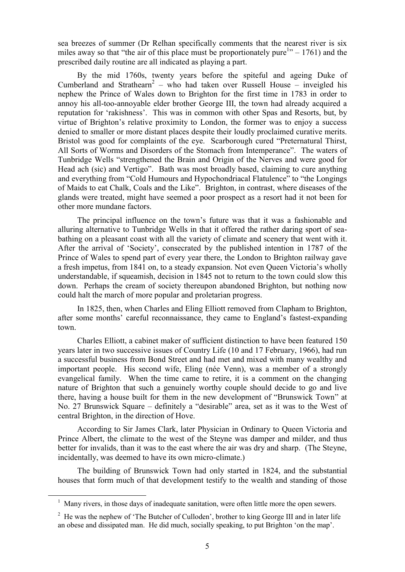sea breezes of summer (Dr Relhan specifically comments that the nearest river is six miles away so that "the air of this place must be proportionately pure<sup>1</sup> $\cdot$  – 1761) and the prescribed daily routine are all indicated as playing a part.

By the mid 1760s, twenty years before the spiteful and ageing Duke of Cumberland and Strathearn<sup>2</sup> – who had taken over Russell House – inveigled his nephew the Prince of Wales down to Brighton for the first time in 1783 in order to annoy his all-too-annoyable elder brother George III, the town had already acquired a reputation for 'rakishness'. This was in common with other Spas and Resorts, but, by virtue of Brighton's relative proximity to London, the former was to enjoy a success denied to smaller or more distant places despite their loudly proclaimed curative merits. Bristol was good for complaints of the eye. Scarborough cured "Preternatural Thirst, All Sorts of Worms and Disorders of the Stomach from Intemperance". The waters of Tunbridge Wells "strengthened the Brain and Origin of the Nerves and were good for Head ach (sic) and Vertigo". Bath was most broadly based, claiming to cure anything and everything from "Cold Humours and Hypochondriacal Flatulence" to "the Longings of Maids to eat Chalk, Coals and the Like". Brighton, in contrast, where diseases of the glands were treated, might have seemed a poor prospect as a resort had it not been for other more mundane factors.

The principal influence on the town's future was that it was a fashionable and alluring alternative to Tunbridge Wells in that it offered the rather daring sport of seabathing on a pleasant coast with all the variety of climate and scenery that went with it. After the arrival of 'Society', consecrated by the published intention in 1787 of the Prince of Wales to spend part of every year there, the London to Brighton railway gave a fresh impetus, from 1841 on, to a steady expansion. Not even Queen Victoria's wholly understandable, if squeamish, decision in 1845 not to return to the town could slow this down. Perhaps the cream of society thereupon abandoned Brighton, but nothing now could halt the march of more popular and proletarian progress.

In 1825, then, when Charles and Eling Elliott removed from Clapham to Brighton, after some months' careful reconnaissance, they came to England's fastest-expanding town.

Charles Elliott, a cabinet maker of sufficient distinction to have been featured 150 years later in two successive issues of Country Life (10 and 17 February, 1966), had run a successful business from Bond Street and had met and mixed with many wealthy and important people. His second wife, Eling (née Venn), was a member of a strongly evangelical family. When the time came to retire, it is a comment on the changing nature of Brighton that such a genuinely worthy couple should decide to go and live there, having a house built for them in the new development of "Brunswick Town" at No. 27 Brunswick Square – definitely a "desirable" area, set as it was to the West of central Brighton, in the direction of Hove.

According to Sir James Clark, later Physician in Ordinary to Queen Victoria and Prince Albert, the climate to the west of the Steyne was damper and milder, and thus better for invalids, than it was to the east where the air was dry and sharp. (The Steyne, incidentally, was deemed to have its own micro-climate.)

The building of Brunswick Town had only started in 1824, and the substantial houses that form much of that development testify to the wealth and standing of those

<sup>&</sup>lt;sup>1</sup> Many rivers, in those days of inadequate sanitation, were often little more the open sewers.

 $2$  He was the nephew of 'The Butcher of Culloden', brother to king George III and in later life an obese and dissipated man. He did much, socially speaking, to put Brighton 'on the map'.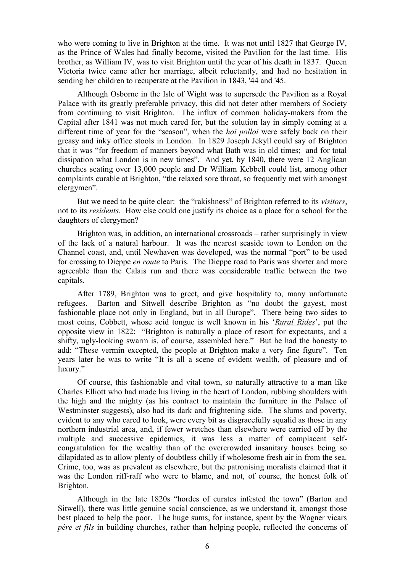who were coming to live in Brighton at the time. It was not until 1827 that George IV, as the Prince of Wales had finally become, visited the Pavilion for the last time. His brother, as William IV, was to visit Brighton until the year of his death in 1837. Queen Victoria twice came after her marriage, albeit reluctantly, and had no hesitation in sending her children to recuperate at the Pavilion in 1843, '44 and '45.

Although Osborne in the Isle of Wight was to supersede the Pavilion as a Royal Palace with its greatly preferable privacy, this did not deter other members of Society from continuing to visit Brighton. The influx of common holiday-makers from the Capital after 1841 was not much cared for, but the solution lay in simply coming at a different time of year for the "season", when the *hoi polloi* were safely back on their greasy and inky office stools in London. In 1829 Joseph Jekyll could say of Brighton that it was "for freedom of manners beyond what Bath was in old times; and for total dissipation what London is in new times". And yet, by 1840, there were 12 Anglican churches seating over 13,000 people and Dr William Kebbell could list, among other complaints curable at Brighton, "the relaxed sore throat, so frequently met with amongst clergymen".

But we need to be quite clear: the "rakishness" of Brighton referred to its *visitors*, not to its *residents*. How else could one justify its choice as a place for a school for the daughters of clergymen?

Brighton was, in addition, an international crossroads – rather surprisingly in view of the lack of a natural harbour. It was the nearest seaside town to London on the Channel coast, and, until Newhaven was developed, was the normal "port" to be used for crossing to Dieppe *en route* to Paris. The Dieppe road to Paris was shorter and more agreeable than the Calais run and there was considerable traffic between the two capitals.

After 1789, Brighton was to greet, and give hospitality to, many unfortunate refugees. Barton and Sitwell describe Brighton as "no doubt the gayest, most fashionable place not only in England, but in all Europe". There being two sides to most coins, Cobbett, whose acid tongue is well known in his '*Rural Rides*', put the opposite view in 1822: "Brighton is naturally a place of resort for expectants, and a shifty, ugly-looking swarm is, of course, assembled here." But he had the honesty to add: "These vermin excepted, the people at Brighton make a very fine figure". Ten years later he was to write "It is all a scene of evident wealth, of pleasure and of luxury."

Of course, this fashionable and vital town, so naturally attractive to a man like Charles Elliott who had made his living in the heart of London, rubbing shoulders with the high and the mighty (as his contract to maintain the furniture in the Palace of Westminster suggests), also had its dark and frightening side. The slums and poverty, evident to any who cared to look, were every bit as disgracefully squalid as those in any northern industrial area, and, if fewer wretches than elsewhere were carried off by the multiple and successive epidemics, it was less a matter of complacent selfcongratulation for the wealthy than of the overcrowded insanitary houses being so dilapidated as to allow plenty of doubtless chilly if wholesome fresh air in from the sea. Crime, too, was as prevalent as elsewhere, but the patronising moralists claimed that it was the London riff-raff who were to blame, and not, of course, the honest folk of Brighton.

Although in the late 1820s "hordes of curates infested the town" (Barton and Sitwell), there was little genuine social conscience, as we understand it, amongst those best placed to help the poor. The huge sums, for instance, spent by the Wagner vicars *père et fils* in building churches, rather than helping people, reflected the concerns of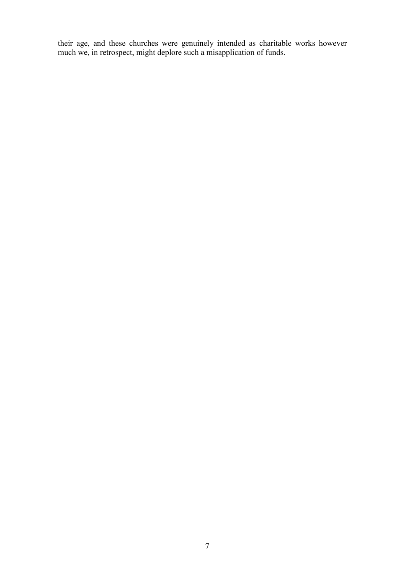their age, and these churches were genuinely intended as charitable works however much we, in retrospect, might deplore such a misapplication of funds.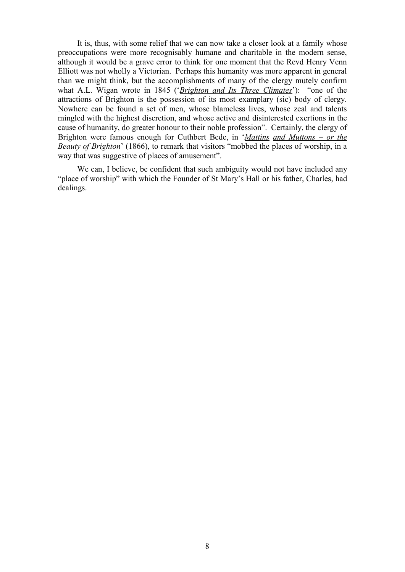It is, thus, with some relief that we can now take a closer look at a family whose preoccupations were more recognisably humane and charitable in the modern sense, although it would be a grave error to think for one moment that the Revd Henry Venn Elliott was not wholly a Victorian. Perhaps this humanity was more apparent in general than we might think, but the accomplishments of many of the clergy mutely confirm what A.L. Wigan wrote in 1845 ('*Brighton and Its Three Climates*'): "one of the attractions of Brighton is the possession of its most examplary (sic) body of clergy. Nowhere can be found a set of men, whose blameless lives, whose zeal and talents mingled with the highest discretion, and whose active and disinterested exertions in the cause of humanity, do greater honour to their noble profession". Certainly, the clergy of Brighton were famous enough for Cuthbert Bede, in '*Mattins and Muttons – or the Beauty of Brighton*' (1866), to remark that visitors "mobbed the places of worship, in a way that was suggestive of places of amusement".

We can, I believe, be confident that such ambiguity would not have included any "place of worship" with which the Founder of St Mary's Hall or his father, Charles, had dealings.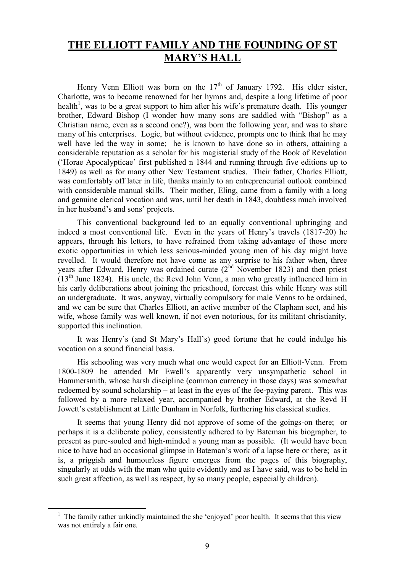# **THE ELLIOTT FAMILY AND THE FOUNDING OF ST MARY'S HALL**

Henry Venn Elliott was born on the  $17<sup>th</sup>$  of January 1792. His elder sister, Charlotte, was to become renowned for her hymns and, despite a long lifetime of poor health<sup>1</sup>, was to be a great support to him after his wife's premature death. His younger brother, Edward Bishop (I wonder how many sons are saddled with "Bishop" as a Christian name, even as a second one?), was born the following year, and was to share many of his enterprises. Logic, but without evidence, prompts one to think that he may well have led the way in some; he is known to have done so in others, attaining a considerable reputation as a scholar for his magisterial study of the Book of Revelation ('Horae Apocalypticae' first published n 1844 and running through five editions up to 1849) as well as for many other New Testament studies. Their father, Charles Elliott, was comfortably off later in life, thanks mainly to an entrepreneurial outlook combined with considerable manual skills. Their mother, Eling, came from a family with a long and genuine clerical vocation and was, until her death in 1843, doubtless much involved in her husband's and sons' projects.

This conventional background led to an equally conventional upbringing and indeed a most conventional life. Even in the years of Henry's travels (1817-20) he appears, through his letters, to have refrained from taking advantage of those more exotic opportunities in which less serious-minded young men of his day might have revelled. It would therefore not have come as any surprise to his father when, three years after Edward, Henry was ordained curate (2<sup>nd</sup> November 1823) and then priest  $(13<sup>th</sup>$  June 1824). His uncle, the Revd John Venn, a man who greatly influenced him in his early deliberations about joining the priesthood, forecast this while Henry was still an undergraduate. It was, anyway, virtually compulsory for male Venns to be ordained, and we can be sure that Charles Elliott, an active member of the Clapham sect, and his wife, whose family was well known, if not even notorious, for its militant christianity, supported this inclination.

It was Henry's (and St Mary's Hall's) good fortune that he could indulge his vocation on a sound financial basis.

His schooling was very much what one would expect for an Elliott-Venn. From 1800-1809 he attended Mr Ewell's apparently very unsympathetic school in Hammersmith, whose harsh discipline (common currency in those days) was somewhat redeemed by sound scholarship – at least in the eyes of the fee-paying parent. This was followed by a more relaxed year, accompanied by brother Edward, at the Revd H Jowett's establishment at Little Dunham in Norfolk, furthering his classical studies.

It seems that young Henry did not approve of some of the goings-on there; or perhaps it is a deliberate policy, consistently adhered to by Bateman his biographer, to present as pure-souled and high-minded a young man as possible. (It would have been nice to have had an occasional glimpse in Bateman's work of a lapse here or there; as it is, a priggish and humourless figure emerges from the pages of this biography, singularly at odds with the man who quite evidently and as I have said, was to be held in such great affection, as well as respect, by so many people, especially children).

<sup>&</sup>lt;sup>1</sup> The family rather unkindly maintained the she 'enjoyed' poor health. It seems that this view was not entirely a fair one.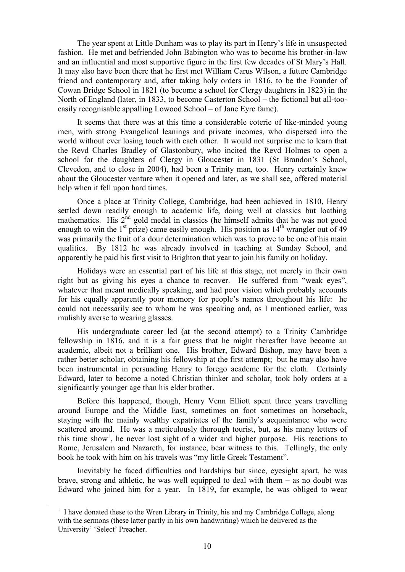The year spent at Little Dunham was to play its part in Henry's life in unsuspected fashion. He met and befriended John Babington who was to become his brother-in-law and an influential and most supportive figure in the first few decades of St Mary's Hall. It may also have been there that he first met William Carus Wilson, a future Cambridge friend and contemporary and, after taking holy orders in 1816, to be the Founder of Cowan Bridge School in 1821 (to become a school for Clergy daughters in 1823) in the North of England (later, in 1833, to become Casterton School – the fictional but all-tooeasily recognisable appalling Lowood School – of Jane Eyre fame).

It seems that there was at this time a considerable coterie of like-minded young men, with strong Evangelical leanings and private incomes, who dispersed into the world without ever losing touch with each other. It would not surprise me to learn that the Revd Charles Bradley of Glastonbury, who incited the Revd Holmes to open a school for the daughters of Clergy in Gloucester in 1831 (St Brandon's School, Clevedon, and to close in 2004), had been a Trinity man, too. Henry certainly knew about the Gloucester venture when it opened and later, as we shall see, offered material help when it fell upon hard times.

Once a place at Trinity College, Cambridge, had been achieved in 1810, Henry settled down readily enough to academic life, doing well at classics but loathing mathematics. His  $2<sup>nd</sup>$  gold medal in classics (he himself admits that he was not good enough to win the  $1<sup>st</sup>$  prize) came easily enough. His position as  $14<sup>th</sup>$  wrangler out of 49 was primarily the fruit of a dour determination which was to prove to be one of his main qualities. By 1812 he was already involved in teaching at Sunday School, and apparently he paid his first visit to Brighton that year to join his family on holiday.

Holidays were an essential part of his life at this stage, not merely in their own right but as giving his eyes a chance to recover. He suffered from "weak eyes", whatever that meant medically speaking, and had poor vision which probably accounts for his equally apparently poor memory for people's names throughout his life: he could not necessarily see to whom he was speaking and, as I mentioned earlier, was mulishly averse to wearing glasses.

His undergraduate career led (at the second attempt) to a Trinity Cambridge fellowship in 1816, and it is a fair guess that he might thereafter have become an academic, albeit not a brilliant one. His brother, Edward Bishop, may have been a rather better scholar, obtaining his fellowship at the first attempt; but he may also have been instrumental in persuading Henry to forego academe for the cloth. Certainly Edward, later to become a noted Christian thinker and scholar, took holy orders at a significantly younger age than his elder brother.

Before this happened, though, Henry Venn Elliott spent three years travelling around Europe and the Middle East, sometimes on foot sometimes on horseback, staying with the mainly wealthy expatriates of the family's acquaintance who were scattered around. He was a meticulously thorough tourist, but, as his many letters of this time show<sup>1</sup>, he never lost sight of a wider and higher purpose. His reactions to Rome, Jerusalem and Nazareth, for instance, bear witness to this. Tellingly, the only book he took with him on his travels was "my little Greek Testament".

Inevitably he faced difficulties and hardships but since, eyesight apart, he was brave, strong and athletic, he was well equipped to deal with them – as no doubt was Edward who joined him for a year. In 1819, for example, he was obliged to wear

<sup>&</sup>lt;sup>1</sup> I have donated these to the Wren Library in Trinity, his and my Cambridge College, along with the sermons (these latter partly in his own handwriting) which he delivered as the University' 'Select' Preacher.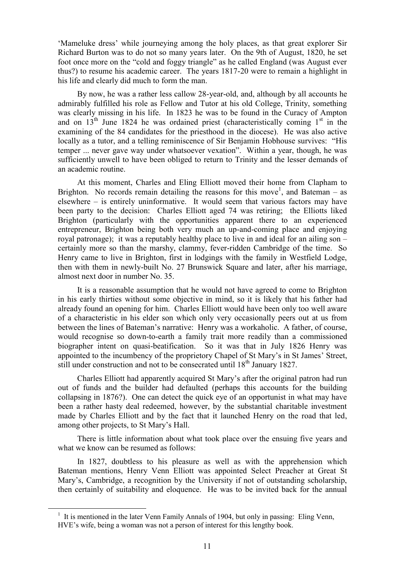'Mameluke dress' while journeying among the holy places, as that great explorer Sir Richard Burton was to do not so many years later. On the 9th of August, 1820, he set foot once more on the "cold and foggy triangle" as he called England (was August ever thus?) to resume his academic career. The years 1817-20 were to remain a highlight in his life and clearly did much to form the man.

By now, he was a rather less callow 28-year-old, and, although by all accounts he admirably fulfilled his role as Fellow and Tutor at his old College, Trinity, something was clearly missing in his life. In 1823 he was to be found in the Curacy of Ampton and on  $13<sup>th</sup>$  June 1824 he was ordained priest (characteristically coming  $1<sup>st</sup>$  in the examining of the 84 candidates for the priesthood in the diocese). He was also active locally as a tutor, and a telling reminiscence of Sir Benjamin Hobhouse survives: "His temper ... never gave way under whatsoever vexation". Within a year, though, he was sufficiently unwell to have been obliged to return to Trinity and the lesser demands of an academic routine.

At this moment, Charles and Eling Elliott moved their home from Clapham to Brighton. No records remain detailing the reasons for this move<sup>1</sup>, and Bateman – as elsewhere – is entirely uninformative. It would seem that various factors may have been party to the decision: Charles Elliott aged 74 was retiring; the Elliotts liked Brighton (particularly with the opportunities apparent there to an experienced entrepreneur, Brighton being both very much an up-and-coming place and enjoying royal patronage); it was a reputably healthy place to live in and ideal for an ailing son – certainly more so than the marshy, clammy, fever-ridden Cambridge of the time. So Henry came to live in Brighton, first in lodgings with the family in Westfield Lodge, then with them in newly-built No. 27 Brunswick Square and later, after his marriage, almost next door in number No. 35.

It is a reasonable assumption that he would not have agreed to come to Brighton in his early thirties without some objective in mind, so it is likely that his father had already found an opening for him. Charles Elliott would have been only too well aware of a characteristic in his elder son which only very occasionally peers out at us from between the lines of Bateman's narrative: Henry was a workaholic. A father, of course, would recognise so down-to-earth a family trait more readily than a commissioned biographer intent on quasi-beatification. So it was that in July 1826 Henry was appointed to the incumbency of the proprietory Chapel of St Mary's in St James' Street, still under construction and not to be consecrated until 18<sup>th</sup> January 1827.

Charles Elliott had apparently acquired St Mary's after the original patron had run out of funds and the builder had defaulted (perhaps this accounts for the building collapsing in 1876?). One can detect the quick eye of an opportunist in what may have been a rather hasty deal redeemed, however, by the substantial charitable investment made by Charles Elliott and by the fact that it launched Henry on the road that led, among other projects, to St Mary's Hall.

There is little information about what took place over the ensuing five years and what we know can be resumed as follows:

In 1827, doubtless to his pleasure as well as with the apprehension which Bateman mentions, Henry Venn Elliott was appointed Select Preacher at Great St Mary's, Cambridge, a recognition by the University if not of outstanding scholarship, then certainly of suitability and eloquence. He was to be invited back for the annual

<sup>&</sup>lt;sup>1</sup> It is mentioned in the later Venn Family Annals of 1904, but only in passing: Eling Venn, HVE's wife, being a woman was not a person of interest for this lengthy book.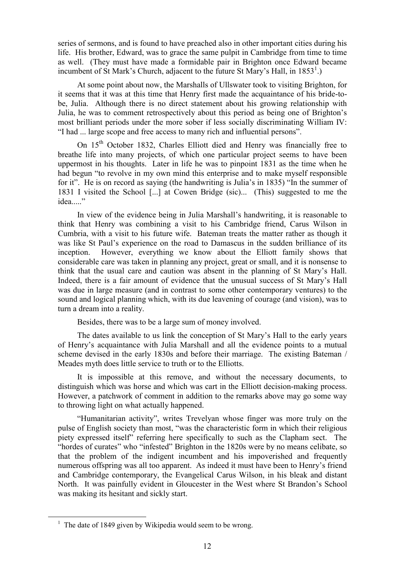series of sermons, and is found to have preached also in other important cities during his life. His brother, Edward, was to grace the same pulpit in Cambridge from time to time as well. (They must have made a formidable pair in Brighton once Edward became incumbent of St Mark's Church, adjacent to the future St Mary's Hall, in  $1853<sup>1</sup>$ .)

At some point about now, the Marshalls of Ullswater took to visiting Brighton, for it seems that it was at this time that Henry first made the acquaintance of his bride-tobe, Julia. Although there is no direct statement about his growing relationship with Julia, he was to comment retrospectively about this period as being one of Brighton's most brilliant periods under the more sober if less socially discriminating William IV: "I had ... large scope and free access to many rich and influential persons".

On 15<sup>th</sup> October 1832, Charles Elliott died and Henry was financially free to breathe life into many projects, of which one particular project seems to have been uppermost in his thoughts. Later in life he was to pinpoint 1831 as the time when he had begun "to revolve in my own mind this enterprise and to make myself responsible for it". He is on record as saying (the handwriting is Julia's in 1835) "In the summer of 1831 I visited the School [...] at Cowen Bridge (sic)... (This) suggested to me the idea....."

In view of the evidence being in Julia Marshall's handwriting, it is reasonable to think that Henry was combining a visit to his Cambridge friend, Carus Wilson in Cumbria, with a visit to his future wife. Bateman treats the matter rather as though it was like St Paul's experience on the road to Damascus in the sudden brilliance of its inception. However, everything we know about the Elliott family shows that considerable care was taken in planning any project, great or small, and it is nonsense to think that the usual care and caution was absent in the planning of St Mary's Hall. Indeed, there is a fair amount of evidence that the unusual success of St Mary's Hall was due in large measure (and in contrast to some other contemporary ventures) to the sound and logical planning which, with its due leavening of courage (and vision), was to turn a dream into a reality.

Besides, there was to be a large sum of money involved.

The dates available to us link the conception of St Mary's Hall to the early years of Henry's acquaintance with Julia Marshall and all the evidence points to a mutual scheme devised in the early 1830s and before their marriage. The existing Bateman / Meades myth does little service to truth or to the Elliotts.

It is impossible at this remove, and without the necessary documents, to distinguish which was horse and which was cart in the Elliott decision-making process. However, a patchwork of comment in addition to the remarks above may go some way to throwing light on what actually happened.

"Humanitarian activity", writes Trevelyan whose finger was more truly on the pulse of English society than most, "was the characteristic form in which their religious piety expressed itself" referring here specifically to such as the Clapham sect. The "hordes of curates" who "infested" Brighton in the 1820s were by no means celibate, so that the problem of the indigent incumbent and his impoverished and frequently numerous offspring was all too apparent. As indeed it must have been to Henry's friend and Cambridge contemporary, the Evangelical Carus Wilson, in his bleak and distant North. It was painfully evident in Gloucester in the West where St Brandon's School was making its hesitant and sickly start.

<sup>&</sup>lt;sup>1</sup> The date of 1849 given by Wikipedia would seem to be wrong.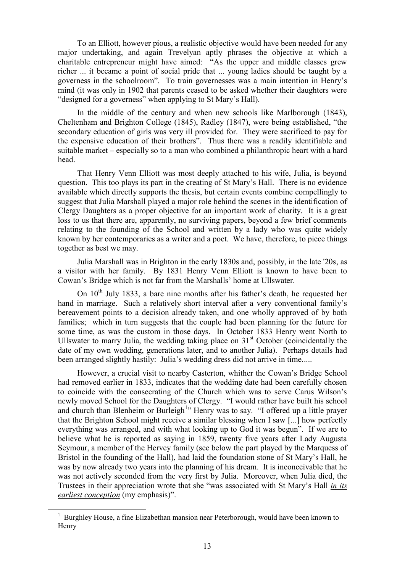To an Elliott, however pious, a realistic objective would have been needed for any major undertaking, and again Trevelyan aptly phrases the objective at which a charitable entrepreneur might have aimed: "As the upper and middle classes grew richer ... it became a point of social pride that ... young ladies should be taught by a governess in the schoolroom". To train governesses was a main intention in Henry's mind (it was only in 1902 that parents ceased to be asked whether their daughters were "designed for a governess" when applying to St Mary's Hall).

In the middle of the century and when new schools like Marlborough (1843), Cheltenham and Brighton College (1845), Radley (1847), were being established, "the secondary education of girls was very ill provided for. They were sacrificed to pay for the expensive education of their brothers". Thus there was a readily identifiable and suitable market – especially so to a man who combined a philanthropic heart with a hard head.

That Henry Venn Elliott was most deeply attached to his wife, Julia, is beyond question. This too plays its part in the creating of St Mary's Hall. There is no evidence available which directly supports the thesis, but certain events combine compellingly to suggest that Julia Marshall played a major role behind the scenes in the identification of Clergy Daughters as a proper objective for an important work of charity. It is a great loss to us that there are, apparently, no surviving papers, beyond a few brief comments relating to the founding of the School and written by a lady who was quite widely known by her contemporaries as a writer and a poet. We have, therefore, to piece things together as best we may.

Julia Marshall was in Brighton in the early 1830s and, possibly, in the late '20s, as a visitor with her family. By 1831 Henry Venn Elliott is known to have been to Cowan's Bridge which is not far from the Marshalls' home at Ullswater.

On  $10<sup>th</sup>$  July 1833, a bare nine months after his father's death, he requested her hand in marriage. Such a relatively short interval after a very conventional family's bereavement points to a decision already taken, and one wholly approved of by both families; which in turn suggests that the couple had been planning for the future for some time, as was the custom in those days. In October 1833 Henry went North to Ullswater to marry Julia, the wedding taking place on  $31<sup>st</sup>$  October (coincidentally the date of my own wedding, generations later, and to another Julia). Perhaps details had been arranged slightly hastily: Julia's wedding dress did not arrive in time.....

However, a crucial visit to nearby Casterton, whither the Cowan's Bridge School had removed earlier in 1833, indicates that the wedding date had been carefully chosen to coincide with the consecrating of the Church which was to serve Carus Wilson's newly moved School for the Daughters of Clergy. "I would rather have built his school and church than Blenheim or Burleigh<sup>1</sup>" Henry was to say. "I offered up a little prayer that the Brighton School might receive a similar blessing when I saw [...] how perfectly everything was arranged, and with what looking up to God it was begun". If we are to believe what he is reported as saying in 1859, twenty five years after Lady Augusta Seymour, a member of the Hervey family (see below the part played by the Marquess of Bristol in the founding of the Hall), had laid the foundation stone of St Mary's Hall, he was by now already two years into the planning of his dream. It is inconceivable that he was not actively seconded from the very first by Julia. Moreover, when Julia died, the Trustees in their appreciation wrote that she "was associated with St Mary's Hall *in its earliest conception* (my emphasis)".

<sup>&</sup>lt;sup>1</sup> Burghley House, a fine Elizabethan mansion near Peterborough, would have been known to Henry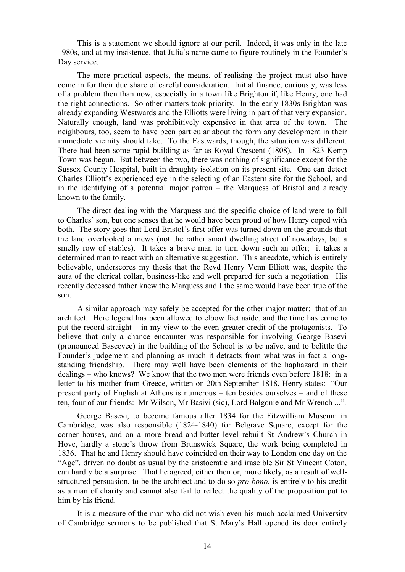This is a statement we should ignore at our peril. Indeed, it was only in the late 1980s, and at my insistence, that Julia's name came to figure routinely in the Founder's Day service.

The more practical aspects, the means, of realising the project must also have come in for their due share of careful consideration. Initial finance, curiously, was less of a problem then than now, especially in a town like Brighton if, like Henry, one had the right connections. So other matters took priority. In the early 1830s Brighton was already expanding Westwards and the Elliotts were living in part of that very expansion. Naturally enough, land was prohibitively expensive in that area of the town. The neighbours, too, seem to have been particular about the form any development in their immediate vicinity should take. To the Eastwards, though, the situation was different. There had been some rapid building as far as Royal Crescent (1808). In 1823 Kemp Town was begun. But between the two, there was nothing of significance except for the Sussex County Hospital, built in draughty isolation on its present site. One can detect Charles Elliott's experienced eye in the selecting of an Eastern site for the School, and in the identifying of a potential major patron – the Marquess of Bristol and already known to the family.

The direct dealing with the Marquess and the specific choice of land were to fall to Charles' son, but one senses that he would have been proud of how Henry coped with both. The story goes that Lord Bristol's first offer was turned down on the grounds that the land overlooked a mews (not the rather smart dwelling street of nowadays, but a smelly row of stables). It takes a brave man to turn down such an offer; it takes a determined man to react with an alternative suggestion. This anecdote, which is entirely believable, underscores my thesis that the Revd Henry Venn Elliott was, despite the aura of the clerical collar, business-like and well prepared for such a negotiation. His recently deceased father knew the Marquess and I the same would have been true of the son.

A similar approach may safely be accepted for the other major matter: that of an architect. Here legend has been allowed to elbow fact aside, and the time has come to put the record straight – in my view to the even greater credit of the protagonists. To believe that only a chance encounter was responsible for involving George Basevi (pronounced Baseevee) in the building of the School is to be naïve, and to belittle the Founder's judgement and planning as much it detracts from what was in fact a longstanding friendship. There may well have been elements of the haphazard in their dealings – who knows? We know that the two men were friends even before 1818: in a letter to his mother from Greece, written on 20th September 1818, Henry states: "Our present party of English at Athens is numerous – ten besides ourselves – and of these ten, four of our friends: Mr Wilson, Mr Basivi (sic), Lord Balgonie and Mr Wrench ...".

George Basevi, to become famous after 1834 for the Fitzwilliam Museum in Cambridge, was also responsible (1824-1840) for Belgrave Square, except for the corner houses, and on a more bread-and-butter level rebuilt St Andrew's Church in Hove, hardly a stone's throw from Brunswick Square, the work being completed in 1836. That he and Henry should have coincided on their way to London one day on the "Age", driven no doubt as usual by the aristocratic and irascible Sir St Vincent Coton, can hardly be a surprise. That he agreed, either then or, more likely, as a result of wellstructured persuasion, to be the architect and to do so *pro bono*, is entirely to his credit as a man of charity and cannot also fail to reflect the quality of the proposition put to him by his friend.

It is a measure of the man who did not wish even his much-acclaimed University of Cambridge sermons to be published that St Mary's Hall opened its door entirely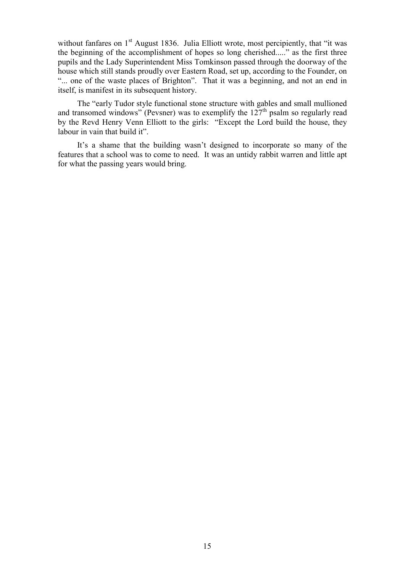without fanfares on 1<sup>st</sup> August 1836. Julia Elliott wrote, most percipiently, that "it was the beginning of the accomplishment of hopes so long cherished....." as the first three pupils and the Lady Superintendent Miss Tomkinson passed through the doorway of the house which still stands proudly over Eastern Road, set up, according to the Founder, on "... one of the waste places of Brighton". That it was a beginning, and not an end in itself, is manifest in its subsequent history.

The "early Tudor style functional stone structure with gables and small mullioned and transomed windows" (Pevsner) was to exemplify the  $127<sup>th</sup>$  psalm so regularly read by the Revd Henry Venn Elliott to the girls: "Except the Lord build the house, they labour in vain that build it".

It's a shame that the building wasn't designed to incorporate so many of the features that a school was to come to need. It was an untidy rabbit warren and little apt for what the passing years would bring.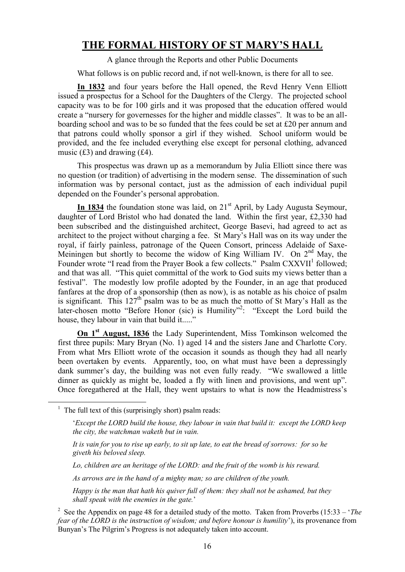# **THE FORMAL HISTORY OF ST MARY'S HALL**

A glance through the Reports and other Public Documents

What follows is on public record and, if not well-known, is there for all to see.

**In 1832** and four years before the Hall opened, the Revd Henry Venn Elliott issued a prospectus for a School for the Daughters of the Clergy. The projected school capacity was to be for 100 girls and it was proposed that the education offered would create a "nursery for governesses for the higher and middle classes". It was to be an allboarding school and was to be so funded that the fees could be set at £20 per annum and that patrons could wholly sponsor a girl if they wished. School uniform would be provided, and the fee included everything else except for personal clothing, advanced music  $(f3)$  and drawing  $(f4)$ .

This prospectus was drawn up as a memorandum by Julia Elliott since there was no question (or tradition) of advertising in the modern sense. The dissemination of such information was by personal contact, just as the admission of each individual pupil depended on the Founder's personal approbation.

In 1834 the foundation stone was laid, on  $21<sup>st</sup>$  April, by Lady Augusta Seymour, daughter of Lord Bristol who had donated the land. Within the first year, £2,330 had been subscribed and the distinguished architect, George Basevi, had agreed to act as architect to the project without charging a fee. St Mary's Hall was on its way under the royal, if fairly painless, patronage of the Queen Consort, princess Adelaide of Saxe-Meiningen but shortly to become the widow of King William IV. On  $2<sup>nd</sup>$  May, the Founder wrote "I read from the Prayer Book a few collects." Psalm CXXVII<sup>1</sup> followed; and that was all. "This quiet committal of the work to God suits my views better than a festival". The modestly low profile adopted by the Founder, in an age that produced fanfares at the drop of a sponsorship (then as now), is as notable as his choice of psalm is significant. This  $127<sup>th</sup>$  psalm was to be as much the motto of St Mary's Hall as the later-chosen motto "Before Honor (sic) is Humility"<sup>2</sup>: "Except the Lord build the house, they labour in vain that build it.....'

**On 1st August, 1836** the Lady Superintendent, Miss Tomkinson welcomed the first three pupils: Mary Bryan (No. 1) aged 14 and the sisters Jane and Charlotte Cory. From what Mrs Elliott wrote of the occasion it sounds as though they had all nearly been overtaken by events. Apparently, too, on what must have been a depressingly dank summer's day, the building was not even fully ready. "We swallowed a little dinner as quickly as might be, loaded a fly with linen and provisions, and went up". Once foregathered at the Hall, they went upstairs to what is now the Headmistress's

 $\overline{a}$ 

*Lo, children are an heritage of the LORD: and the fruit of the womb is his reward.*

*As arrows are in the hand of a mighty man; so are children of the youth.*

*Happy is the man that hath his quiver full of them: they shall not be ashamed, but they shall speak with the enemies in the gate.*'

<sup>&</sup>lt;sup>1</sup> The full text of this (surprisingly short) psalm reads:

<sup>&#</sup>x27;*Except the LORD build the house, they labour in vain that build it: except the LORD keep the city, the watchman waketh but in vain.*

*It is vain for you to rise up early, to sit up late, to eat the bread of sorrows: for so he giveth his beloved sleep.*

<sup>2</sup> See the Appendix on page 48 for a detailed study of the motto. Taken from Proverbs (15:33 – '*The fear of the LORD is the instruction of wisdom; and before honour is humility*'), its provenance from Bunyan's The Pilgrim's Progress is not adequately taken into account.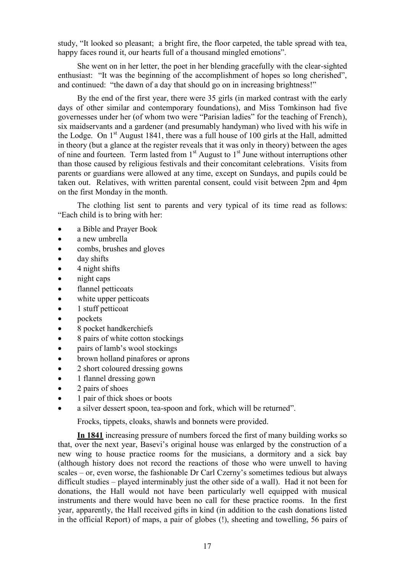study, "It looked so pleasant; a bright fire, the floor carpeted, the table spread with tea, happy faces round it, our hearts full of a thousand mingled emotions".

She went on in her letter, the poet in her blending gracefully with the clear-sighted enthusiast: "It was the beginning of the accomplishment of hopes so long cherished", and continued: "the dawn of a day that should go on in increasing brightness!"

By the end of the first year, there were 35 girls (in marked contrast with the early days of other similar and contemporary foundations), and Miss Tomkinson had five governesses under her (of whom two were "Parisian ladies" for the teaching of French), six maidservants and a gardener (and presumably handyman) who lived with his wife in the Lodge. On  $1<sup>st</sup>$  August 1841, there was a full house of 100 girls at the Hall, admitted in theory (but a glance at the register reveals that it was only in theory) between the ages of nine and fourteen. Term lasted from 1<sup>st</sup> August to 1<sup>st</sup> June without interruptions other than those caused by religious festivals and their concomitant celebrations. Visits from parents or guardians were allowed at any time, except on Sundays, and pupils could be taken out. Relatives, with written parental consent, could visit between 2pm and 4pm on the first Monday in the month.

The clothing list sent to parents and very typical of its time read as follows: "Each child is to bring with her:

- a Bible and Prayer Book
- a new umbrella
- combs, brushes and gloves
- day shifts
- 4 night shifts
- night caps
- flannel petticoats
- white upper petticoats
- 1 stuff petticoat
- $\bullet$  pockets
- 8 pocket handkerchiefs
- 8 pairs of white cotton stockings
- pairs of lamb's wool stockings
- brown holland pinafores or aprons
- 2 short coloured dressing gowns
- 1 flannel dressing gown
- 2 pairs of shoes
- 1 pair of thick shoes or boots
- a silver dessert spoon, tea-spoon and fork, which will be returned".

Frocks, tippets, cloaks, shawls and bonnets were provided.

**In 1841** increasing pressure of numbers forced the first of many building works so that, over the next year, Basevi's original house was enlarged by the construction of a new wing to house practice rooms for the musicians, a dormitory and a sick bay (although history does not record the reactions of those who were unwell to having scales – or, even worse, the fashionable Dr Carl Czerny's sometimes tedious but always difficult studies – played interminably just the other side of a wall). Had it not been for donations, the Hall would not have been particularly well equipped with musical instruments and there would have been no call for these practice rooms. In the first year, apparently, the Hall received gifts in kind (in addition to the cash donations listed in the official Report) of maps, a pair of globes (!), sheeting and towelling, 56 pairs of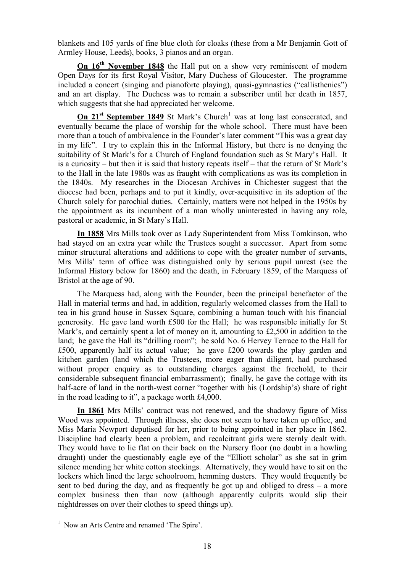blankets and 105 yards of fine blue cloth for cloaks (these from a Mr Benjamin Gott of Armley House, Leeds), books, 3 pianos and an organ.

**On 16th November 1848** the Hall put on a show very reminiscent of modern Open Days for its first Royal Visitor, Mary Duchess of Gloucester. The programme included a concert (singing and pianoforte playing), quasi-gymnastics ("callisthenics") and an art display. The Duchess was to remain a subscriber until her death in 1857, which suggests that she had appreciated her welcome.

**On 21<sup>st</sup> September 1849** St Mark's Church<sup>1</sup> was at long last consecrated, and eventually became the place of worship for the whole school. There must have been more than a touch of ambivalence in the Founder's later comment "This was a great day in my life". I try to explain this in the Informal History, but there is no denying the suitability of St Mark's for a Church of England foundation such as St Mary's Hall. It is a curiosity – but then it is said that history repeats itself – that the return of St Mark's to the Hall in the late 1980s was as fraught with complications as was its completion in the 1840s. My researches in the Diocesan Archives in Chichester suggest that the diocese had been, perhaps and to put it kindly, over-acquisitive in its adoption of the Church solely for parochial duties. Certainly, matters were not helped in the 1950s by the appointment as its incumbent of a man wholly uninterested in having any role, pastoral or academic, in St Mary's Hall.

**In 1858** Mrs Mills took over as Lady Superintendent from Miss Tomkinson, who had stayed on an extra year while the Trustees sought a successor. Apart from some minor structural alterations and additions to cope with the greater number of servants, Mrs Mills' term of office was distinguished only by serious pupil unrest (see the Informal History below for 1860) and the death, in February 1859, of the Marquess of Bristol at the age of 90.

The Marquess had, along with the Founder, been the principal benefactor of the Hall in material terms and had, in addition, regularly welcomed classes from the Hall to tea in his grand house in Sussex Square, combining a human touch with his financial generosity. He gave land worth £500 for the Hall; he was responsible initially for St Mark's, and certainly spent a lot of money on it, amounting to £2,500 in addition to the land; he gave the Hall its "drilling room"; he sold No. 6 Hervey Terrace to the Hall for £500, apparently half its actual value; he gave £200 towards the play garden and kitchen garden (land which the Trustees, more eager than diligent, had purchased without proper enquiry as to outstanding charges against the freehold, to their considerable subsequent financial embarrassment); finally, he gave the cottage with its half-acre of land in the north-west corner "together with his (Lordship's) share of right in the road leading to it", a package worth £4,000.

**In 1861** Mrs Mills' contract was not renewed, and the shadowy figure of Miss Wood was appointed. Through illness, she does not seem to have taken up office, and Miss Maria Newport deputised for her, prior to being appointed in her place in 1862. Discipline had clearly been a problem, and recalcitrant girls were sternly dealt with. They would have to lie flat on their back on the Nursery floor (no doubt in a howling draught) under the questionably eagle eye of the "Elliott scholar" as she sat in grim silence mending her white cotton stockings. Alternatively, they would have to sit on the lockers which lined the large schoolroom, hemming dusters. They would frequently be sent to bed during the day, and as frequently be got up and obliged to dress – a more complex business then than now (although apparently culprits would slip their nightdresses on over their clothes to speed things up).

<sup>&</sup>lt;sup>1</sup> Now an Arts Centre and renamed 'The Spire'.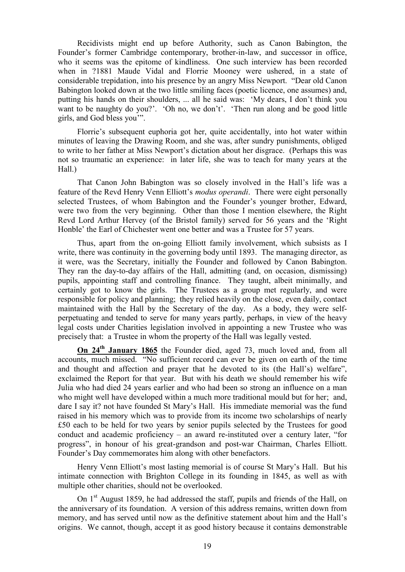Recidivists might end up before Authority, such as Canon Babington, the Founder's former Cambridge contemporary, brother-in-law, and successor in office, who it seems was the epitome of kindliness. One such interview has been recorded when in ?1881 Maude Vidal and Florrie Mooney were ushered, in a state of considerable trepidation, into his presence by an angry Miss Newport. "Dear old Canon Babington looked down at the two little smiling faces (poetic licence, one assumes) and, putting his hands on their shoulders, ... all he said was: 'My dears, I don't think you want to be naughty do you?'. 'Oh no, we don't'. 'Then run along and be good little girls, and God bless you'".

Florrie's subsequent euphoria got her, quite accidentally, into hot water within minutes of leaving the Drawing Room, and she was, after sundry punishments, obliged to write to her father at Miss Newport's dictation about her disgrace. (Perhaps this was not so traumatic an experience: in later life, she was to teach for many years at the Hall.)

That Canon John Babington was so closely involved in the Hall's life was a feature of the Revd Henry Venn Elliott's *modus operandi*. There were eight personally selected Trustees, of whom Babington and the Founder's younger brother, Edward, were two from the very beginning. Other than those I mention elsewhere, the Right Revd Lord Arthur Hervey (of the Bristol family) served for 56 years and the 'Right Honble' the Earl of Chichester went one better and was a Trustee for 57 years.

Thus, apart from the on-going Elliott family involvement, which subsists as I write, there was continuity in the governing body until 1893. The managing director, as it were, was the Secretary, initially the Founder and followed by Canon Babington. They ran the day-to-day affairs of the Hall, admitting (and, on occasion, dismissing) pupils, appointing staff and controlling finance. They taught, albeit minimally, and certainly got to know the girls. The Trustees as a group met regularly, and were responsible for policy and planning; they relied heavily on the close, even daily, contact maintained with the Hall by the Secretary of the day. As a body, they were selfperpetuating and tended to serve for many years partly, perhaps, in view of the heavy legal costs under Charities legislation involved in appointing a new Trustee who was precisely that: a Trustee in whom the property of the Hall was legally vested.

**On 24th January 1865** the Founder died, aged 73, much loved and, from all accounts, much missed. "No sufficient record can ever be given on earth of the time and thought and affection and prayer that he devoted to its (the Hall's) welfare", exclaimed the Report for that year. But with his death we should remember his wife Julia who had died 24 years earlier and who had been so strong an influence on a man who might well have developed within a much more traditional mould but for her; and, dare I say it? not have founded St Mary's Hall. His immediate memorial was the fund raised in his memory which was to provide from its income two scholarships of nearly £50 each to be held for two years by senior pupils selected by the Trustees for good conduct and academic proficiency – an award re-instituted over a century later, "for progress", in honour of his great-grandson and post-war Chairman, Charles Elliott. Founder's Day commemorates him along with other benefactors.

Henry Venn Elliott's most lasting memorial is of course St Mary's Hall. But his intimate connection with Brighton College in its founding in 1845, as well as with multiple other charities, should not be overlooked.

On  $1<sup>st</sup>$  August 1859, he had addressed the staff, pupils and friends of the Hall, on the anniversary of its foundation. A version of this address remains, written down from memory, and has served until now as the definitive statement about him and the Hall's origins. We cannot, though, accept it as good history because it contains demonstrable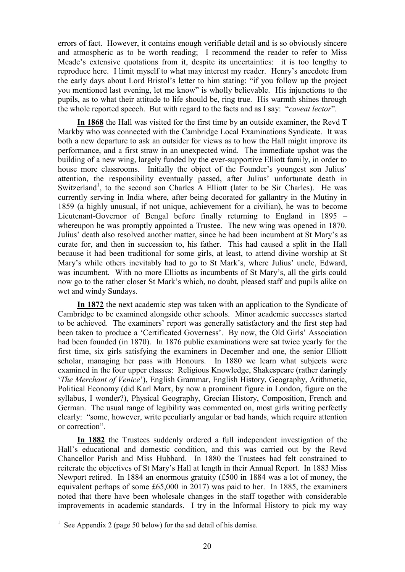errors of fact. However, it contains enough verifiable detail and is so obviously sincere and atmospheric as to be worth reading; I recommend the reader to refer to Miss Meade's extensive quotations from it, despite its uncertainties: it is too lengthy to reproduce here. I limit myself to what may interest my reader. Henry's anecdote from the early days about Lord Bristol's letter to him stating: "if you follow up the project you mentioned last evening, let me know" is wholly believable. His injunctions to the pupils, as to what their attitude to life should be, ring true. His warmth shines through the whole reported speech. But with regard to the facts and as I say: "*caveat lector*".

**In 1868** the Hall was visited for the first time by an outside examiner, the Revd T Markby who was connected with the Cambridge Local Examinations Syndicate. It was both a new departure to ask an outsider for views as to how the Hall might improve its performance, and a first straw in an unexpected wind. The immediate upshot was the building of a new wing, largely funded by the ever-supportive Elliott family, in order to house more classrooms. Initially the object of the Founder's voungest son Julius' attention, the responsibility eventually passed, after Julius' unfortunate death in Switzerland<sup>1</sup>, to the second son Charles A Elliott (later to be Sir Charles). He was currently serving in India where, after being decorated for gallantry in the Mutiny in 1859 (a highly unusual, if not unique, achievement for a civilian), he was to become Lieutenant-Governor of Bengal before finally returning to England in 1895 – whereupon he was promptly appointed a Trustee. The new wing was opened in 1870. Julius' death also resolved another matter, since he had been incumbent at St Mary's as curate for, and then in succession to, his father. This had caused a split in the Hall because it had been traditional for some girls, at least, to attend divine worship at St Mary's while others inevitably had to go to St Mark's, where Julius' uncle, Edward, was incumbent. With no more Elliotts as incumbents of St Mary's, all the girls could now go to the rather closer St Mark's which, no doubt, pleased staff and pupils alike on wet and windy Sundays.

**In 1872** the next academic step was taken with an application to the Syndicate of Cambridge to be examined alongside other schools. Minor academic successes started to be achieved. The examiners' report was generally satisfactory and the first step had been taken to produce a 'Certificated Governess'. By now, the Old Girls' Association had been founded (in 1870). In 1876 public examinations were sat twice yearly for the first time, six girls satisfying the examiners in December and one, the senior Elliott scholar, managing her pass with Honours. In 1880 we learn what subjects were examined in the four upper classes: Religious Knowledge, Shakespeare (rather daringly '*The Merchant of Venice*'), English Grammar, English History, Geography, Arithmetic, Political Economy (did Karl Marx, by now a prominent figure in London, figure on the syllabus, I wonder?), Physical Geography, Grecian History, Composition, French and German. The usual range of legibility was commented on, most girls writing perfectly clearly: "some, however, write peculiarly angular or bad hands, which require attention or correction".

**In 1882** the Trustees suddenly ordered a full independent investigation of the Hall's educational and domestic condition, and this was carried out by the Revd Chancellor Parish and Miss Hubbard. In 1880 the Trustees had felt constrained to reiterate the objectives of St Mary's Hall at length in their Annual Report. In 1883 Miss Newport retired. In 1884 an enormous gratuity (£500 in 1884 was a lot of money, the equivalent perhaps of some £65,000 in 2017) was paid to her. In 1885, the examiners noted that there have been wholesale changes in the staff together with considerable improvements in academic standards. I try in the Informal History to pick my way

 $1$  See Appendix 2 (page 50 below) for the sad detail of his demise.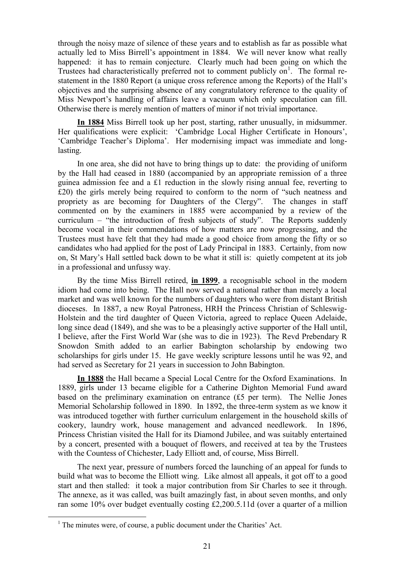through the noisy maze of silence of these years and to establish as far as possible what actually led to Miss Birrell's appointment in 1884. We will never know what really happened: it has to remain conjecture. Clearly much had been going on which the Trustees had characteristically preferred not to comment publicly  $\text{on}^1$ . The formal restatement in the 1880 Report (a unique cross reference among the Reports) of the Hall's objectives and the surprising absence of any congratulatory reference to the quality of Miss Newport's handling of affairs leave a vacuum which only speculation can fill. Otherwise there is merely mention of matters of minor if not trivial importance.

**In 1884** Miss Birrell took up her post, starting, rather unusually, in midsummer. Her qualifications were explicit: 'Cambridge Local Higher Certificate in Honours', 'Cambridge Teacher's Diploma'. Her modernising impact was immediate and longlasting.

In one area, she did not have to bring things up to date: the providing of uniform by the Hall had ceased in 1880 (accompanied by an appropriate remission of a three guinea admission fee and a £1 reduction in the slowly rising annual fee, reverting to £20) the girls merely being required to conform to the norm of "such neatness and propriety as are becoming for Daughters of the Clergy". The changes in staff commented on by the examiners in 1885 were accompanied by a review of the curriculum – "the introduction of fresh subjects of study". The Reports suddenly become vocal in their commendations of how matters are now progressing, and the Trustees must have felt that they had made a good choice from among the fifty or so candidates who had applied for the post of Lady Principal in 1883. Certainly, from now on, St Mary's Hall settled back down to be what it still is: quietly competent at its job in a professional and unfussy way.

By the time Miss Birrell retired, **in 1899**, a recognisable school in the modern idiom had come into being. The Hall now served a national rather than merely a local market and was well known for the numbers of daughters who were from distant British dioceses. In 1887, a new Royal Patroness, HRH the Princess Christian of Schleswig-Holstein and the tird daughter of Queen Victoria, agreed to replace Queen Adelaide, long since dead (1849), and she was to be a pleasingly active supporter of the Hall until, I believe, after the First World War (she was to die in 1923). The Revd Prebendary R Snowdon Smith added to an earlier Babington scholarship by endowing two scholarships for girls under 15. He gave weekly scripture lessons until he was 92, and had served as Secretary for 21 years in succession to John Babington.

**In 1888** the Hall became a Special Local Centre for the Oxford Examinations. In 1889, girls under 13 became eligible for a Catherine Dighton Memorial Fund award based on the preliminary examination on entrance (£5 per term). The Nellie Jones Memorial Scholarship followed in 1890. In 1892, the three-term system as we know it was introduced together with further curriculum enlargement in the household skills of cookery, laundry work, house management and advanced needlework. In 1896, Princess Christian visited the Hall for its Diamond Jubilee, and was suitably entertained by a concert, presented with a bouquet of flowers, and received at tea by the Trustees with the Countess of Chichester, Lady Elliott and, of course, Miss Birrell.

The next year, pressure of numbers forced the launching of an appeal for funds to build what was to become the Elliott wing. Like almost all appeals, it got off to a good start and then stalled: it took a major contribution from Sir Charles to see it through. The annexe, as it was called, was built amazingly fast, in about seven months, and only ran some 10% over budget eventually costing £2,200.5.11d (over a quarter of a million

 $<sup>1</sup>$  The minutes were, of course, a public document under the Charities' Act.</sup>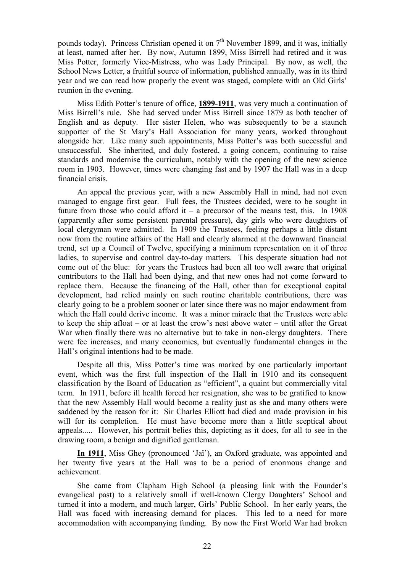pounds today). Princess Christian opened it on  $7<sup>th</sup>$  November 1899, and it was, initially at least, named after her. By now, Autumn 1899, Miss Birrell had retired and it was Miss Potter, formerly Vice-Mistress, who was Lady Principal. By now, as well, the School News Letter, a fruitful source of information, published annually, was in its third year and we can read how properly the event was staged, complete with an Old Girls' reunion in the evening.

Miss Edith Potter's tenure of office, **1899-1911**, was very much a continuation of Miss Birrell's rule. She had served under Miss Birrell since 1879 as both teacher of English and as deputy. Her sister Helen, who was subsequently to be a staunch supporter of the St Mary's Hall Association for many years, worked throughout alongside her. Like many such appointments, Miss Potter's was both successful and unsuccessful. She inherited, and duly fostered, a going concern, continuing to raise standards and modernise the curriculum, notably with the opening of the new science room in 1903. However, times were changing fast and by 1907 the Hall was in a deep financial crisis.

An appeal the previous year, with a new Assembly Hall in mind, had not even managed to engage first gear. Full fees, the Trustees decided, were to be sought in future from those who could afford it – a precursor of the means test, this. In  $1908$ (apparently after some persistent parental pressure), day girls who were daughters of local clergyman were admitted. In 1909 the Trustees, feeling perhaps a little distant now from the routine affairs of the Hall and clearly alarmed at the downward financial trend, set up a Council of Twelve, specifying a minimum representation on it of three ladies, to supervise and control day-to-day matters. This desperate situation had not come out of the blue: for years the Trustees had been all too well aware that original contributors to the Hall had been dying, and that new ones had not come forward to replace them. Because the financing of the Hall, other than for exceptional capital development, had relied mainly on such routine charitable contributions, there was clearly going to be a problem sooner or later since there was no major endowment from which the Hall could derive income. It was a minor miracle that the Trustees were able to keep the ship afloat – or at least the crow's nest above water – until after the Great War when finally there was no alternative but to take in non-clergy daughters. There were fee increases, and many economies, but eventually fundamental changes in the Hall's original intentions had to be made.

Despite all this, Miss Potter's time was marked by one particularly important event, which was the first full inspection of the Hall in 1910 and its consequent classification by the Board of Education as "efficient", a quaint but commercially vital term. In 1911, before ill health forced her resignation, she was to be gratified to know that the new Assembly Hall would become a reality just as she and many others were saddened by the reason for it: Sir Charles Elliott had died and made provision in his will for its completion. He must have become more than a little sceptical about appeals..... However, his portrait belies this, depicting as it does, for all to see in the drawing room, a benign and dignified gentleman.

**In 1911**, Miss Ghey (pronounced 'Jaï'), an Oxford graduate, was appointed and her twenty five years at the Hall was to be a period of enormous change and achievement.

She came from Clapham High School (a pleasing link with the Founder's evangelical past) to a relatively small if well-known Clergy Daughters' School and turned it into a modern, and much larger, Girls' Public School. In her early years, the Hall was faced with increasing demand for places. This led to a need for more accommodation with accompanying funding. By now the First World War had broken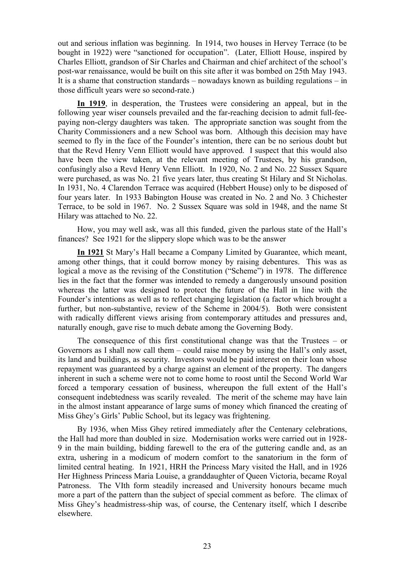out and serious inflation was beginning. In 1914, two houses in Hervey Terrace (to be bought in 1922) were "sanctioned for occupation". (Later, Elliott House, inspired by Charles Elliott, grandson of Sir Charles and Chairman and chief architect of the school's post-war renaissance, would be built on this site after it was bombed on 25th May 1943. It is a shame that construction standards – nowadays known as building regulations – in those difficult years were so second-rate.)

**In 1919**, in desperation, the Trustees were considering an appeal, but in the following year wiser counsels prevailed and the far-reaching decision to admit full-feepaying non-clergy daughters was taken. The appropriate sanction was sought from the Charity Commissioners and a new School was born. Although this decision may have seemed to fly in the face of the Founder's intention, there can be no serious doubt but that the Revd Henry Venn Elliott would have approved. I suspect that this would also have been the view taken, at the relevant meeting of Trustees, by his grandson, confusingly also a Revd Henry Venn Elliott. In 1920, No. 2 and No. 22 Sussex Square were purchased, as was No. 21 five years later, thus creating St Hilary and St Nicholas. In 1931, No. 4 Clarendon Terrace was acquired (Hebbert House) only to be disposed of four years later. In 1933 Babington House was created in No. 2 and No. 3 Chichester Terrace, to be sold in 1967. No. 2 Sussex Square was sold in 1948, and the name St Hilary was attached to No. 22.

How, you may well ask, was all this funded, given the parlous state of the Hall's finances? See 1921 for the slippery slope which was to be the answer

**In 1921** St Mary's Hall became a Company Limited by Guarantee, which meant, among other things, that it could borrow money by raising debentures. This was as logical a move as the revising of the Constitution ("Scheme") in 1978. The difference lies in the fact that the former was intended to remedy a dangerously unsound position whereas the latter was designed to protect the future of the Hall in line with the Founder's intentions as well as to reflect changing legislation (a factor which brought a further, but non-substantive, review of the Scheme in 2004/5). Both were consistent with radically different views arising from contemporary attitudes and pressures and, naturally enough, gave rise to much debate among the Governing Body.

The consequence of this first constitutional change was that the Trustees  $-$  or Governors as I shall now call them – could raise money by using the Hall's only asset, its land and buildings, as security. Investors would be paid interest on their loan whose repayment was guaranteed by a charge against an element of the property. The dangers inherent in such a scheme were not to come home to roost until the Second World War forced a temporary cessation of business, whereupon the full extent of the Hall's consequent indebtedness was scarily revealed. The merit of the scheme may have lain in the almost instant appearance of large sums of money which financed the creating of Miss Ghey's Girls' Public School, but its legacy was frightening.

By 1936, when Miss Ghey retired immediately after the Centenary celebrations, the Hall had more than doubled in size. Modernisation works were carried out in 1928- 9 in the main building, bidding farewell to the era of the guttering candle and, as an extra, ushering in a modicum of modern comfort to the sanatorium in the form of limited central heating. In 1921, HRH the Princess Mary visited the Hall, and in 1926 Her Highness Princess Maria Louise, a granddaughter of Queen Victoria, became Royal Patroness. The VIth form steadily increased and University honours became much more a part of the pattern than the subject of special comment as before. The climax of Miss Ghey's headmistress-ship was, of course, the Centenary itself, which I describe elsewhere.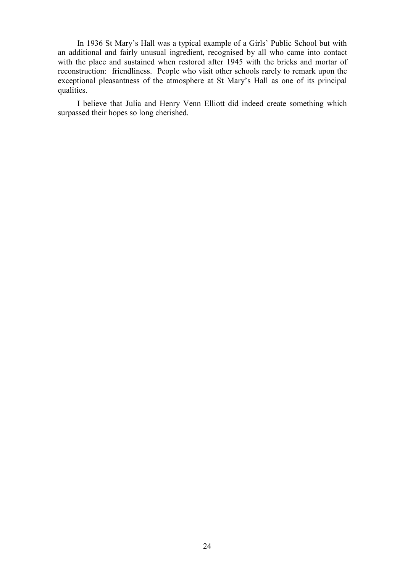In 1936 St Mary's Hall was a typical example of a Girls' Public School but with an additional and fairly unusual ingredient, recognised by all who came into contact with the place and sustained when restored after 1945 with the bricks and mortar of reconstruction: friendliness. People who visit other schools rarely to remark upon the exceptional pleasantness of the atmosphere at St Mary's Hall as one of its principal qualities.

I believe that Julia and Henry Venn Elliott did indeed create something which surpassed their hopes so long cherished.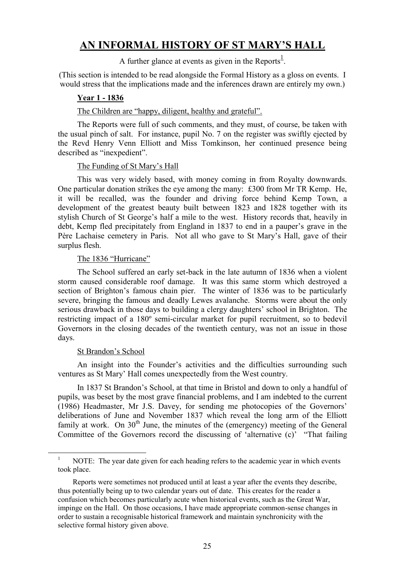# **AN INFORMAL HISTORY OF ST MARY'S HALL**

A further glance at events as given in the Reports<sup>1</sup>.

(This section is intended to be read alongside the Formal History as a gloss on events. I would stress that the implications made and the inferences drawn are entirely my own.)

#### **Year 1 - 1836**

#### The Children are "happy, diligent, healthy and grateful".

The Reports were full of such comments, and they must, of course, be taken with the usual pinch of salt. For instance, pupil No. 7 on the register was swiftly ejected by the Revd Henry Venn Elliott and Miss Tomkinson, her continued presence being described as "inexpedient".

#### The Funding of St Mary's Hall

This was very widely based, with money coming in from Royalty downwards. One particular donation strikes the eye among the many: £300 from Mr TR Kemp. He, it will be recalled, was the founder and driving force behind Kemp Town, a development of the greatest beauty built between 1823 and 1828 together with its stylish Church of St George's half a mile to the west. History records that, heavily in debt, Kemp fled precipitately from England in 1837 to end in a pauper's grave in the Père Lachaise cemetery in Paris. Not all who gave to St Mary's Hall, gave of their surplus flesh.

#### The 1836 "Hurricane"

The School suffered an early set-back in the late autumn of 1836 when a violent storm caused considerable roof damage. It was this same storm which destroyed a section of Brighton's famous chain pier. The winter of 1836 was to be particularly severe, bringing the famous and deadly Lewes avalanche. Storms were about the only serious drawback in those days to building a clergy daughters' school in Brighton. The restricting impact of a 180º semi-circular market for pupil recruitment, so to bedevil Governors in the closing decades of the twentieth century, was not an issue in those days.

#### St Brandon's School

 $\overline{a}$ 

An insight into the Founder's activities and the difficulties surrounding such ventures as St Mary' Hall comes unexpectedly from the West country.

In 1837 St Brandon's School, at that time in Bristol and down to only a handful of pupils, was beset by the most grave financial problems, and I am indebted to the current (1986) Headmaster, Mr J.S. Davey, for sending me photocopies of the Governors' deliberations of June and November 1837 which reveal the long arm of the Elliott family at work. On 30<sup>th</sup> June, the minutes of the (emergency) meeting of the General Committee of the Governors record the discussing of 'alternative (c)' "That failing

<sup>&</sup>lt;sup>1</sup> NOTE: The year date given for each heading refers to the academic year in which events took place.

Reports were sometimes not produced until at least a year after the events they describe, thus potentially being up to two calendar years out of date. This creates for the reader a confusion which becomes particularly acute when historical events, such as the Great War, impinge on the Hall. On those occasions, I have made appropriate common-sense changes in order to sustain a recognisable historical framework and maintain synchronicity with the selective formal history given above.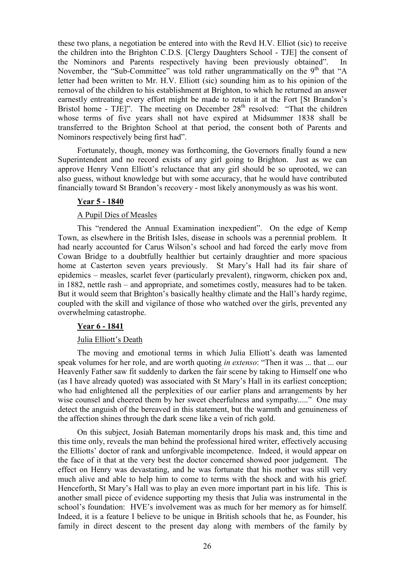these two plans, a negotiation be entered into with the Revd H.V. Elliot (sic) to receive the children into the Brighton C.D.S. [Clergy Daughters School - TJE] the consent of the Nominors and Parents respectively having been previously obtained". In November, the "Sub-Committee" was told rather ungrammatically on the  $9<sup>th</sup>$  that "A letter had been written to Mr. H.V. Elliott (sic) sounding him as to his opinion of the removal of the children to his establishment at Brighton, to which he returned an answer earnestly entreating every effort might be made to retain it at the Fort [St Brandon's Bristol home - TJE]". The meeting on December  $28<sup>th</sup>$  resolved: "That the children whose terms of five years shall not have expired at Midsummer 1838 shall be transferred to the Brighton School at that period, the consent both of Parents and Nominors respectively being first had".

Fortunately, though, money was forthcoming, the Governors finally found a new Superintendent and no record exists of any girl going to Brighton. Just as we can approve Henry Venn Elliott's reluctance that any girl should be so uprooted, we can also guess, without knowledge but with some accuracy, that he would have contributed financially toward St Brandon's recovery - most likely anonymously as was his wont.

#### **Year 5 - 1840**

#### A Pupil Dies of Measles

This "rendered the Annual Examination inexpedient". On the edge of Kemp Town, as elsewhere in the British Isles, disease in schools was a perennial problem. It had nearly accounted for Carus Wilson's school and had forced the early move from Cowan Bridge to a doubtfully healthier but certainly draughtier and more spacious home at Casterton seven years previously. St Mary's Hall had its fair share of epidemics – measles, scarlet fever (particularly prevalent), ringworm, chicken pox and, in 1882, nettle rash – and appropriate, and sometimes costly, measures had to be taken. But it would seem that Brighton's basically healthy climate and the Hall's hardy regime, coupled with the skill and vigilance of those who watched over the girls, prevented any overwhelming catastrophe.

#### **Year 6 - 1841**

#### Julia Elliott's Death

The moving and emotional terms in which Julia Elliott's death was lamented speak volumes for her role, and are worth quoting *in extenso*: "Then it was ... that ... our Heavenly Father saw fit suddenly to darken the fair scene by taking to Himself one who (as I have already quoted) was associated with St Mary's Hall in its earliest conception; who had enlightened all the perplexities of our earlier plans and arrangements by her wise counsel and cheered them by her sweet cheerfulness and sympathy....." One may detect the anguish of the bereaved in this statement, but the warmth and genuineness of the affection shines through the dark scene like a vein of rich gold.

On this subject, Josiah Bateman momentarily drops his mask and, this time and this time only, reveals the man behind the professional hired writer, effectively accusing the Elliotts' doctor of rank and unforgivable incompetence. Indeed, it would appear on the face of it that at the very best the doctor concerned showed poor judgement. The effect on Henry was devastating, and he was fortunate that his mother was still very much alive and able to help him to come to terms with the shock and with his grief. Henceforth, St Mary's Hall was to play an even more important part in his life. This is another small piece of evidence supporting my thesis that Julia was instrumental in the school's foundation: HVE's involvement was as much for her memory as for himself. Indeed, it is a feature I believe to be unique in British schools that he, as Founder, his family in direct descent to the present day along with members of the family by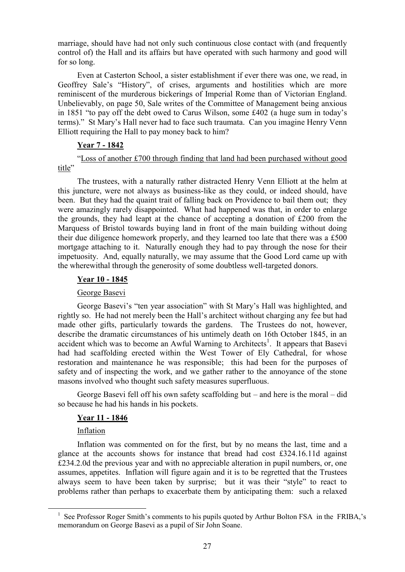marriage, should have had not only such continuous close contact with (and frequently control of) the Hall and its affairs but have operated with such harmony and good will for so long.

Even at Casterton School, a sister establishment if ever there was one, we read, in Geoffrey Sale's "History", of crises, arguments and hostilities which are more reminiscent of the murderous bickerings of Imperial Rome than of Victorian England. Unbelievably, on page 50, Sale writes of the Committee of Management being anxious in 1851 "to pay off the debt owed to Carus Wilson, some £402 (a huge sum in today's terms)." St Mary's Hall never had to face such traumata. Can you imagine Henry Venn Elliott requiring the Hall to pay money back to him?

#### **Year 7 - 1842**

"Loss of another £700 through finding that land had been purchased without good title"

The trustees, with a naturally rather distracted Henry Venn Elliott at the helm at this juncture, were not always as business-like as they could, or indeed should, have been. But they had the quaint trait of falling back on Providence to bail them out; they were amazingly rarely disappointed. What had happened was that, in order to enlarge the grounds, they had leapt at the chance of accepting a donation of £200 from the Marquess of Bristol towards buying land in front of the main building without doing their due diligence homework properly, and they learned too late that there was a £500 mortgage attaching to it. Naturally enough they had to pay through the nose for their impetuosity. And, equally naturally, we may assume that the Good Lord came up with the wherewithal through the generosity of some doubtless well-targeted donors.

#### **Year 10 - 1845**

#### George Basevi

George Basevi's "ten year association" with St Mary's Hall was highlighted, and rightly so. He had not merely been the Hall's architect without charging any fee but had made other gifts, particularly towards the gardens. The Trustees do not, however, describe the dramatic circumstances of his untimely death on 16th October 1845, in an accident which was to become an Awful Warning to Architects<sup>1</sup>. It appears that Basevi had had scaffolding erected within the West Tower of Ely Cathedral, for whose restoration and maintenance he was responsible; this had been for the purposes of safety and of inspecting the work, and we gather rather to the annoyance of the stone masons involved who thought such safety measures superfluous.

George Basevi fell off his own safety scaffolding but – and here is the moral – did so because he had his hands in his pockets.

#### **Year 11 - 1846**

#### Inflation

 $\overline{a}$ 

Inflation was commented on for the first, but by no means the last, time and a glance at the accounts shows for instance that bread had cost £324.16.11d against £234.2.0d the previous year and with no appreciable alteration in pupil numbers, or, one assumes, appetites. Inflation will figure again and it is to be regretted that the Trustees always seem to have been taken by surprise; but it was their "style" to react to problems rather than perhaps to exacerbate them by anticipating them: such a relaxed

<sup>&</sup>lt;sup>1</sup> See Professor Roger Smith's comments to his pupils quoted by Arthur Bolton FSA in the FRIBA,'s memorandum on George Basevi as a pupil of Sir John Soane.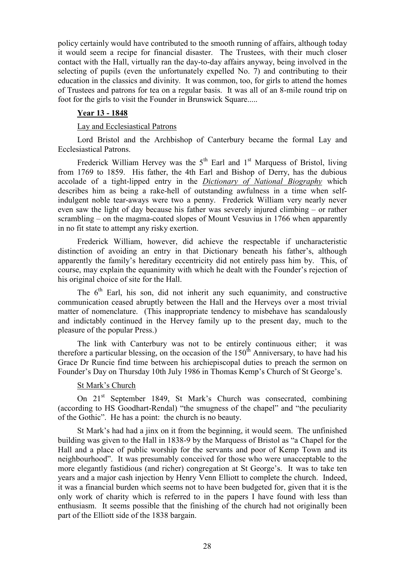policy certainly would have contributed to the smooth running of affairs, although today it would seem a recipe for financial disaster. The Trustees, with their much closer contact with the Hall, virtually ran the day-to-day affairs anyway, being involved in the selecting of pupils (even the unfortunately expelled No. 7) and contributing to their education in the classics and divinity. It was common, too, for girls to attend the homes of Trustees and patrons for tea on a regular basis. It was all of an 8-mile round trip on foot for the girls to visit the Founder in Brunswick Square.....

#### **Year 13 - 1848**

#### Lay and Ecclesiastical Patrons

Lord Bristol and the Archbishop of Canterbury became the formal Lay and Ecclesiastical Patrons.

Frederick William Hervey was the  $5<sup>th</sup>$  Earl and  $1<sup>st</sup>$  Marquess of Bristol, living from 1769 to 1859. His father, the 4th Earl and Bishop of Derry, has the dubious accolade of a tight-lipped entry in the *Dictionary of National Biography* which describes him as being a rake-hell of outstanding awfulness in a time when selfindulgent noble tear-aways were two a penny. Frederick William very nearly never even saw the light of day because his father was severely injured climbing – or rather scrambling – on the magma-coated slopes of Mount Vesuvius in 1766 when apparently in no fit state to attempt any risky exertion.

Frederick William, however, did achieve the respectable if uncharacteristic distinction of avoiding an entry in that Dictionary beneath his father's, although apparently the family's hereditary eccentricity did not entirely pass him by. This, of course, may explain the equanimity with which he dealt with the Founder's rejection of his original choice of site for the Hall.

The  $6<sup>th</sup>$  Earl, his son, did not inherit any such equanimity, and constructive communication ceased abruptly between the Hall and the Herveys over a most trivial matter of nomenclature. (This inappropriate tendency to misbehave has scandalously and indictably continued in the Hervey family up to the present day, much to the pleasure of the popular Press.)

The link with Canterbury was not to be entirely continuous either; it was therefore a particular blessing, on the occasion of the  $150<sup>th</sup>$  Anniversary, to have had his Grace Dr Runcie find time between his archiepiscopal duties to preach the sermon on Founder's Day on Thursday 10th July 1986 in Thomas Kemp's Church of St George's.

#### St Mark's Church

On 21<sup>st</sup> September 1849, St Mark's Church was consecrated, combining (according to HS Goodhart-Rendal) "the smugness of the chapel" and "the peculiarity of the Gothic". He has a point: the church is no beauty.

St Mark's had had a jinx on it from the beginning, it would seem. The unfinished building was given to the Hall in 1838-9 by the Marquess of Bristol as "a Chapel for the Hall and a place of public worship for the servants and poor of Kemp Town and its neighbourhood". It was presumably conceived for those who were unacceptable to the more elegantly fastidious (and richer) congregation at St George's. It was to take ten years and a major cash injection by Henry Venn Elliott to complete the church. Indeed, it was a financial burden which seems not to have been budgeted for, given that it is the only work of charity which is referred to in the papers I have found with less than enthusiasm. It seems possible that the finishing of the church had not originally been part of the Elliott side of the 1838 bargain.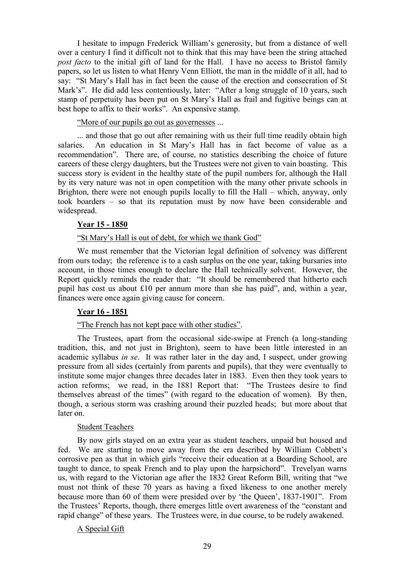I hesitate to impugn Frederick William's generosity, but from a distance of well over a century I find it difficult not to think that this may have been the string attached *post facto* to the initial gift of land for the Hall. I have no access to Bristol family papers, so let us listen to what Henry Venn Elliott, the man in the middle of it all, had to say: "St Mary's Hall has in fact been the cause of the erection and consecration of St Mark's". He did add less contentiously, later: "After a long struggle of 10 years, such stamp of perpetuity has been put on St Mary's Hall as frail and fugitive beings can at best hope to affix to their works". An expensive stamp.

"More of our pupils go out as governesses ...

... and those that go out after remaining with us their full time readily obtain high salaries. An education in St Mary's Hall has in fact become of value as a recommendation". There are, of course, no statistics describing the choice of future careers of these clergy daughters, but the Trustees were not given to vain boasting. This success story is evident in the healthy state of the pupil numbers for, although the Hall by its very nature was not in open competition with the many other private schools in Brighton, there were not enough pupils locally to fill the Hall – which, anyway, only took boarders – so that its reputation must by now have been considerable and widespread.

#### **Year 15 - 1850**

#### "St Mary's Hall is out of debt, for which we thank God"

We must remember that the Victorian legal definition of solvency was different from ours today; the reference is to a cash surplus on the one year, taking bursaries into account, in those times enough to declare the Hall technically solvent. However, the Report quickly reminds the reader that: "It should be remembered that hitherto each pupil has cost us about £10 per annum more than she has paid", and, within a year, finances were once again giving cause for concern.

#### **Year 16 - 1851**

#### "The French has not kept pace with other studies".

The Trustees, apart from the occasional side-swipe at French (a long-standing tradition, this, and not just in Brighton), seem to have been little interested in an academic syllabus *in se*. It was rather later in the day and, I suspect, under growing pressure from all sides (certainly from parents and pupils), that they were eventually to institute some major changes three decades later in 1883. Even then they took years to action reforms; we read, in the 1881 Report that: "The Trustees desire to find themselves abreast of the times" (with regard to the education of women). By then, though, a serious storm was crashing around their puzzled heads; but more about that later on.

#### Student Teachers

By now girls stayed on an extra year as student teachers, unpaid but housed and fed. We are starting to move away from the era described by William Cobbett's corrosive pen as that in which girls "receive their education at a Boarding School, are taught to dance, to speak French and to play upon the harpsichord". Trevelyan warns us, with regard to the Victorian age after the 1832 Great Reform Bill, writing that "we must not think of these 70 years as having a fixed likeness to one another merely because more than 60 of them were presided over by 'the Queen', 1837-1901". From the Trustees' Reports, though, there emerges little overt awareness of the "constant and rapid change" of these years. The Trustees were, in due course, to be rudely awakened.

#### A Special Gift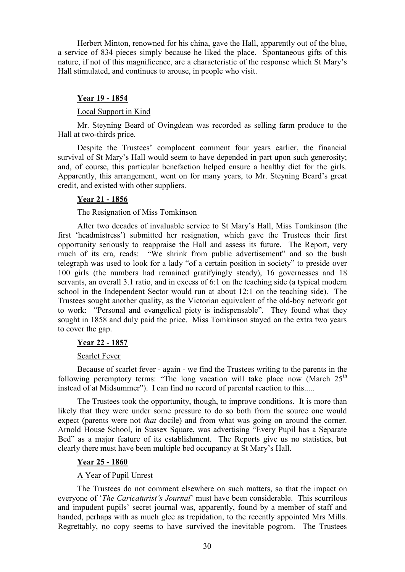Herbert Minton, renowned for his china, gave the Hall, apparently out of the blue, a service of 834 pieces simply because he liked the place. Spontaneous gifts of this nature, if not of this magnificence, are a characteristic of the response which St Mary's Hall stimulated, and continues to arouse, in people who visit.

#### **Year 19 - 1854**

#### Local Support in Kind

Mr. Steyning Beard of Ovingdean was recorded as selling farm produce to the Hall at two-thirds price.

Despite the Trustees' complacent comment four years earlier, the financial survival of St Mary's Hall would seem to have depended in part upon such generosity; and, of course, this particular benefaction helped ensure a healthy diet for the girls. Apparently, this arrangement, went on for many years, to Mr. Steyning Beard's great credit, and existed with other suppliers.

#### **Year 21 - 1856**

#### The Resignation of Miss Tomkinson

After two decades of invaluable service to St Mary's Hall, Miss Tomkinson (the first 'headmistress') submitted her resignation, which gave the Trustees their first opportunity seriously to reappraise the Hall and assess its future. The Report, very much of its era, reads: "We shrink from public advertisement" and so the bush telegraph was used to look for a lady "of a certain position in society" to preside over 100 girls (the numbers had remained gratifyingly steady), 16 governesses and 18 servants, an overall 3.1 ratio, and in excess of 6:1 on the teaching side (a typical modern school in the Independent Sector would run at about 12:1 on the teaching side). The Trustees sought another quality, as the Victorian equivalent of the old-boy network got to work: "Personal and evangelical piety is indispensable". They found what they sought in 1858 and duly paid the price. Miss Tomkinson stayed on the extra two years to cover the gap.

#### **Year 22 - 1857**

#### Scarlet Fever

Because of scarlet fever - again - we find the Trustees writing to the parents in the following peremptory terms: "The long vacation will take place now (March  $25<sup>th</sup>$ instead of at Midsummer"). I can find no record of parental reaction to this.....

The Trustees took the opportunity, though, to improve conditions. It is more than likely that they were under some pressure to do so both from the source one would expect (parents were not *that* docile) and from what was going on around the corner. Arnold House School, in Sussex Square, was advertising "Every Pupil has a Separate Bed" as a major feature of its establishment. The Reports give us no statistics, but clearly there must have been multiple bed occupancy at St Mary's Hall.

#### **Year 25 - 1860**

#### A Year of Pupil Unrest

The Trustees do not comment elsewhere on such matters, so that the impact on everyone of '*The Caricaturist's Journal*' must have been considerable. This scurrilous and impudent pupils' secret journal was, apparently, found by a member of staff and handed, perhaps with as much glee as trepidation, to the recently appointed Mrs Mills. Regrettably, no copy seems to have survived the inevitable pogrom. The Trustees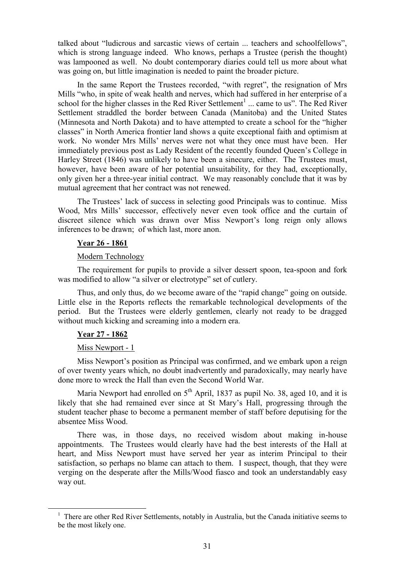talked about "ludicrous and sarcastic views of certain ... teachers and schoolfellows", which is strong language indeed. Who knows, perhaps a Trustee (perish the thought) was lampooned as well. No doubt contemporary diaries could tell us more about what was going on, but little imagination is needed to paint the broader picture.

In the same Report the Trustees recorded, "with regret", the resignation of Mrs Mills "who, in spite of weak health and nerves, which had suffered in her enterprise of a school for the higher classes in the Red River Settlement<sup>1</sup> ... came to us". The Red River Settlement straddled the border between Canada (Manitoba) and the United States (Minnesota and North Dakota) and to have attempted to create a school for the "higher classes" in North America frontier land shows a quite exceptional faith and optimism at work. No wonder Mrs Mills' nerves were not what they once must have been. Her immediately previous post as Lady Resident of the recently founded Queen's College in Harley Street (1846) was unlikely to have been a sinecure, either. The Trustees must, however, have been aware of her potential unsuitability, for they had, exceptionally, only given her a three-year initial contract. We may reasonably conclude that it was by mutual agreement that her contract was not renewed.

The Trustees' lack of success in selecting good Principals was to continue. Miss Wood, Mrs Mills' successor, effectively never even took office and the curtain of discreet silence which was drawn over Miss Newport's long reign only allows inferences to be drawn; of which last, more anon.

#### **Year 26 - 1861**

#### Modern Technology

The requirement for pupils to provide a silver dessert spoon, tea-spoon and fork was modified to allow "a silver or electrotype" set of cutlery.

Thus, and only thus, do we become aware of the "rapid change" going on outside. Little else in the Reports reflects the remarkable technological developments of the period. But the Trustees were elderly gentlemen, clearly not ready to be dragged without much kicking and screaming into a modern era.

#### **Year 27 - 1862**

 $\overline{a}$ 

#### Miss Newport - 1

Miss Newport's position as Principal was confirmed, and we embark upon a reign of over twenty years which, no doubt inadvertently and paradoxically, may nearly have done more to wreck the Hall than even the Second World War.

Maria Newport had enrolled on  $5<sup>th</sup>$  April, 1837 as pupil No. 38, aged 10, and it is likely that she had remained ever since at St Mary's Hall, progressing through the student teacher phase to become a permanent member of staff before deputising for the absentee Miss Wood.

There was, in those days, no received wisdom about making in-house appointments. The Trustees would clearly have had the best interests of the Hall at heart, and Miss Newport must have served her year as interim Principal to their satisfaction, so perhaps no blame can attach to them. I suspect, though, that they were verging on the desperate after the Mills/Wood fiasco and took an understandably easy way out.

<sup>&</sup>lt;sup>1</sup> There are other Red River Settlements, notably in Australia, but the Canada initiative seems to be the most likely one.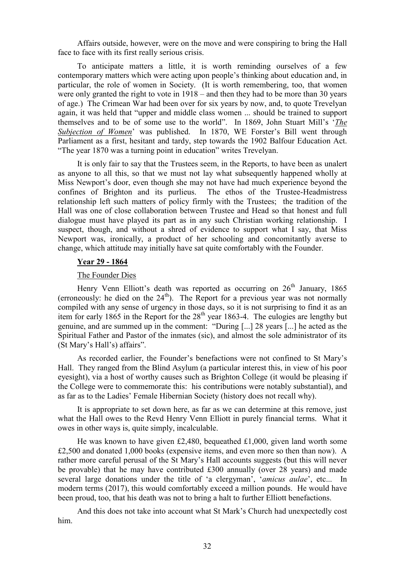Affairs outside, however, were on the move and were conspiring to bring the Hall face to face with its first really serious crisis.

To anticipate matters a little, it is worth reminding ourselves of a few contemporary matters which were acting upon people's thinking about education and, in particular, the role of women in Society. (It is worth remembering, too, that women were only granted the right to vote in 1918 – and then they had to be more than 30 years of age.) The Crimean War had been over for six years by now, and, to quote Trevelyan again, it was held that "upper and middle class women ... should be trained to support themselves and to be of some use to the world". In 1869, John Stuart Mill's '*The Subjection of Women*' was published. In 1870, WE Forster's Bill went through Parliament as a first, hesitant and tardy, step towards the 1902 Balfour Education Act. "The year 1870 was a turning point in education" writes Trevelyan.

It is only fair to say that the Trustees seem, in the Reports, to have been as unalert as anyone to all this, so that we must not lay what subsequently happened wholly at Miss Newport's door, even though she may not have had much experience beyond the confines of Brighton and its purlieus. The ethos of the Trustee-Headmistress relationship left such matters of policy firmly with the Trustees; the tradition of the Hall was one of close collaboration between Trustee and Head so that honest and full dialogue must have played its part as in any such Christian working relationship. I suspect, though, and without a shred of evidence to support what I say, that Miss Newport was, ironically, a product of her schooling and concomitantly averse to change, which attitude may initially have sat quite comfortably with the Founder.

#### **Year 29 - 1864**

#### The Founder Dies

Henry Venn Elliott's death was reported as occurring on  $26<sup>th</sup>$  January, 1865 (erroneously: he died on the  $24<sup>th</sup>$ ). The Report for a previous year was not normally compiled with any sense of urgency in those days, so it is not surprising to find it as an item for early 1865 in the Report for the  $28<sup>th</sup>$  year 1863-4. The eulogies are lengthy but genuine, and are summed up in the comment: "During [...] 28 years [...] he acted as the Spiritual Father and Pastor of the inmates (sic), and almost the sole administrator of its (St Mary's Hall's) affairs".

As recorded earlier, the Founder's benefactions were not confined to St Mary's Hall. They ranged from the Blind Asylum (a particular interest this, in view of his poor eyesight), via a host of worthy causes such as Brighton College (it would be pleasing if the College were to commemorate this: his contributions were notably substantial), and as far as to the Ladies' Female Hibernian Society (history does not recall why).

It is appropriate to set down here, as far as we can determine at this remove, just what the Hall owes to the Revd Henry Venn Elliott in purely financial terms. What it owes in other ways is, quite simply, incalculable.

He was known to have given £2,480, bequeathed £1,000, given land worth some £2,500 and donated 1,000 books (expensive items, and even more so then than now). A rather more careful perusal of the St Mary's Hall accounts suggests (but this will never be provable) that he may have contributed £300 annually (over 28 years) and made several large donations under the title of 'a clergyman', '*amicus aulae*', etc... In modern terms (2017), this would comfortably exceed a million pounds. He would have been proud, too, that his death was not to bring a halt to further Elliott benefactions.

And this does not take into account what St Mark's Church had unexpectedly cost him.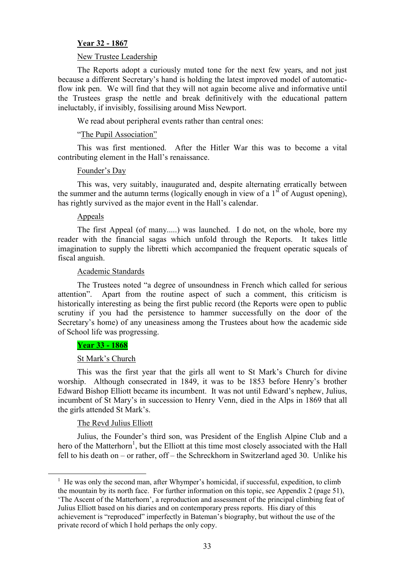#### **Year 32 - 1867**

#### New Trustee Leadership

The Reports adopt a curiously muted tone for the next few years, and not just because a different Secretary's hand is holding the latest improved model of automaticflow ink pen. We will find that they will not again become alive and informative until the Trustees grasp the nettle and break definitively with the educational pattern ineluctably, if invisibly, fossilising around Miss Newport.

We read about peripheral events rather than central ones:

#### "The Pupil Association"

This was first mentioned. After the Hitler War this was to become a vital contributing element in the Hall's renaissance.

#### Founder's Day

This was, very suitably, inaugurated and, despite alternating erratically between the summer and the autumn terms (logically enough in view of a  $1<sup>st</sup>$  of August opening), has rightly survived as the major event in the Hall's calendar.

#### Appeals

The first Appeal (of many.....) was launched. I do not, on the whole, bore my reader with the financial sagas which unfold through the Reports. It takes little imagination to supply the libretti which accompanied the frequent operatic squeals of fiscal anguish.

#### Academic Standards

The Trustees noted "a degree of unsoundness in French which called for serious attention". Apart from the routine aspect of such a comment, this criticism is historically interesting as being the first public record (the Reports were open to public scrutiny if you had the persistence to hammer successfully on the door of the Secretary's home) of any uneasiness among the Trustees about how the academic side of School life was progressing.

#### **Year 33 - 1868**

#### St Mark's Church

This was the first year that the girls all went to St Mark's Church for divine worship. Although consecrated in 1849, it was to be 1853 before Henry's brother Edward Bishop Elliott became its incumbent. It was not until Edward's nephew, Julius, incumbent of St Mary's in succession to Henry Venn, died in the Alps in 1869 that all the girls attended St Mark's.

#### The Revd Julius Elliott

 $\overline{a}$ 

Julius, the Founder's third son, was President of the English Alpine Club and a hero of the Matterhorn<sup>1</sup>, but the Elliott at this time most closely associated with the Hall fell to his death on – or rather, off – the Schreckhorn in Switzerland aged 30. Unlike his

<sup>&</sup>lt;sup>1</sup> He was only the second man, after Whymper's homicidal, if successful, expedition, to climb the mountain by its north face. For further information on this topic, see Appendix 2 (page 51), 'The Ascent of the Matterhorn', a reproduction and assessment of the principal climbing feat of Julius Elliott based on his diaries and on contemporary press reports. His diary of this achievement is "reproduced" imperfectly in Bateman's biography, but without the use of the private record of which I hold perhaps the only copy.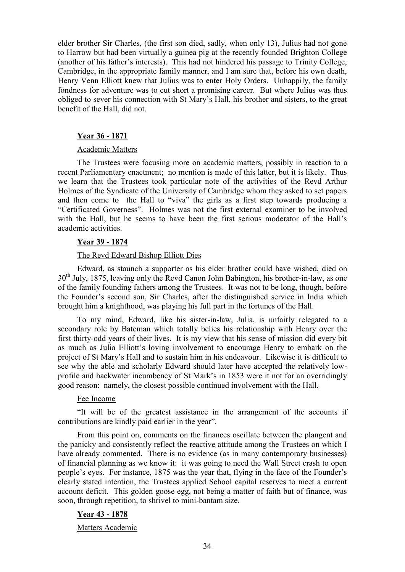elder brother Sir Charles, (the first son died, sadly, when only 13), Julius had not gone to Harrow but had been virtually a guinea pig at the recently founded Brighton College (another of his father's interests). This had not hindered his passage to Trinity College, Cambridge, in the appropriate family manner, and I am sure that, before his own death, Henry Venn Elliott knew that Julius was to enter Holy Orders. Unhappily, the family fondness for adventure was to cut short a promising career. But where Julius was thus obliged to sever his connection with St Mary's Hall, his brother and sisters, to the great benefit of the Hall, did not.

#### **Year 36 - 1871**

#### Academic Matters

The Trustees were focusing more on academic matters, possibly in reaction to a recent Parliamentary enactment; no mention is made of this latter, but it is likely. Thus we learn that the Trustees took particular note of the activities of the Revd Arthur Holmes of the Syndicate of the University of Cambridge whom they asked to set papers and then come to the Hall to "viva" the girls as a first step towards producing a "Certificated Governess". Holmes was not the first external examiner to be involved with the Hall, but he seems to have been the first serious moderator of the Hall's academic activities.

#### **Year 39 - 1874**

#### The Revd Edward Bishop Elliott Dies

Edward, as staunch a supporter as his elder brother could have wished, died on  $30<sup>th</sup>$  July, 1875, leaving only the Revd Canon John Babington, his brother-in-law, as one of the family founding fathers among the Trustees. It was not to be long, though, before the Founder's second son, Sir Charles, after the distinguished service in India which brought him a knighthood, was playing his full part in the fortunes of the Hall.

To my mind, Edward, like his sister-in-law, Julia, is unfairly relegated to a secondary role by Bateman which totally belies his relationship with Henry over the first thirty-odd years of their lives. It is my view that his sense of mission did every bit as much as Julia Elliott's loving involvement to encourage Henry to embark on the project of St Mary's Hall and to sustain him in his endeavour. Likewise it is difficult to see why the able and scholarly Edward should later have accepted the relatively lowprofile and backwater incumbency of St Mark's in 1853 were it not for an overridingly good reason: namely, the closest possible continued involvement with the Hall.

#### Fee Income

"It will be of the greatest assistance in the arrangement of the accounts if contributions are kindly paid earlier in the year".

From this point on, comments on the finances oscillate between the plangent and the panicky and consistently reflect the reactive attitude among the Trustees on which I have already commented. There is no evidence (as in many contemporary businesses) of financial planning as we know it: it was going to need the Wall Street crash to open people's eyes. For instance, 1875 was the year that, flying in the face of the Founder's clearly stated intention, the Trustees applied School capital reserves to meet a current account deficit. This golden goose egg, not being a matter of faith but of finance, was soon, through repetition, to shrivel to mini-bantam size.

#### **Year 43 - 1878**

#### Matters Academic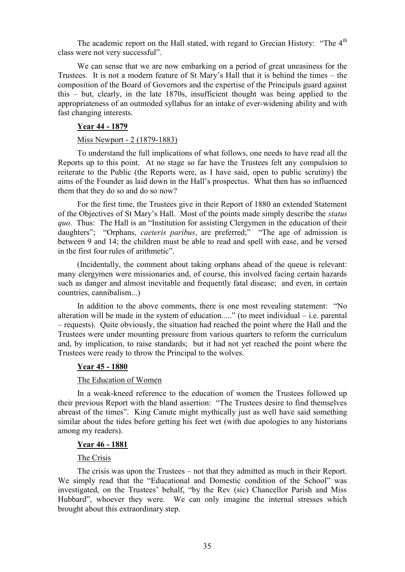The academic report on the Hall stated, with regard to Grecian History: "The 4<sup>th</sup> class were not very successful".

We can sense that we are now embarking on a period of great uneasiness for the Trustees. It is not a modern feature of St Mary's Hall that it is behind the times – the composition of the Board of Governors and the expertise of the Principals guard against this – but, clearly, in the late 1870s, insufficient thought was being applied to the appropriateness of an outmoded syllabus for an intake of ever-widening ability and with fast changing interests.

#### **Year 44 - 1879**

#### Miss Newport - 2 (1879-1883)

To understand the full implications of what follows, one needs to have read all the Reports up to this point. At no stage so far have the Trustees felt any compulsion to reiterate to the Public (the Reports were, as I have said, open to public scrutiny) the aims of the Founder as laid down in the Hall's prospectus. What then has so influenced them that they do so and do so now?

For the first time, the Trustees give in their Report of 1880 an extended Statement of the Objectives of St Mary's Hall. Most of the points made simply describe the *status quo*. Thus: The Hall is an "Institution for assisting Clergymen in the education of their daughters"; "Orphans, *caeteris paribus*, are preferred;" "The age of admission is between 9 and 14; the children must be able to read and spell with ease, and be versed in the first four rules of arithmetic".

(Incidentally, the comment about taking orphans ahead of the queue is relevant: many clergymen were missionaries and, of course, this involved facing certain hazards such as danger and almost inevitable and frequently fatal disease; and even, in certain countries, cannibalism...)

In addition to the above comments, there is one most revealing statement: "No alteration will be made in the system of education....." (to meet individual – i.e. parental – requests). Quite obviously, the situation had reached the point where the Hall and the Trustees were under mounting pressure from various quarters to reform the curriculum and, by implication, to raise standards; but it had not yet reached the point where the Trustees were ready to throw the Principal to the wolves.

#### **Year 45 - 1880**

#### The Education of Women

In a weak-kneed reference to the education of women the Trustees followed up their previous Report with the bland assertion: "The Trustees desire to find themselves abreast of the times". King Canute might mythically just as well have said something similar about the tides before getting his feet wet (with due apologies to any historians among my readers).

#### **Year 46 - 1881**

#### The Crisis

The crisis was upon the Trustees – not that they admitted as much in their Report. We simply read that the "Educational and Domestic condition of the School" was investigated, on the Trustees' behalf, "by the Rev (sic) Chancellor Parish and Miss Hubbard", whoever they were. We can only imagine the internal stresses which brought about this extraordinary step.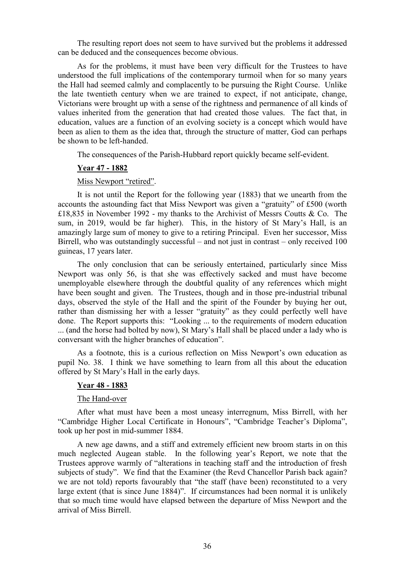The resulting report does not seem to have survived but the problems it addressed can be deduced and the consequences become obvious.

As for the problems, it must have been very difficult for the Trustees to have understood the full implications of the contemporary turmoil when for so many years the Hall had seemed calmly and complacently to be pursuing the Right Course. Unlike the late twentieth century when we are trained to expect, if not anticipate, change, Victorians were brought up with a sense of the rightness and permanence of all kinds of values inherited from the generation that had created those values. The fact that, in education, values are a function of an evolving society is a concept which would have been as alien to them as the idea that, through the structure of matter, God can perhaps be shown to be left-handed.

The consequences of the Parish-Hubbard report quickly became self-evident.

#### **Year 47 - 1882**

#### Miss Newport "retired".

It is not until the Report for the following year (1883) that we unearth from the accounts the astounding fact that Miss Newport was given a "gratuity" of £500 (worth £18,835 in November 1992 - my thanks to the Archivist of Messrs Coutts & Co. The sum, in 2019, would be far higher). This, in the history of St Mary's Hall, is an amazingly large sum of money to give to a retiring Principal. Even her successor, Miss Birrell, who was outstandingly successful – and not just in contrast – only received 100 guineas, 17 years later.

The only conclusion that can be seriously entertained, particularly since Miss Newport was only 56, is that she was effectively sacked and must have become unemployable elsewhere through the doubtful quality of any references which might have been sought and given. The Trustees, though and in those pre-industrial tribunal days, observed the style of the Hall and the spirit of the Founder by buying her out, rather than dismissing her with a lesser "gratuity" as they could perfectly well have done. The Report supports this: "Looking ... to the requirements of modern education ... (and the horse had bolted by now), St Mary's Hall shall be placed under a lady who is conversant with the higher branches of education".

As a footnote, this is a curious reflection on Miss Newport's own education as pupil No. 38. I think we have something to learn from all this about the education offered by St Mary's Hall in the early days.

#### **Year 48 - 1883**

#### The Hand-over

After what must have been a most uneasy interregnum, Miss Birrell, with her "Cambridge Higher Local Certificate in Honours", "Cambridge Teacher's Diploma", took up her post in mid-summer 1884.

A new age dawns, and a stiff and extremely efficient new broom starts in on this much neglected Augean stable. In the following year's Report, we note that the Trustees approve warmly of "alterations in teaching staff and the introduction of fresh subjects of study". We find that the Examiner (the Revd Chancellor Parish back again? we are not told) reports favourably that "the staff (have been) reconstituted to a very large extent (that is since June 1884)". If circumstances had been normal it is unlikely that so much time would have elapsed between the departure of Miss Newport and the arrival of Miss Birrell.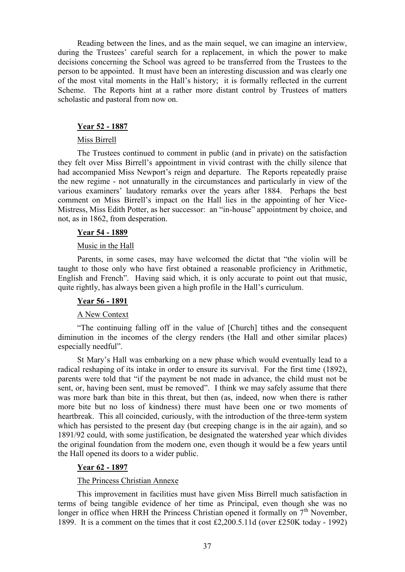Reading between the lines, and as the main sequel, we can imagine an interview, during the Trustees' careful search for a replacement, in which the power to make decisions concerning the School was agreed to be transferred from the Trustees to the person to be appointed. It must have been an interesting discussion and was clearly one of the most vital moments in the Hall's history; it is formally reflected in the current Scheme. The Reports hint at a rather more distant control by Trustees of matters scholastic and pastoral from now on.

#### **Year 52 - 1887**

#### Miss Birrell

The Trustees continued to comment in public (and in private) on the satisfaction they felt over Miss Birrell's appointment in vivid contrast with the chilly silence that had accompanied Miss Newport's reign and departure. The Reports repeatedly praise the new regime - not unnaturally in the circumstances and particularly in view of the various examiners' laudatory remarks over the years after 1884. Perhaps the best comment on Miss Birrell's impact on the Hall lies in the appointing of her Vice-Mistress, Miss Edith Potter, as her successor: an "in-house" appointment by choice, and not, as in 1862, from desperation.

#### **Year 54 - 1889**

#### Music in the Hall

Parents, in some cases, may have welcomed the dictat that "the violin will be taught to those only who have first obtained a reasonable proficiency in Arithmetic, English and French". Having said which, it is only accurate to point out that music, quite rightly, has always been given a high profile in the Hall's curriculum.

#### **Year 56 - 1891**

#### A New Context

"The continuing falling off in the value of [Church] tithes and the consequent diminution in the incomes of the clergy renders (the Hall and other similar places) especially needful".

St Mary's Hall was embarking on a new phase which would eventually lead to a radical reshaping of its intake in order to ensure its survival. For the first time (1892), parents were told that "if the payment be not made in advance, the child must not be sent, or, having been sent, must be removed". I think we may safely assume that there was more bark than bite in this threat, but then (as, indeed, now when there is rather more bite but no loss of kindness) there must have been one or two moments of heartbreak. This all coincided, curiously, with the introduction of the three-term system which has persisted to the present day (but creeping change is in the air again), and so 1891/92 could, with some justification, be designated the watershed year which divides the original foundation from the modern one, even though it would be a few years until the Hall opened its doors to a wider public.

#### **Year 62 - 1897**

#### The Princess Christian Annexe

This improvement in facilities must have given Miss Birrell much satisfaction in terms of being tangible evidence of her time as Principal, even though she was no longer in office when HRH the Princess Christian opened it formally on  $7<sup>th</sup>$  November, 1899. It is a comment on the times that it cost £2,200.5.11d (over £250K today - 1992)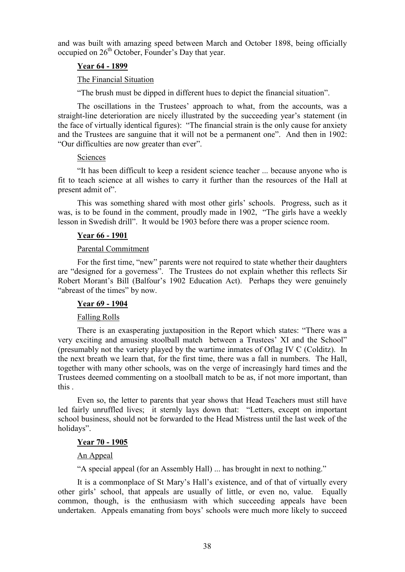and was built with amazing speed between March and October 1898, being officially occupied on  $26<sup>th</sup>$  October, Founder's Day that year.

#### **Year 64 - 1899**

#### The Financial Situation

"The brush must be dipped in different hues to depict the financial situation".

The oscillations in the Trustees' approach to what, from the accounts, was a straight-line deterioration are nicely illustrated by the succeeding year's statement (in the face of virtually identical figures): "The financial strain is the only cause for anxiety and the Trustees are sanguine that it will not be a permanent one". And then in 1902: "Our difficulties are now greater than ever".

#### Sciences

"It has been difficult to keep a resident science teacher ... because anyone who is fit to teach science at all wishes to carry it further than the resources of the Hall at present admit of".

This was something shared with most other girls' schools. Progress, such as it was, is to be found in the comment, proudly made in 1902, "The girls have a weekly lesson in Swedish drill". It would be 1903 before there was a proper science room.

#### **Year 66 - 1901**

#### Parental Commitment

For the first time, "new" parents were not required to state whether their daughters are "designed for a governess". The Trustees do not explain whether this reflects Sir Robert Morant's Bill (Balfour's 1902 Education Act). Perhaps they were genuinely "abreast of the times" by now.

#### **Year 69 - 1904**

#### Falling Rolls

There is an exasperating juxtaposition in the Report which states: "There was a very exciting and amusing stoolball match between a Trustees' XI and the School" (presumably not the variety played by the wartime inmates of Oflag IV C (Colditz). In the next breath we learn that, for the first time, there was a fall in numbers. The Hall, together with many other schools, was on the verge of increasingly hard times and the Trustees deemed commenting on a stoolball match to be as, if not more important, than this .

Even so, the letter to parents that year shows that Head Teachers must still have led fairly unruffled lives; it sternly lays down that: "Letters, except on important school business, should not be forwarded to the Head Mistress until the last week of the holidays".

#### **Year 70 - 1905**

#### An Appeal

"A special appeal (for an Assembly Hall) ... has brought in next to nothing."

It is a commonplace of St Mary's Hall's existence, and of that of virtually every other girls' school, that appeals are usually of little, or even no, value. Equally common, though, is the enthusiasm with which succeeding appeals have been undertaken. Appeals emanating from boys' schools were much more likely to succeed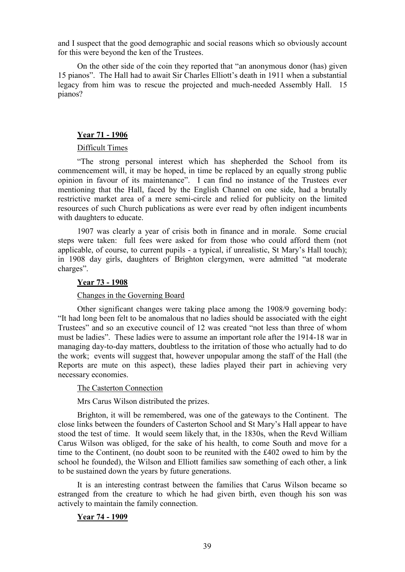and I suspect that the good demographic and social reasons which so obviously account for this were beyond the ken of the Trustees.

On the other side of the coin they reported that "an anonymous donor (has) given 15 pianos". The Hall had to await Sir Charles Elliott's death in 1911 when a substantial legacy from him was to rescue the projected and much-needed Assembly Hall. 15 pianos?

#### **Year 71 - 1906**

#### Difficult Times

"The strong personal interest which has shepherded the School from its commencement will, it may be hoped, in time be replaced by an equally strong public opinion in favour of its maintenance". I can find no instance of the Trustees ever mentioning that the Hall, faced by the English Channel on one side, had a brutally restrictive market area of a mere semi-circle and relied for publicity on the limited resources of such Church publications as were ever read by often indigent incumbents with daughters to educate.

1907 was clearly a year of crisis both in finance and in morale. Some crucial steps were taken: full fees were asked for from those who could afford them (not applicable, of course, to current pupils - a typical, if unrealistic, St Mary's Hall touch); in 1908 day girls, daughters of Brighton clergymen, were admitted "at moderate charges".

#### **Year 73 - 1908**

#### Changes in the Governing Board

Other significant changes were taking place among the 1908/9 governing body: "It had long been felt to be anomalous that no ladies should be associated with the eight Trustees" and so an executive council of 12 was created "not less than three of whom must be ladies". These ladies were to assume an important role after the 1914-18 war in managing day-to-day matters, doubtless to the irritation of those who actually had to do the work; events will suggest that, however unpopular among the staff of the Hall (the Reports are mute on this aspect), these ladies played their part in achieving very necessary economies.

#### The Casterton Connection

Mrs Carus Wilson distributed the prizes.

Brighton, it will be remembered, was one of the gateways to the Continent. The close links between the founders of Casterton School and St Mary's Hall appear to have stood the test of time. It would seem likely that, in the 1830s, when the Revd William Carus Wilson was obliged, for the sake of his health, to come South and move for a time to the Continent, (no doubt soon to be reunited with the £402 owed to him by the school he founded), the Wilson and Elliott families saw something of each other, a link to be sustained down the years by future generations.

It is an interesting contrast between the families that Carus Wilson became so estranged from the creature to which he had given birth, even though his son was actively to maintain the family connection.

#### **Year 74 - 1909**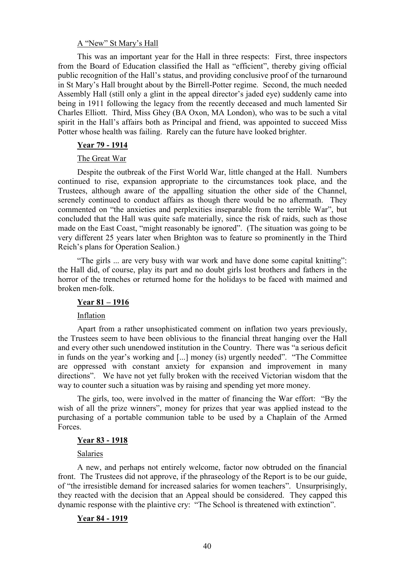#### A "New" St Mary's Hall

This was an important year for the Hall in three respects: First, three inspectors from the Board of Education classified the Hall as "efficient", thereby giving official public recognition of the Hall's status, and providing conclusive proof of the turnaround in St Mary's Hall brought about by the Birrell-Potter regime. Second, the much needed Assembly Hall (still only a glint in the appeal director's jaded eye) suddenly came into being in 1911 following the legacy from the recently deceased and much lamented Sir Charles Elliott. Third, Miss Ghey (BA Oxon, MA London), who was to be such a vital spirit in the Hall's affairs both as Principal and friend, was appointed to succeed Miss Potter whose health was failing. Rarely can the future have looked brighter.

#### **Year 79 - 1914**

#### The Great War

Despite the outbreak of the First World War, little changed at the Hall. Numbers continued to rise, expansion appropriate to the circumstances took place, and the Trustees, although aware of the appalling situation the other side of the Channel, serenely continued to conduct affairs as though there would be no aftermath. They commented on "the anxieties and perplexities inseparable from the terrible War", but concluded that the Hall was quite safe materially, since the risk of raids, such as those made on the East Coast, "might reasonably be ignored". (The situation was going to be very different 25 years later when Brighton was to feature so prominently in the Third Reich's plans for Operation Sealion.)

"The girls ... are very busy with war work and have done some capital knitting": the Hall did, of course, play its part and no doubt girls lost brothers and fathers in the horror of the trenches or returned home for the holidays to be faced with maimed and broken men-folk.

#### **Year 81 – 1916**

#### Inflation

Apart from a rather unsophisticated comment on inflation two years previously, the Trustees seem to have been oblivious to the financial threat hanging over the Hall and every other such unendowed institution in the Country. There was "a serious deficit in funds on the year's working and [...] money (is) urgently needed". "The Committee are oppressed with constant anxiety for expansion and improvement in many directions". We have not yet fully broken with the received Victorian wisdom that the way to counter such a situation was by raising and spending yet more money.

The girls, too, were involved in the matter of financing the War effort: "By the wish of all the prize winners", money for prizes that year was applied instead to the purchasing of a portable communion table to be used by a Chaplain of the Armed Forces.

#### **Year 83 - 1918**

#### Salaries

A new, and perhaps not entirely welcome, factor now obtruded on the financial front. The Trustees did not approve, if the phraseology of the Report is to be our guide, of "the irresistible demand for increased salaries for women teachers". Unsurprisingly, they reacted with the decision that an Appeal should be considered. They capped this dynamic response with the plaintive cry: "The School is threatened with extinction".

#### **Year 84 - 1919**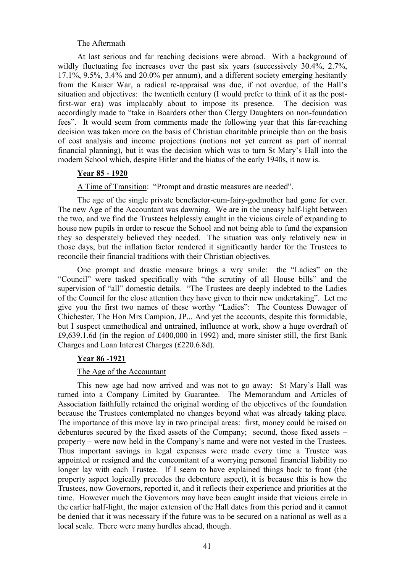#### The Aftermath

At last serious and far reaching decisions were abroad. With a background of wildly fluctuating fee increases over the past six years (successively 30.4%, 2.7%, 17.1%, 9.5%, 3.4% and 20.0% per annum), and a different society emerging hesitantly from the Kaiser War, a radical re-appraisal was due, if not overdue, of the Hall's situation and objectives: the twentieth century (I would prefer to think of it as the postfirst-war era) was implacably about to impose its presence. The decision was accordingly made to "take in Boarders other than Clergy Daughters on non-foundation fees". It would seem from comments made the following year that this far-reaching decision was taken more on the basis of Christian charitable principle than on the basis of cost analysis and income projections (notions not yet current as part of normal financial planning), but it was the decision which was to turn St Mary's Hall into the modern School which, despite Hitler and the hiatus of the early 1940s, it now is.

#### **Year 85 - 1920**

A Time of Transition: "Prompt and drastic measures are needed".

The age of the single private benefactor-cum-fairy-godmother had gone for ever. The new Age of the Accountant was dawning. We are in the uneasy half-light between the two, and we find the Trustees helplessly caught in the vicious circle of expanding to house new pupils in order to rescue the School and not being able to fund the expansion they so desperately believed they needed. The situation was only relatively new in those days, but the inflation factor rendered it significantly harder for the Trustees to reconcile their financial traditions with their Christian objectives.

One prompt and drastic measure brings a wry smile: the "Ladies" on the "Council" were tasked specifically with "the scrutiny of all House bills" and the supervision of "all" domestic details. "The Trustees are deeply indebted to the Ladies of the Council for the close attention they have given to their new undertaking". Let me give you the first two names of these worthy "Ladies": The Countess Dowager of Chichester, The Hon Mrs Campion, JP... And yet the accounts, despite this formidable, but I suspect unmethodical and untrained, influence at work, show a huge overdraft of £9,639.1.6d (in the region of £400,000 in 1992) and, more sinister still, the first Bank Charges and Loan Interest Charges (£220.6.8d).

#### **Year 86 -1921**

#### The Age of the Accountant

This new age had now arrived and was not to go away: St Mary's Hall was turned into a Company Limited by Guarantee. The Memorandum and Articles of Association faithfully retained the original wording of the objectives of the foundation because the Trustees contemplated no changes beyond what was already taking place. The importance of this move lay in two principal areas: first, money could be raised on debentures secured by the fixed assets of the Company; second, those fixed assets – property – were now held in the Company's name and were not vested in the Trustees. Thus important savings in legal expenses were made every time a Trustee was appointed or resigned and the concomitant of a worrying personal financial liability no longer lay with each Trustee. If I seem to have explained things back to front (the property aspect logically precedes the debenture aspect), it is because this is how the Trustees, now Governors, reported it, and it reflects their experience and priorities at the time. However much the Governors may have been caught inside that vicious circle in the earlier half-light, the major extension of the Hall dates from this period and it cannot be denied that it was necessary if the future was to be secured on a national as well as a local scale. There were many hurdles ahead, though.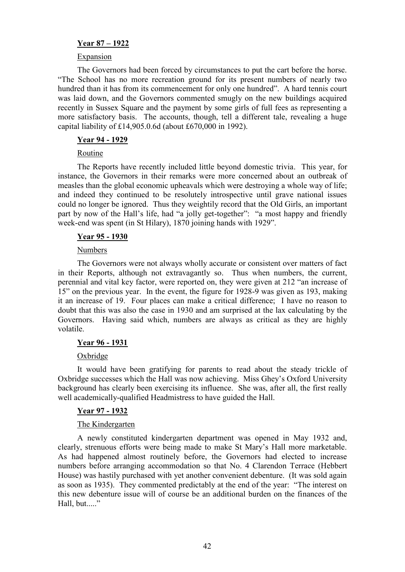#### **Year 87 – 1922**

#### Expansion

The Governors had been forced by circumstances to put the cart before the horse. "The School has no more recreation ground for its present numbers of nearly two hundred than it has from its commencement for only one hundred". A hard tennis court was laid down, and the Governors commented smugly on the new buildings acquired recently in Sussex Square and the payment by some girls of full fees as representing a more satisfactory basis. The accounts, though, tell a different tale, revealing a huge capital liability of £14,905.0.6d (about £670,000 in 1992).

#### **Year 94 - 1929**

#### Routine

The Reports have recently included little beyond domestic trivia. This year, for instance, the Governors in their remarks were more concerned about an outbreak of measles than the global economic upheavals which were destroying a whole way of life; and indeed they continued to be resolutely introspective until grave national issues could no longer be ignored. Thus they weightily record that the Old Girls, an important part by now of the Hall's life, had "a jolly get-together": "a most happy and friendly week-end was spent (in St Hilary), 1870 joining hands with 1929".

#### **Year 95 - 1930**

#### Numbers

The Governors were not always wholly accurate or consistent over matters of fact in their Reports, although not extravagantly so. Thus when numbers, the current, perennial and vital key factor, were reported on, they were given at 212 "an increase of 15" on the previous year. In the event, the figure for 1928-9 was given as 193, making it an increase of 19. Four places can make a critical difference; I have no reason to doubt that this was also the case in 1930 and am surprised at the lax calculating by the Governors. Having said which, numbers are always as critical as they are highly volatile.

#### **Year 96 - 1931**

#### Oxbridge

It would have been gratifying for parents to read about the steady trickle of Oxbridge successes which the Hall was now achieving. Miss Ghey's Oxford University background has clearly been exercising its influence. She was, after all, the first really well academically-qualified Headmistress to have guided the Hall.

#### **Year 97 - 1932**

#### The Kindergarten

A newly constituted kindergarten department was opened in May 1932 and, clearly, strenuous efforts were being made to make St Mary's Hall more marketable. As had happened almost routinely before, the Governors had elected to increase numbers before arranging accommodation so that No. 4 Clarendon Terrace (Hebbert House) was hastily purchased with yet another convenient debenture. (It was sold again as soon as 1935). They commented predictably at the end of the year: "The interest on this new debenture issue will of course be an additional burden on the finances of the Hall, but....."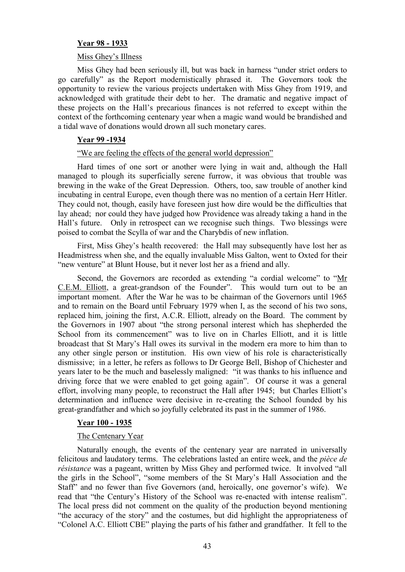#### **Year 98 - 1933**

#### Miss Ghey's Illness

Miss Ghey had been seriously ill, but was back in harness "under strict orders to go carefully" as the Report modernistically phrased it. The Governors took the opportunity to review the various projects undertaken with Miss Ghey from 1919, and acknowledged with gratitude their debt to her. The dramatic and negative impact of these projects on the Hall's precarious finances is not referred to except within the context of the forthcoming centenary year when a magic wand would be brandished and a tidal wave of donations would drown all such monetary cares.

#### **Year 99 -1934**

#### "We are feeling the effects of the general world depression"

Hard times of one sort or another were lying in wait and, although the Hall managed to plough its superficially serene furrow, it was obvious that trouble was brewing in the wake of the Great Depression. Others, too, saw trouble of another kind incubating in central Europe, even though there was no mention of a certain Herr Hitler. They could not, though, easily have foreseen just how dire would be the difficulties that lay ahead; nor could they have judged how Providence was already taking a hand in the Hall's future. Only in retrospect can we recognise such things. Two blessings were poised to combat the Scylla of war and the Charybdis of new inflation.

First, Miss Ghey's health recovered: the Hall may subsequently have lost her as Headmistress when she, and the equally invaluable Miss Galton, went to Oxted for their "new venture" at Blunt House, but it never lost her as a friend and ally.

Second, the Governors are recorded as extending "a cordial welcome" to "Mr C.E.M. Elliott, a great-grandson of the Founder". This would turn out to be an important moment. After the War he was to be chairman of the Governors until 1965 and to remain on the Board until February 1979 when I, as the second of his two sons, replaced him, joining the first, A.C.R. Elliott, already on the Board. The comment by the Governors in 1907 about "the strong personal interest which has shepherded the School from its commencement" was to live on in Charles Elliott, and it is little broadcast that St Mary's Hall owes its survival in the modern era more to him than to any other single person or institution. His own view of his role is characteristically dismissive; in a letter, he refers as follows to Dr George Bell, Bishop of Chichester and years later to be the much and baselessly maligned: "it was thanks to his influence and driving force that we were enabled to get going again". Of course it was a general effort, involving many people, to reconstruct the Hall after 1945; but Charles Elliott's determination and influence were decisive in re-creating the School founded by his great-grandfather and which so joyfully celebrated its past in the summer of 1986.

#### **Year 100 - 1935**

#### The Centenary Year

Naturally enough, the events of the centenary year are narrated in universally felicitous and laudatory terms. The celebrations lasted an entire week, and the *pièce de résistance* was a pageant, written by Miss Ghey and performed twice. It involved "all the girls in the School", "some members of the St Mary's Hall Association and the Staff" and no fewer than five Governors (and, heroically, one governor's wife). We read that "the Century's History of the School was re-enacted with intense realism". The local press did not comment on the quality of the production beyond mentioning "the accuracy of the story" and the costumes, but did highlight the appropriateness of "Colonel A.C. Elliott CBE" playing the parts of his father and grandfather. It fell to the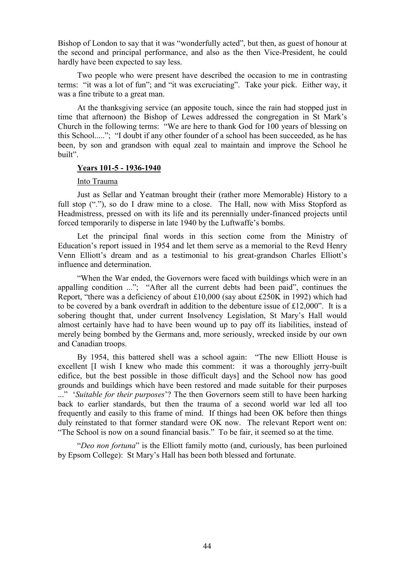Bishop of London to say that it was "wonderfully acted", but then, as guest of honour at the second and principal performance, and also as the then Vice-President, he could hardly have been expected to say less.

Two people who were present have described the occasion to me in contrasting terms: "it was a lot of fun"; and "it was excruciating". Take your pick. Either way, it was a fine tribute to a great man.

At the thanksgiving service (an apposite touch, since the rain had stopped just in time that afternoon) the Bishop of Lewes addressed the congregation in St Mark's Church in the following terms: "We are here to thank God for 100 years of blessing on this School....."; "I doubt if any other founder of a school has been succeeded, as he has been, by son and grandson with equal zeal to maintain and improve the School he built".

#### **Years 101-5 - 1936-1940**

#### Into Trauma

Just as Sellar and Yeatman brought their (rather more Memorable) History to a full stop ("."), so do I draw mine to a close. The Hall, now with Miss Stopford as Headmistress, pressed on with its life and its perennially under-financed projects until forced temporarily to disperse in late 1940 by the Luftwaffe's bombs.

Let the principal final words in this section come from the Ministry of Education's report issued in 1954 and let them serve as a memorial to the Revd Henry Venn Elliott's dream and as a testimonial to his great-grandson Charles Elliott's influence and determination.

"When the War ended, the Governors were faced with buildings which were in an appalling condition ..."; "After all the current debts had been paid", continues the Report, "there was a deficiency of about £10,000 (say about £250K in 1992) which had to be covered by a bank overdraft in addition to the debenture issue of £12,000". It is a sobering thought that, under current Insolvency Legislation, St Mary's Hall would almost certainly have had to have been wound up to pay off its liabilities, instead of merely being bombed by the Germans and, more seriously, wrecked inside by our own and Canadian troops.

By 1954, this battered shell was a school again: "The new Elliott House is excellent [I wish I knew who made this comment: it was a thoroughly jerry-built edifice, but the best possible in those difficult days] and the School now has good grounds and buildings which have been restored and made suitable for their purposes ..." '*Suitable for their purposes*'? The then Governors seem still to have been harking back to earlier standards, but then the trauma of a second world war led all too frequently and easily to this frame of mind. If things had been OK before then things duly reinstated to that former standard were OK now. The relevant Report went on: "The School is now on a sound financial basis." To be fair, it seemed so at the time.

"*Deo non fortuna*" is the Elliott family motto (and, curiously, has been purloined by Epsom College): St Mary's Hall has been both blessed and fortunate.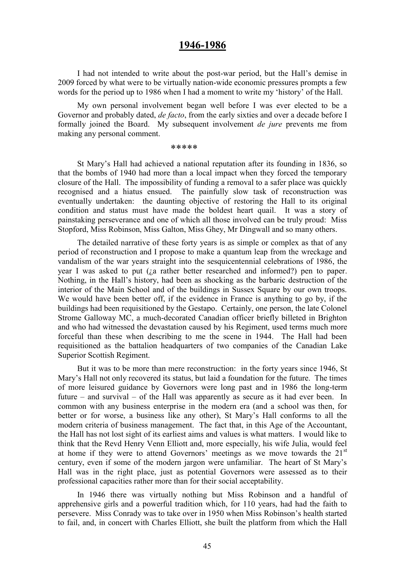#### **1946-1986**

I had not intended to write about the post-war period, but the Hall's demise in 2009 forced by what were to be virtually nation-wide economic pressures prompts a few words for the period up to 1986 when I had a moment to write my 'history' of the Hall.

My own personal involvement began well before I was ever elected to be a Governor and probably dated, *de facto*, from the early sixties and over a decade before I formally joined the Board. My subsequent involvement *de jure* prevents me from making any personal comment.

#### \*\*\*\*\*

St Mary's Hall had achieved a national reputation after its founding in 1836, so that the bombs of 1940 had more than a local impact when they forced the temporary closure of the Hall. The impossibility of funding a removal to a safer place was quickly recognised and a hiatus ensued. The painfully slow task of reconstruction was eventually undertaken: the daunting objective of restoring the Hall to its original condition and status must have made the boldest heart quail. It was a story of painstaking perseverance and one of which all those involved can be truly proud: Miss Stopford, Miss Robinson, Miss Galton, Miss Ghey, Mr Dingwall and so many others.

The detailed narrative of these forty years is as simple or complex as that of any period of reconstruction and I propose to make a quantum leap from the wreckage and vandalism of the war years straight into the sesquicentennial celebrations of 1986, the year I was asked to put (¿a rather better researched and informed?) pen to paper. Nothing, in the Hall's history, had been as shocking as the barbaric destruction of the interior of the Main School and of the buildings in Sussex Square by our own troops. We would have been better off, if the evidence in France is anything to go by, if the buildings had been requisitioned by the Gestapo. Certainly, one person, the late Colonel Strome Galloway MC, a much-decorated Canadian officer briefly billeted in Brighton and who had witnessed the devastation caused by his Regiment, used terms much more forceful than these when describing to me the scene in 1944. The Hall had been requisitioned as the battalion headquarters of two companies of the Canadian Lake Superior Scottish Regiment.

But it was to be more than mere reconstruction: in the forty years since 1946, St Mary's Hall not only recovered its status, but laid a foundation for the future. The times of more leisured guidance by Governors were long past and in 1986 the long-term future – and survival – of the Hall was apparently as secure as it had ever been. In common with any business enterprise in the modern era (and a school was then, for better or for worse, a business like any other), St Mary's Hall conforms to all the modern criteria of business management. The fact that, in this Age of the Accountant, the Hall has not lost sight of its earliest aims and values is what matters. I would like to think that the Revd Henry Venn Elliott and, more especially, his wife Julia, would feel at home if they were to attend Governors' meetings as we move towards the 21<sup>st</sup> century, even if some of the modern jargon were unfamiliar. The heart of St Mary's Hall was in the right place, just as potential Governors were assessed as to their professional capacities rather more than for their social acceptability.

In 1946 there was virtually nothing but Miss Robinson and a handful of apprehensive girls and a powerful tradition which, for 110 years, had had the faith to persevere. Miss Conrady was to take over in 1950 when Miss Robinson's health started to fail, and, in concert with Charles Elliott, she built the platform from which the Hall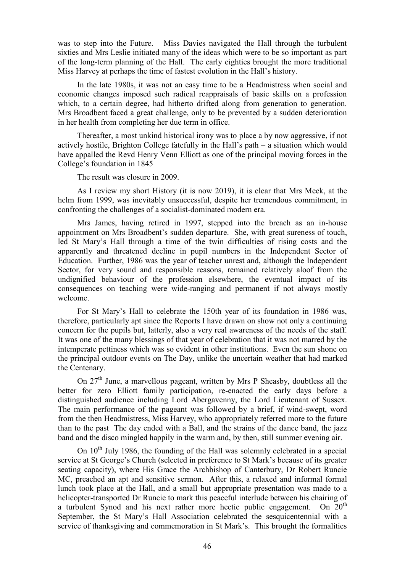was to step into the Future. Miss Davies navigated the Hall through the turbulent sixties and Mrs Leslie initiated many of the ideas which were to be so important as part of the long-term planning of the Hall. The early eighties brought the more traditional Miss Harvey at perhaps the time of fastest evolution in the Hall's history.

In the late 1980s, it was not an easy time to be a Headmistress when social and economic changes imposed such radical reappraisals of basic skills on a profession which, to a certain degree, had hitherto drifted along from generation to generation. Mrs Broadbent faced a great challenge, only to be prevented by a sudden deterioration in her health from completing her due term in office.

Thereafter, a most unkind historical irony was to place a by now aggressive, if not actively hostile, Brighton College fatefully in the Hall's path – a situation which would have appalled the Revd Henry Venn Elliott as one of the principal moving forces in the College's foundation in 1845

The result was closure in 2009.

As I review my short History (it is now 2019), it is clear that Mrs Meek, at the helm from 1999, was inevitably unsuccessful, despite her tremendous commitment, in confronting the challenges of a socialist-dominated modern era.

Mrs James, having retired in 1997, stepped into the breach as an in-house appointment on Mrs Broadbent's sudden departure. She, with great sureness of touch, led St Mary's Hall through a time of the twin difficulties of rising costs and the apparently and threatened decline in pupil numbers in the Independent Sector of Education. Further, 1986 was the year of teacher unrest and, although the Independent Sector, for very sound and responsible reasons, remained relatively aloof from the undignified behaviour of the profession elsewhere, the eventual impact of its consequences on teaching were wide-ranging and permanent if not always mostly welcome.

For St Mary's Hall to celebrate the 150th year of its foundation in 1986 was, therefore, particularly apt since the Reports I have drawn on show not only a continuing concern for the pupils but, latterly, also a very real awareness of the needs of the staff. It was one of the many blessings of that year of celebration that it was not marred by the intemperate pettiness which was so evident in other institutions. Even the sun shone on the principal outdoor events on The Day, unlike the uncertain weather that had marked the Centenary.

On  $27<sup>th</sup>$  June, a marvellous pageant, written by Mrs P Sheasby, doubtless all the better for zero Elliott family participation, re-enacted the early days before a distinguished audience including Lord Abergavenny, the Lord Lieutenant of Sussex. The main performance of the pageant was followed by a brief, if wind-swept, word from the then Headmistress, Miss Harvey, who appropriately referred more to the future than to the past The day ended with a Ball, and the strains of the dance band, the jazz band and the disco mingled happily in the warm and, by then, still summer evening air.

On  $10^{th}$  July 1986, the founding of the Hall was solemnly celebrated in a special service at St George's Church (selected in preference to St Mark's because of its greater seating capacity), where His Grace the Archbishop of Canterbury, Dr Robert Runcie MC, preached an apt and sensitive sermon. After this, a relaxed and informal formal lunch took place at the Hall, and a small but appropriate presentation was made to a helicopter-transported Dr Runcie to mark this peaceful interlude between his chairing of a turbulent Synod and his next rather more hectic public engagement. On  $20<sup>th</sup>$ September, the St Mary's Hall Association celebrated the sesquicentennial with a service of thanksgiving and commemoration in St Mark's. This brought the formalities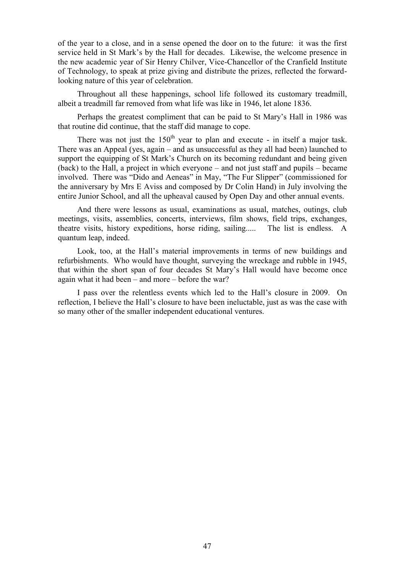of the year to a close, and in a sense opened the door on to the future: it was the first service held in St Mark's by the Hall for decades. Likewise, the welcome presence in the new academic year of Sir Henry Chilver, Vice-Chancellor of the Cranfield Institute of Technology, to speak at prize giving and distribute the prizes, reflected the forwardlooking nature of this year of celebration.

Throughout all these happenings, school life followed its customary treadmill, albeit a treadmill far removed from what life was like in 1946, let alone 1836.

Perhaps the greatest compliment that can be paid to St Mary's Hall in 1986 was that routine did continue, that the staff did manage to cope.

There was not just the  $150<sup>th</sup>$  year to plan and execute - in itself a major task. There was an Appeal (yes, again – and as unsuccessful as they all had been) launched to support the equipping of St Mark's Church on its becoming redundant and being given (back) to the Hall, a project in which everyone – and not just staff and pupils – became involved. There was "Dido and Aeneas" in May, "The Fur Slipper" (commissioned for the anniversary by Mrs E Aviss and composed by Dr Colin Hand) in July involving the entire Junior School, and all the upheaval caused by Open Day and other annual events.

And there were lessons as usual, examinations as usual, matches, outings, club meetings, visits, assemblies, concerts, interviews, film shows, field trips, exchanges, theatre visits, history expeditions, horse riding, sailing..... The list is endless. A quantum leap, indeed.

Look, too, at the Hall's material improvements in terms of new buildings and refurbishments. Who would have thought, surveying the wreckage and rubble in 1945, that within the short span of four decades St Mary's Hall would have become once again what it had been – and more – before the war?

I pass over the relentless events which led to the Hall's closure in 2009. On reflection, I believe the Hall's closure to have been ineluctable, just as was the case with so many other of the smaller independent educational ventures.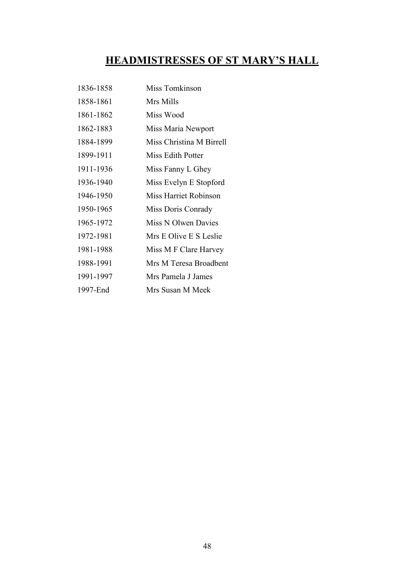# **HEADMISTRESSES OF ST MARY'S HALL**

| 1836-1858 | Miss Tomkinson           |
|-----------|--------------------------|
| 1858-1861 | Mrs Mills                |
| 1861-1862 | Miss Wood                |
| 1862-1883 | Miss Maria Newport       |
| 1884-1899 | Miss Christina M Birrell |
| 1899-1911 | Miss Edith Potter        |
| 1911-1936 | Miss Fanny L Ghey        |
| 1936-1940 | Miss Evelyn E Stopford   |
| 1946-1950 | Miss Harriet Robinson    |
| 1950-1965 | Miss Doris Conrady       |
| 1965-1972 | Miss N Olwen Davies      |
| 1972-1981 | Mrs E Olive E S Leslie   |
| 1981-1988 | Miss M F Clare Harvey    |
| 1988-1991 | Mrs M Teresa Broadbent   |
| 1991-1997 | Mrs Pamela J James       |
| 1997-End  | Mrs Susan M Meek         |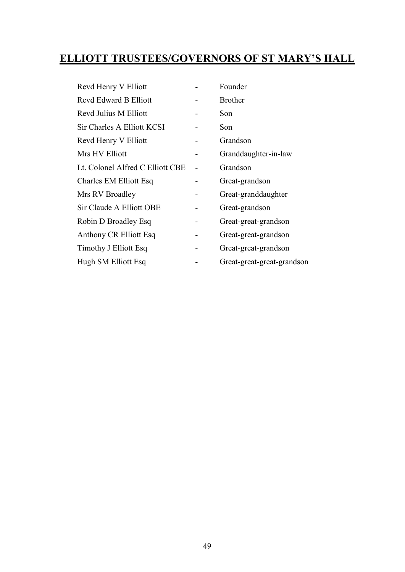# **ELLIOTT TRUSTEES/GOVERNORS OF ST MARY'S HALL**

| Revd Henry V Elliott             | Founder                    |
|----------------------------------|----------------------------|
| <b>Revd Edward B Elliott</b>     | <b>Brother</b>             |
| Revd Julius M Elliott            | Son                        |
| Sir Charles A Elliott KCSI       | Son                        |
| Revd Henry V Elliott             | Grandson                   |
| Mrs HV Elliott                   | Granddaughter-in-law       |
| Lt. Colonel Alfred C Elliott CBE | Grandson                   |
| Charles EM Elliott Esq           | Great-grandson             |
| Mrs RV Broadley                  | Great-granddaughter        |
| Sir Claude A Elliott OBE         | Great-grandson             |
| Robin D Broadley Esq             | Great-great-grandson       |
| Anthony CR Elliott Esq           | Great-great-grandson       |
| Timothy J Elliott Esq            | Great-great-grandson       |
| Hugh SM Elliott Esq              | Great-great-great-grandson |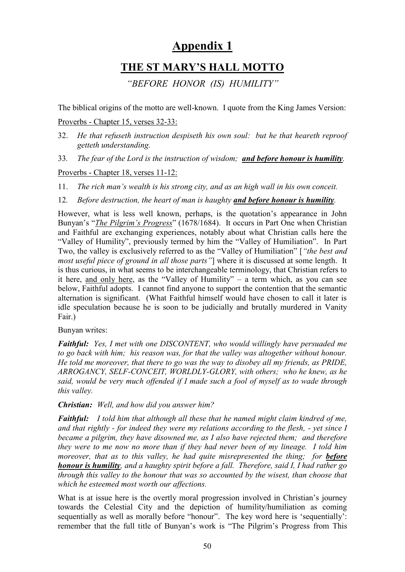# **Appendix 1**

# **THE ST MARY'S HALL MOTTO**

*"BEFORE HONOR (IS) HUMILITY"*

The biblical origins of the motto are well-known. I quote from the King James Version:

Proverbs - Chapter 15, verses 32-33:

- 32. *He that refuseth instruction despiseth his own soul: but he that heareth reproof getteth understanding.*
- 33*. The fear of the Lord is the instruction of wisdom; and before honour is humility.*

Proverbs - Chapter 18, verses 11-12:

- 11. *The rich man's wealth is his strong city, and as an high wall in his own conceit.*
- 12*. Before destruction, the heart of man is haughty and before honour is humility.*

However, what is less well known, perhaps, is the quotation's appearance in John Bunyan's "*The Pilgrim's Progress*" (1678/1684). It occurs in Part One when Christian and Faithful are exchanging experiences, notably about what Christian calls here the "Valley of Humility", previously termed by him the "Valley of Humiliation". In Part Two, the valley is exclusively referred to as the "Valley of Humiliation" [*"the best and most useful piece of ground in all those parts"*] where it is discussed at some length. It is thus curious, in what seems to be interchangeable terminology, that Christian refers to it here, and only here, as the "Valley of Humility" – a term which, as you can see below, Faithful adopts. I cannot find anyone to support the contention that the semantic alternation is significant. (What Faithful himself would have chosen to call it later is idle speculation because he is soon to be judicially and brutally murdered in Vanity Fair.)

Bunyan writes:

*Faithful: Yes, I met with one DISCONTENT, who would willingly have persuaded me to go back with him; his reason was, for that the valley was altogether without honour. He told me moreover, that there to go was the way to disobey all my friends, as PRIDE, ARROGANCY, SELF-CONCEIT, WORLDLY-GLORY, with others; who he knew, as he said, would be very much offended if I made such a fool of myself as to wade through this valley.*

*Christian: Well, and how did you answer him?*

*Faithful: I told him that although all these that he named might claim kindred of me, and that rightly - for indeed they were my relations according to the flesh, - yet since I became a pilgrim, they have disowned me, as I also have rejected them; and therefore they were to me now no more than if they had never been of my lineage. I told him moreover, that as to this valley, he had quite misrepresented the thing; for before honour is humility, and a haughty spirit before a fall. Therefore, said I, I had rather go through this valley to the honour that was so accounted by the wisest, than choose that which he esteemed most worth our affections.*

What is at issue here is the overtly moral progression involved in Christian's journey towards the Celestial City and the depiction of humility/humiliation as coming sequentially as well as morally before "honour". The key word here is 'sequentially': remember that the full title of Bunyan's work is "The Pilgrim's Progress from This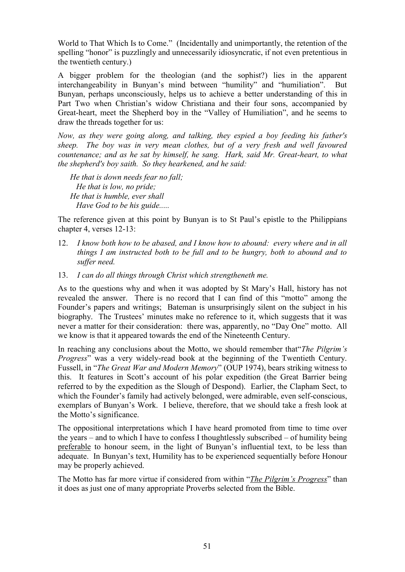World to That Which Is to Come." (Incidentally and unimportantly, the retention of the spelling "honor" is puzzlingly and unnecessarily idiosyncratic, if not even pretentious in the twentieth century.)

A bigger problem for the theologian (and the sophist?) lies in the apparent interchangeability in Bunyan's mind between "humility" and "humiliation". But Bunyan, perhaps unconsciously, helps us to achieve a better understanding of this in Part Two when Christian's widow Christiana and their four sons, accompanied by Great-heart, meet the Shepherd boy in the "Valley of Humiliation", and he seems to draw the threads together for us:

*Now, as they were going along, and talking, they espied a boy feeding his father's sheep. The boy was in very mean clothes, but of a very fresh and well favoured countenance; and as he sat by himself, he sang. Hark, said Mr. Great-heart, to what the shepherd's boy saith. So they hearkened, and he said:*

 *He that is down needs fear no fall; He that is low, no pride; He that is humble, ever shall Have God to be his guide.....*

The reference given at this point by Bunyan is to St Paul's epistle to the Philippians chapter 4, verses 12-13:

- 12. *I know both how to be abased, and I know how to abound: every where and in all things I am instructed both to be full and to be hungry, both to abound and to suffer need.*
- 13. *I can do all things through Christ which strengtheneth me.*

As to the questions why and when it was adopted by St Mary's Hall, history has not revealed the answer. There is no record that I can find of this "motto" among the Founder's papers and writings; Bateman is unsurprisingly silent on the subject in his biography. The Trustees' minutes make no reference to it, which suggests that it was never a matter for their consideration: there was, apparently, no "Day One" motto. All we know is that it appeared towards the end of the Nineteenth Century.

In reaching any conclusions about the Motto, we should remember that"*The Pilgrim's Progress*" was a very widely-read book at the beginning of the Twentieth Century. Fussell, in "*The Great War and Modern Memory*" (OUP 1974), bears striking witness to this. It features in Scott's account of his polar expedition (the Great Barrier being referred to by the expedition as the Slough of Despond). Earlier, the Clapham Sect, to which the Founder's family had actively belonged, were admirable, even self-conscious, exemplars of Bunyan's Work. I believe, therefore, that we should take a fresh look at the Motto's significance.

The oppositional interpretations which I have heard promoted from time to time over the years – and to which I have to confess I thoughtlessly subscribed – of humility being preferable to honour seem, in the light of Bunyan's influential text, to be less than adequate. In Bunyan's text, Humility has to be experienced sequentially before Honour may be properly achieved.

The Motto has far more virtue if considered from within "*The Pilgrim's Progress*" than it does as just one of many appropriate Proverbs selected from the Bible.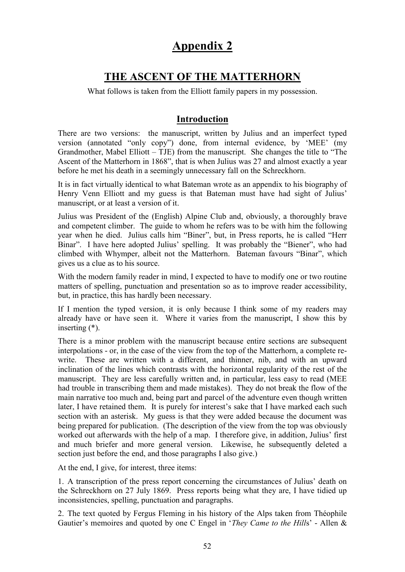# **Appendix 2**

# **THE ASCENT OF THE MATTERHORN**

What follows is taken from the Elliott family papers in my possession.

### **Introduction**

There are two versions: the manuscript, written by Julius and an imperfect typed version (annotated "only copy") done, from internal evidence, by 'MEE' (my Grandmother, Mabel Elliott – TJE) from the manuscript. She changes the title to "The Ascent of the Matterhorn in 1868", that is when Julius was 27 and almost exactly a year before he met his death in a seemingly unnecessary fall on the Schreckhorn.

It is in fact virtually identical to what Bateman wrote as an appendix to his biography of Henry Venn Elliott and my guess is that Bateman must have had sight of Julius' manuscript, or at least a version of it.

Julius was President of the (English) Alpine Club and, obviously, a thoroughly brave and competent climber. The guide to whom he refers was to be with him the following year when he died. Julius calls him "Biner", but, in Press reports, he is called "Herr Binar". I have here adopted Julius' spelling. It was probably the "Biener", who had climbed with Whymper, albeit not the Matterhorn. Bateman favours "Binar", which gives us a clue as to his source.

With the modern family reader in mind, I expected to have to modify one or two routine matters of spelling, punctuation and presentation so as to improve reader accessibility, but, in practice, this has hardly been necessary.

If I mention the typed version, it is only because I think some of my readers may already have or have seen it. Where it varies from the manuscript, I show this by inserting (\*).

There is a minor problem with the manuscript because entire sections are subsequent interpolations - or, in the case of the view from the top of the Matterhorn, a complete rewrite. These are written with a different, and thinner, nib, and with an upward inclination of the lines which contrasts with the horizontal regularity of the rest of the manuscript. They are less carefully written and, in particular, less easy to read (MEE had trouble in transcribing them and made mistakes). They do not break the flow of the main narrative too much and, being part and parcel of the adventure even though written later, I have retained them. It is purely for interest's sake that I have marked each such section with an asterisk. My guess is that they were added because the document was being prepared for publication. (The description of the view from the top was obviously worked out afterwards with the help of a map. I therefore give, in addition, Julius' first and much briefer and more general version. Likewise, he subsequently deleted a section just before the end, and those paragraphs I also give.)

At the end, I give, for interest, three items:

1. A transcription of the press report concerning the circumstances of Julius' death on the Schreckhorn on 27 July 1869. Press reports being what they are, I have tidied up inconsistencies, spelling, punctuation and paragraphs.

2. The text quoted by Fergus Fleming in his history of the Alps taken from Théophile Gautier's memoires and quoted by one C Engel in '*They Came to the Hill*s' - Allen &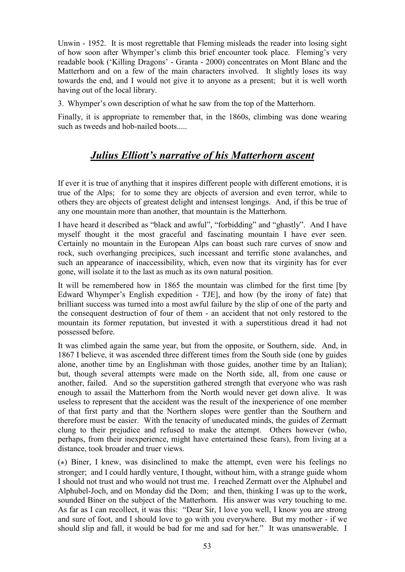Unwin - 1952. It is most regrettable that Fleming misleads the reader into losing sight of how soon after Whymper's climb this brief encounter took place. Fleming's very readable book ('Killing Dragons' - Granta - 2000) concentrates on Mont Blanc and the Matterhorn and on a few of the main characters involved. It slightly loses its way towards the end, and I would not give it to anyone as a present; but it is well worth having out of the local library.

3. Whymper's own description of what he saw from the top of the Matterhorn.

Finally, it is appropriate to remember that, in the 1860s, climbing was done wearing such as tweeds and hob-nailed boots.....

# *Julius Elliott's narrative of his Matterhorn ascent*

If ever it is true of anything that it inspires different people with different emotions, it is true of the Alps; for to some they are objects of aversion and even terror, while to others they are objects of greatest delight and intensest longings. And, if this be true of any one mountain more than another, that mountain is the Matterhorn.

I have heard it described as "black and awful", "forbidding" and "ghastly". And I have myself thought it the most graceful and fascinating mountain I have ever seen. Certainly no mountain in the European Alps can boast such rare curves of snow and rock, such overhanging precipices, such incessant and terrific stone avalanches, and such an appearance of inaccessibility, which, even now that its virginity has for ever gone, will isolate it to the last as much as its own natural position.

It will be remembered how in 1865 the mountain was climbed for the first time [by Edward Whymper's English expedition - TJE], and how (by the irony of fate) that brilliant success was turned into a most awful failure by the slip of one of the party and the consequent destruction of four of them - an accident that not only restored to the mountain its former reputation, but invested it with a superstitious dread it had not possessed before.

It was climbed again the same year, but from the opposite, or Southern, side. And, in 1867 I believe, it was ascended three different times from the South side (one by guides alone, another time by an Englishman with those guides, another time by an Italian); but, though several attempts were made on the North side, all, from one cause or another, failed. And so the superstition gathered strength that everyone who was rash enough to assail the Matterhorn from the North would never get down alive. It was useless to represent that the accident was the result of the inexperience of one member of that first party and that the Northern slopes were gentler than the Southern and therefore must be easier. With the tenacity of uneducated minds, the guides of Zermatt clung to their prejudice and refused to make the attempt. Others however (who, perhaps, from their inexperience, might have entertained these fears), from living at a distance, took broader and truer views.

(**\***) Biner, I knew, was disinclined to make the attempt, even were his feelings no stronger; and I could hardly venture, I thought, without him, with a strange guide whom I should not trust and who would not trust me. I reached Zermatt over the Alphubel and Alphubel-Joch, and on Monday did the Dom; and then, thinking I was up to the work, sounded Biner on the subject of the Matterhorn. His answer was very touching to me. As far as I can recollect, it was this: "Dear Sir, I love you well, I know you are strong and sure of foot, and I should love to go with you everywhere. But my mother - if we should slip and fall, it would be bad for me and sad for her." It was unanswerable. I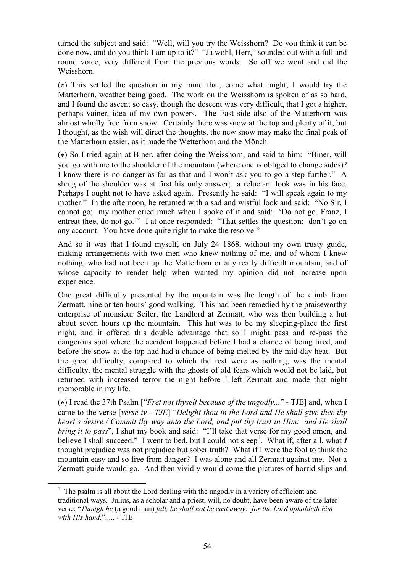turned the subject and said: "Well, will you try the Weisshorn? Do you think it can be done now, and do you think I am up to it?" "Ja wohl, Herr," sounded out with a full and round voice, very different from the previous words. So off we went and did the Weisshorn.

(**\***) This settled the question in my mind that, come what might, I would try the Matterhorn, weather being good. The work on the Weisshorn is spoken of as so hard, and I found the ascent so easy, though the descent was very difficult, that I got a higher, perhaps vainer, idea of my own powers. The East side also of the Matterhorn was almost wholly free from snow. Certainly there was snow at the top and plenty of it, but I thought, as the wish will direct the thoughts, the new snow may make the final peak of the Matterhorn easier, as it made the Wetterhorn and the Mönch.

(\*) So I tried again at Biner, after doing the Weisshorn, and said to him: "Biner, will you go with me to the shoulder of the mountain (where one is obliged to change sides)? I know there is no danger as far as that and I won't ask you to go a step further." A shrug of the shoulder was at first his only answer; a reluctant look was in his face. Perhaps I ought not to have asked again. Presently he said: "I will speak again to my mother." In the afternoon, he returned with a sad and wistful look and said: "No Sir, I cannot go; my mother cried much when I spoke of it and said: 'Do not go, Franz, I entreat thee, do not go.'" I at once responded: "That settles the question; don't go on any account. You have done quite right to make the resolve."

And so it was that I found myself, on July 24 1868, without my own trusty guide, making arrangements with two men who knew nothing of me, and of whom I knew nothing, who had not been up the Matterhorn or any really difficult mountain, and of whose capacity to render help when wanted my opinion did not increase upon experience.

One great difficulty presented by the mountain was the length of the climb from Zermatt, nine or ten hours' good walking. This had been remedied by the praiseworthy enterprise of monsieur Seiler, the Landlord at Zermatt, who was then building a hut about seven hours up the mountain. This hut was to be my sleeping-place the first night, and it offered this double advantage that so I might pass and re-pass the dangerous spot where the accident happened before I had a chance of being tired, and before the snow at the top had had a chance of being melted by the mid-day heat. But the great difficulty, compared to which the rest were as nothing, was the mental difficulty, the mental struggle with the ghosts of old fears which would not be laid, but returned with increased terror the night before I left Zermatt and made that night memorable in my life.

(**\***) I read the 37th Psalm ["*Fret not thyself because of the ungodly...*" - TJE] and, when I came to the verse [*verse iv - TJE*] "*Delight thou in the Lord and He shall give thee thy heart's desire / Commit thy way unto the Lord, and put thy trust in Him: and He shall bring it to pass*", I shut my book and said: "I'll take that verse for my good omen, and believe I shall succeed." I went to bed, but I could not sleep<sup>1</sup>. What if, after all, what *I* thought prejudice was not prejudice but sober truth? What if I were the fool to think the mountain easy and so free from danger? I was alone and all Zermatt against me. Not a Zermatt guide would go. And then vividly would come the pictures of horrid slips and

 $1$ . The psalm is all about the Lord dealing with the ungodly in a variety of efficient and traditional ways. Julius, as a scholar and a priest, will, no doubt, have been aware of the later verse: "*Though he* (a good man) *fall, he shall not be cast away: for the Lord upholdeth him with His hand*."..... - TJE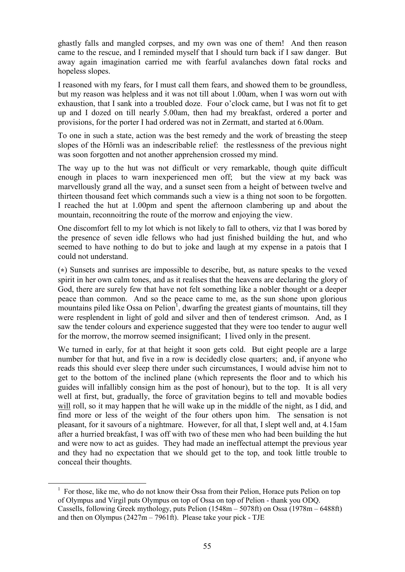ghastly falls and mangled corpses, and my own was one of them! And then reason came to the rescue, and I reminded myself that I should turn back if I saw danger. But away again imagination carried me with fearful avalanches down fatal rocks and hopeless slopes.

I reasoned with my fears, for I must call them fears, and showed them to be groundless, but my reason was helpless and it was not till about 1.00am, when I was worn out with exhaustion, that I sank into a troubled doze. Four o'clock came, but I was not fit to get up and I dozed on till nearly 5.00am, then had my breakfast, ordered a porter and provisions, for the porter I had ordered was not in Zermatt, and started at 6.00am.

To one in such a state, action was the best remedy and the work of breasting the steep slopes of the Hörnli was an indescribable relief: the restlessness of the previous night was soon forgotten and not another apprehension crossed my mind.

The way up to the hut was not difficult or very remarkable, though quite difficult enough in places to warn inexperienced men off; but the view at my back was marvellously grand all the way, and a sunset seen from a height of between twelve and thirteen thousand feet which commands such a view is a thing not soon to be forgotten. I reached the hut at 1.00pm and spent the afternoon clambering up and about the mountain, reconnoitring the route of the morrow and enjoying the view.

One discomfort fell to my lot which is not likely to fall to others, viz that I was bored by the presence of seven idle fellows who had just finished building the hut, and who seemed to have nothing to do but to joke and laugh at my expense in a patois that I could not understand.

(**\***) Sunsets and sunrises are impossible to describe, but, as nature speaks to the vexed spirit in her own calm tones, and as it realises that the heavens are declaring the glory of God, there are surely few that have not felt something like a nobler thought or a deeper peace than common. And so the peace came to me, as the sun shone upon glorious mountains piled like Ossa on Pelion<sup>1</sup>, dwarfing the greatest giants of mountains, till they were resplendent in light of gold and silver and then of tenderest crimson. And, as I saw the tender colours and experience suggested that they were too tender to augur well for the morrow, the morrow seemed insignificant; I lived only in the present.

We turned in early, for at that height it soon gets cold. But eight people are a large number for that hut, and five in a row is decidedly close quarters; and, if anyone who reads this should ever sleep there under such circumstances, I would advise him not to get to the bottom of the inclined plane (which represents the floor and to which his guides will infallibly consign him as the post of honour), but to the top. It is all very well at first, but, gradually, the force of gravitation begins to tell and movable bodies will roll, so it may happen that he will wake up in the middle of the night, as I did, and find more or less of the weight of the four others upon him. The sensation is not pleasant, for it savours of a nightmare. However, for all that, I slept well and, at 4.15am after a hurried breakfast, I was off with two of these men who had been building the hut and were now to act as guides. They had made an ineffectual attempt the previous year and they had no expectation that we should get to the top, and took little trouble to conceal their thoughts.

<sup>&</sup>lt;sup>1</sup> For those, like me, who do not know their Ossa from their Pelion, Horace puts Pelion on top of Olympus and Virgil puts Olympus on top of Ossa on top of Pelion - thank you ODQ. Cassells, following Greek mythology, puts Pelion (1548m – 5078ft) on Ossa (1978m – 6488ft) and then on Olympus (2427m – 7961ft). Please take your pick - TJE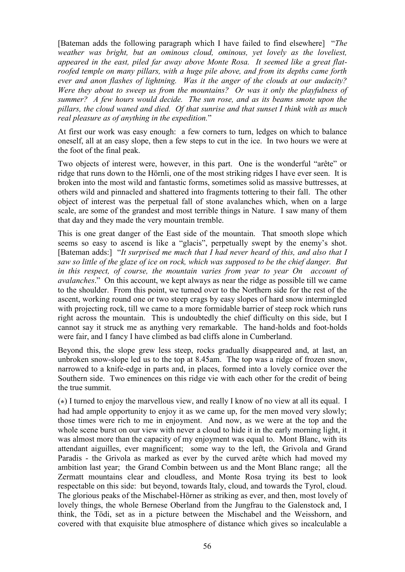[Bateman adds the following paragraph which I have failed to find elsewhere] "*The weather was bright, but an ominous cloud, ominous, yet lovely as the loveliest, appeared in the east, piled far away above Monte Rosa. It seemed like a great flatroofed temple on many pillars, with a huge pile above, and from its depths came forth ever and anon flashes of lightning. Was it the anger of the clouds at our audacity? Were they about to sweep us from the mountains? Or was it only the playfulness of summer? A few hours would decide. The sun rose, and as its beams smote upon the pillars, the cloud waned and died. Of that sunrise and that sunset I think with as much real pleasure as of anything in the expedition.*"

At first our work was easy enough: a few corners to turn, ledges on which to balance oneself, all at an easy slope, then a few steps to cut in the ice. In two hours we were at the foot of the final peak.

Two objects of interest were, however, in this part. One is the wonderful "arête" or ridge that runs down to the Hörnli, one of the most striking ridges I have ever seen. It is broken into the most wild and fantastic forms, sometimes solid as massive buttresses, at others wild and pinnacled and shattered into fragments tottering to their fall. The other object of interest was the perpetual fall of stone avalanches which, when on a large scale, are some of the grandest and most terrible things in Nature. I saw many of them that day and they made the very mountain tremble.

This is one great danger of the East side of the mountain. That smooth slope which seems so easy to ascend is like a "glacis", perpetually swept by the enemy's shot. [Bateman adds:] "*It surprised me much that I had never heard of this, and also that I saw so little of the glaze of ice on rock, which was supposed to be the chief danger. But in this respect, of course, the mountain varies from year to year On account of avalanches*." On this account, we kept always as near the ridge as possible till we came to the shoulder. From this point, we turned over to the Northern side for the rest of the ascent, working round one or two steep crags by easy slopes of hard snow intermingled with projecting rock, till we came to a more formidable barrier of steep rock which runs right across the mountain. This is undoubtedly the chief difficulty on this side, but I cannot say it struck me as anything very remarkable. The hand-holds and foot-holds were fair, and I fancy I have climbed as bad cliffs alone in Cumberland.

Beyond this, the slope grew less steep, rocks gradually disappeared and, at last, an unbroken snow-slope led us to the top at 8.45am. The top was a ridge of frozen snow, narrowed to a knife-edge in parts and, in places, formed into a lovely cornice over the Southern side. Two eminences on this ridge vie with each other for the credit of being the true summit.

(**\***) I turned to enjoy the marvellous view, and really I know of no view at all its equal. I had had ample opportunity to enjoy it as we came up, for the men moved very slowly; those times were rich to me in enjoyment. And now, as we were at the top and the whole scene burst on our view with never a cloud to hide it in the early morning light, it was almost more than the capacity of my enjoyment was equal to. Mont Blanc, with its attendant aiguilles, ever magnificent; some way to the left, the Grivola and Grand Paradis - the Grivola as marked as ever by the curved arête which had moved my ambition last year; the Grand Combin between us and the Mont Blanc range; all the Zermatt mountains clear and cloudless, and Monte Rosa trying its best to look respectable on this side: but beyond, towards Italy, cloud, and towards the Tyrol, cloud. The glorious peaks of the Mischabel-Hörner as striking as ever, and then, most lovely of lovely things, the whole Bernese Oberland from the Jungfrau to the Galenstock and, I think, the Tödi, set as in a picture between the Mischabel and the Weisshorn, and covered with that exquisite blue atmosphere of distance which gives so incalculable a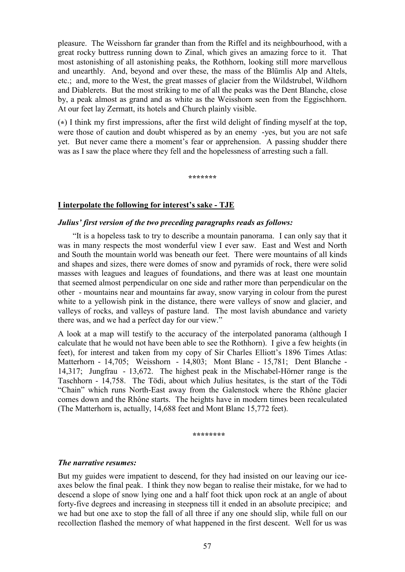pleasure. The Weisshorn far grander than from the Riffel and its neighbourhood, with a great rocky buttress running down to Zinal, which gives an amazing force to it. That most astonishing of all astonishing peaks, the Rothhorn, looking still more marvellous and unearthly. And, beyond and over these, the mass of the Blümlis Alp and Altels, etc.; and, more to the West, the great masses of glacier from the Wildstrubel, Wildhorn and Diablerets. But the most striking to me of all the peaks was the Dent Blanche, close by, a peak almost as grand and as white as the Weisshorn seen from the Eggischhorn. At our feet lay Zermatt, its hotels and Church plainly visible.

(**\***) I think my first impressions, after the first wild delight of finding myself at the top, were those of caution and doubt whispered as by an enemy -yes, but you are not safe yet. But never came there a moment's fear or apprehension. A passing shudder there was as I saw the place where they fell and the hopelessness of arresting such a fall.

**\*\*\*\*\*\*\***

#### **I interpolate the following for interest's sake - TJE**

#### *Julius' first version of the two preceding paragraphs reads as follows:*

"It is a hopeless task to try to describe a mountain panorama. I can only say that it was in many respects the most wonderful view I ever saw. East and West and North and South the mountain world was beneath our feet. There were mountains of all kinds and shapes and sizes, there were domes of snow and pyramids of rock, there were solid masses with leagues and leagues of foundations, and there was at least one mountain that seemed almost perpendicular on one side and rather more than perpendicular on the other - mountains near and mountains far away, snow varying in colour from the purest white to a yellowish pink in the distance, there were valleys of snow and glacier, and valleys of rocks, and valleys of pasture land. The most lavish abundance and variety there was, and we had a perfect day for our view."

A look at a map will testify to the accuracy of the interpolated panorama (although I calculate that he would not have been able to see the Rothhorn). I give a few heights (in feet), for interest and taken from my copy of Sir Charles Elliott's 1896 Times Atlas: Matterhorn - 14,705; Weisshorn - 14,803; Mont Blanc - 15,781; Dent Blanche - 14,317; Jungfrau - 13,672. The highest peak in the Mischabel-Hörner range is the Taschhorn - 14,758. The Tödi, about which Julius hesitates, is the start of the Tödi "Chain" which runs North-East away from the Galenstock where the Rhône glacier comes down and the Rhône starts. The heights have in modern times been recalculated (The Matterhorn is, actually, 14,688 feet and Mont Blanc 15,772 feet).

#### **\*\*\*\*\*\*\*\***

#### *The narrative resumes:*

But my guides were impatient to descend, for they had insisted on our leaving our iceaxes below the final peak. I think they now began to realise their mistake, for we had to descend a slope of snow lying one and a half foot thick upon rock at an angle of about forty-five degrees and increasing in steepness till it ended in an absolute precipice; and we had but one axe to stop the fall of all three if any one should slip, while full on our recollection flashed the memory of what happened in the first descent. Well for us was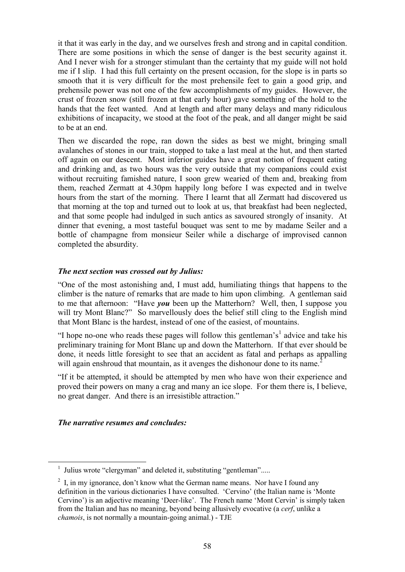it that it was early in the day, and we ourselves fresh and strong and in capital condition. There are some positions in which the sense of danger is the best security against it. And I never wish for a stronger stimulant than the certainty that my guide will not hold me if I slip. I had this full certainty on the present occasion, for the slope is in parts so smooth that it is very difficult for the most prehensile feet to gain a good grip, and prehensile power was not one of the few accomplishments of my guides. However, the crust of frozen snow (still frozen at that early hour) gave something of the hold to the hands that the feet wanted. And at length and after many delays and many ridiculous exhibitions of incapacity, we stood at the foot of the peak, and all danger might be said to be at an end.

Then we discarded the rope, ran down the sides as best we might, bringing small avalanches of stones in our train, stopped to take a last meal at the hut, and then started off again on our descent. Most inferior guides have a great notion of frequent eating and drinking and, as two hours was the very outside that my companions could exist without recruiting famished nature, I soon grew wearied of them and, breaking from them, reached Zermatt at 4.30pm happily long before I was expected and in twelve hours from the start of the morning. There I learnt that all Zermatt had discovered us that morning at the top and turned out to look at us, that breakfast had been neglected, and that some people had indulged in such antics as savoured strongly of insanity. At dinner that evening, a most tasteful bouquet was sent to me by madame Seiler and a bottle of champagne from monsieur Seiler while a discharge of improvised cannon completed the absurdity.

#### *The next section was crossed out by Julius:*

"One of the most astonishing and, I must add, humiliating things that happens to the climber is the nature of remarks that are made to him upon climbing. A gentleman said to me that afternoon: "Have *you* been up the Matterhorn? Well, then, I suppose you will try Mont Blanc?" So marvellously does the belief still cling to the English mind that Mont Blanc is the hardest, instead of one of the easiest, of mountains.

"I hope no-one who reads these pages will follow this gentleman's<sup>1</sup> advice and take his preliminary training for Mont Blanc up and down the Matterhorn. If that ever should be done, it needs little foresight to see that an accident as fatal and perhaps as appalling will again enshroud that mountain, as it avenges the dishonour done to its name.<sup>2</sup>

"If it be attempted, it should be attempted by men who have won their experience and proved their powers on many a crag and many an ice slope. For them there is, I believe, no great danger. And there is an irresistible attraction."

#### *The narrative resumes and concludes:*

<sup>&</sup>lt;sup>1</sup> Julius wrote "clergyman" and deleted it, substituting "gentleman".....

 $2 \text{ I}$ , in my ignorance, don't know what the German name means. Nor have I found any definition in the various dictionaries I have consulted. 'Cervino' (the Italian name is 'Monte Cervino') is an adjective meaning 'Deer-like'. The French name 'Mont Cervin' is simply taken from the Italian and has no meaning, beyond being allusively evocative (a *cerf*, unlike a *chamois*, is not normally a mountain-going animal.) - TJE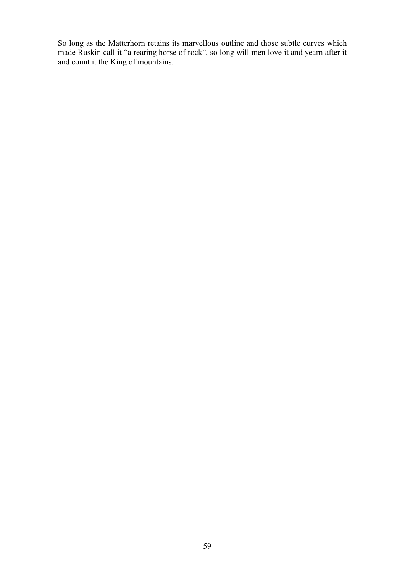So long as the Matterhorn retains its marvellous outline and those subtle curves which made Ruskin call it "a rearing horse of rock", so long will men love it and yearn after it and count it the King of mountains.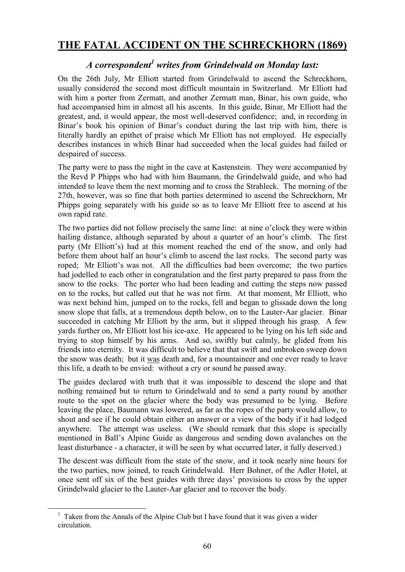# **THE FATAL ACCIDENT ON THE SCHRECKHORN (1869)**

# *A correspondent<sup>1</sup> writes from Grindelwald on Monday last:*

On the 26th July, Mr Elliott started from Grindelwald to ascend the Schreckhorn, usually considered the second most difficult mountain in Switzerland. Mr Elliott had with him a porter from Zermatt, and another Zermatt man, Binar, his own guide, who had accompanied him in almost all his ascents. In this guide, Binar, Mr Elliott had the greatest, and, it would appear, the most well-deserved confidence; and, in recording in Binar's book his opinion of Binar's conduct during the last trip with him, there is literally hardly an epithet of praise which Mr Elliott has not employed. He especially describes instances in which Binar had succeeded when the local guides had failed or despaired of success.

The party were to pass the night in the cave at Kastenstein. They were accompanied by the Revd P Phipps who had with him Baumann, the Grindelwald guide, and who had intended to leave them the next morning and to cross the Strahleck. The morning of the 27th, however, was so fine that both parties determined to ascend the Schreckhorn, Mr Phipps going separately with his guide so as to leave Mr Elliott free to ascend at his own rapid rate.

The two parties did not follow precisely the same line: at nine o'clock they were within hailing distance, although separated by about a quarter of an hour's climb. The first party (Mr Elliott's) had at this moment reached the end of the snow, and only had before them about half an hour's climb to ascend the last rocks. The second party was roped; Mr Elliott's was not. All the difficulties had been overcome; the two parties had jodelled to each other in congratulation and the first party prepared to pass from the snow to the rocks. The porter who had been leading and cutting the steps now passed on to the rocks, but called out that he was not firm. At that moment, Mr Elliott, who was next behind him, jumped on to the rocks, fell and began to glissade down the long snow slope that falls, at a tremendous depth below, on to the Lauter-Aar glacier. Binar succeeded in catching Mr Elliott by the arm, but it slipped through his grasp. A few yards further on, Mr Elliott lost his ice-axe. He appeared to be lying on his left side and trying to stop himself by his arms. And so, swiftly but calmly, he glided from his friends into eternity. It was difficult to believe that that swift and unbroken sweep down the snow was death; but it was death and, for a mountaineer and one ever ready to leave this life, a death to be envied: without a cry or sound he passed away.

The guides declared with truth that it was impossible to descend the slope and that nothing remained but to return to Grindelwald and to send a party round by another route to the spot on the glacier where the body was presumed to be lying. Before leaving the place, Baumann was lowered, as far as the ropes of the party would allow, to shout and see if he could obtain either an answer or a view of the body if it had lodged anywhere. The attempt was useless. (We should remark that this slope is specially mentioned in Ball's Alpine Guide as dangerous and sending down avalanches on the least disturbance - a character, it will be seen by what occurred later, it fully deserved.)

The descent was difficult from the state of the snow, and it took nearly nine hours for the two parties, now joined, to reach Grindelwald. Herr Bohner, of the Adler Hotel, at once sent off six of the best guides with three days' provisions to cross by the upper Grindelwald glacier to the Lauter-Aar glacier and to recover the body.

<sup>&</sup>lt;sup>1</sup> Taken from the Annals of the Alpine Club but I have found that it was given a wider circulation.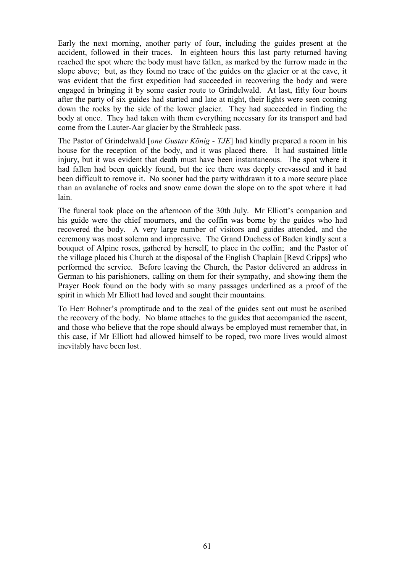Early the next morning, another party of four, including the guides present at the accident, followed in their traces. In eighteen hours this last party returned having reached the spot where the body must have fallen, as marked by the furrow made in the slope above; but, as they found no trace of the guides on the glacier or at the cave, it was evident that the first expedition had succeeded in recovering the body and were engaged in bringing it by some easier route to Grindelwald. At last, fifty four hours after the party of six guides had started and late at night, their lights were seen coming down the rocks by the side of the lower glacier. They had succeeded in finding the body at once. They had taken with them everything necessary for its transport and had come from the Lauter-Aar glacier by the Strahleck pass.

The Pastor of Grindelwald [*one Gustav König - TJE*] had kindly prepared a room in his house for the reception of the body, and it was placed there. It had sustained little injury, but it was evident that death must have been instantaneous. The spot where it had fallen had been quickly found, but the ice there was deeply crevassed and it had been difficult to remove it. No sooner had the party withdrawn it to a more secure place than an avalanche of rocks and snow came down the slope on to the spot where it had lain.

The funeral took place on the afternoon of the 30th July. Mr Elliott's companion and his guide were the chief mourners, and the coffin was borne by the guides who had recovered the body. A very large number of visitors and guides attended, and the ceremony was most solemn and impressive. The Grand Duchess of Baden kindly sent a bouquet of Alpine roses, gathered by herself, to place in the coffin; and the Pastor of the village placed his Church at the disposal of the English Chaplain [Revd Cripps] who performed the service. Before leaving the Church, the Pastor delivered an address in German to his parishioners, calling on them for their sympathy, and showing them the Prayer Book found on the body with so many passages underlined as a proof of the spirit in which Mr Elliott had loved and sought their mountains.

To Herr Bohner's promptitude and to the zeal of the guides sent out must be ascribed the recovery of the body. No blame attaches to the guides that accompanied the ascent, and those who believe that the rope should always be employed must remember that, in this case, if Mr Elliott had allowed himself to be roped, two more lives would almost inevitably have been lost.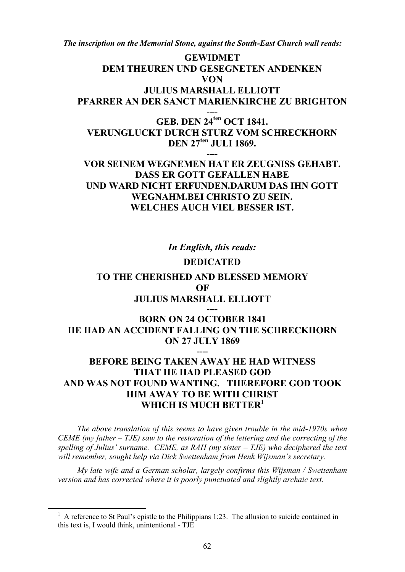*The inscription on the Memorial Stone, against the South-East Church wall reads:* 

### **GEWIDMET DEM THEUREN UND GESEGNETEN ANDENKEN VON JULIUS MARSHALL ELLIOTT PFARRER AN DER SANCT MARIENKIRCHE ZU BRIGHTON**

**---- GEB. DEN 24ten OCT 1841. VERUNGLUCKT DURCH STURZ VOM SCHRECKHORN DEN 27ten JULI 1869.**

**----**

# **VOR SEINEM WEGNEMEN HAT ER ZEUGNISS GEHABT. DASS ER GOTT GEFALLEN HABE UND WARD NICHT ERFUNDEN.DARUM DAS IHN GOTT WEGNAHM.BEI CHRISTO ZU SEIN. WELCHES AUCH VIEL BESSER IST.**

*In English, this reads:*

# **DEDICATED TO THE CHERISHED AND BLESSED MEMORY OF JULIUS MARSHALL ELLIOTT ----**

### **BORN ON 24 OCTOBER 1841 HE HAD AN ACCIDENT FALLING ON THE SCHRECKHORN ON 27 JULY 1869 ----**

### **BEFORE BEING TAKEN AWAY HE HAD WITNESS THAT HE HAD PLEASED GOD AND WAS NOT FOUND WANTING. THEREFORE GOD TOOK HIM AWAY TO BE WITH CHRIST WHICH IS MUCH BETTER<sup>1</sup>**

*The above translation of this seems to have given trouble in the mid-1970s when CEME (my father – TJE) saw to the restoration of the lettering and the correcting of the spelling of Julius' surname. CEME, as RAH (my sister – TJE) who deciphered the text will remember, sought help via Dick Swettenham from Henk Wijsman's secretary.*

*My late wife and a German scholar, largely confirms this Wijsman / Swettenham version and has corrected where it is poorly punctuated and slightly archaic text*.

<sup>&</sup>lt;sup>1</sup> A reference to St Paul's epistle to the Philippians 1:23. The allusion to suicide contained in this text is, I would think, unintentional - TJE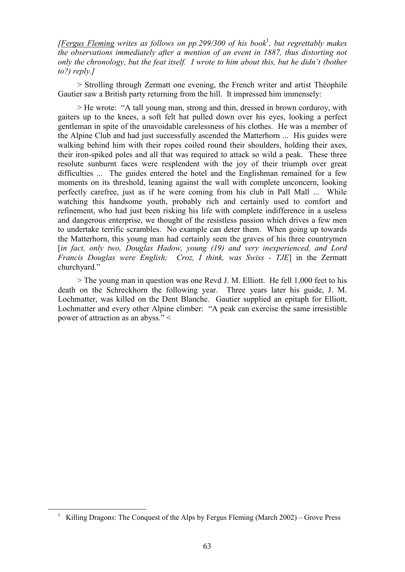*[Fergus Fleming writes as follows on pp.299/300 of his book*<sup>1</sup> *, but regrettably makes the observations immediately after a mention of an event in 1887, thus distorting not only the chronology, but the feat itself. I wrote to him about this, but he didn't (bother to?) reply.]*

> Strolling through Zermatt one evening, the French writer and artist Théophile Gautier saw a British party returning from the hill. It impressed him immensely:

> He wrote: "A tall young man, strong and thin, dressed in brown corduroy, with gaiters up to the knees, a soft felt hat pulled down over his eyes, looking a perfect gentleman in spite of the unavoidable carelessness of his clothes. He was a member of the Alpine Club and had just successfully ascended the Matterhorn ... His guides were walking behind him with their ropes coiled round their shoulders, holding their axes, their iron-spiked poles and all that was required to attack so wild a peak. These three resolute sunburnt faces were resplendent with the joy of their triumph over great difficulties ... The guides entered the hotel and the Englishman remained for a few moments on its threshold, leaning against the wall with complete unconcern, looking perfectly carefree, just as if he were coming from his club in Pall Mall ... While watching this handsome youth, probably rich and certainly used to comfort and refinement, who had just been risking his life with complete indifference in a useless and dangerous enterprise, we thought of the resistless passion which drives a few men to undertake terrific scrambles. No example can deter them. When going up towards the Matterhorn, this young man had certainly seen the graves of his three countrymen [*in fact, only two, Douglas Hadow, young (19) and very inexperienced, and Lord Francis Douglas were English; Croz, I think, was Swiss - TJE*] in the Zermatt churchyard."

> The young man in question was one Revd J. M. Elliott. He fell 1,000 feet to his death on the Schreckhorn the following year. Three years later his guide, J. M. Lochmatter, was killed on the Dent Blanche. Gautier supplied an epitaph for Elliott, Lochmatter and every other Alpine climber: "A peak can exercise the same irresistible power of attraction as an abyss." <

<sup>1</sup> [Killing Dragons: The Conquest of the Alps](http://www.amazon.com/Killing-Dragons-Conquest-Fergus-Fleming/dp/0802138675/ref=la_B001HP3HJI_1_1?s=books&ie=UTF8&qid=1388445172&sr=1-1) by Fergus Fleming (March 2002) – Grove Press